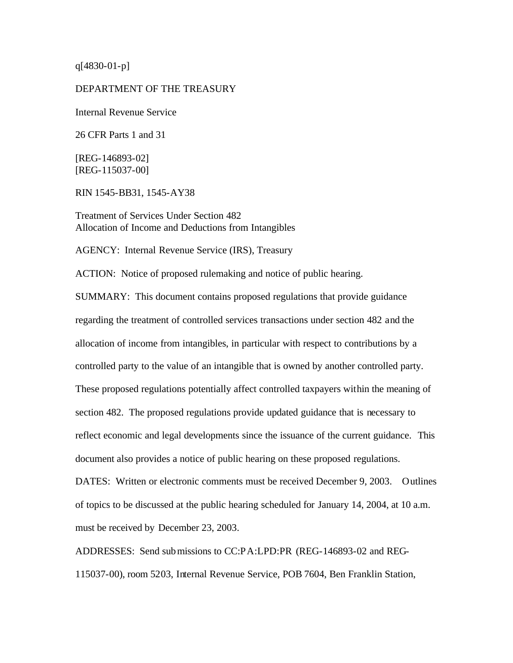q[4830-01-p]

### DEPARTMENT OF THE TREASURY

Internal Revenue Service

26 CFR Parts 1 and 31

[REG-146893-02] [REG-115037-00]

RIN 1545-BB31, 1545-AY38

Treatment of Services Under Section 482 Allocation of Income and Deductions from Intangibles

AGENCY: Internal Revenue Service (IRS), Treasury

ACTION: Notice of proposed rulemaking and notice of public hearing.

SUMMARY: This document contains proposed regulations that provide guidance regarding the treatment of controlled services transactions under section 482 and the allocation of income from intangibles, in particular with respect to contributions by a controlled party to the value of an intangible that is owned by another controlled party. These proposed regulations potentially affect controlled taxpayers within the meaning of section 482. The proposed regulations provide updated guidance that is necessary to reflect economic and legal developments since the issuance of the current guidance. This document also provides a notice of public hearing on these proposed regulations.

DATES: Written or electronic comments must be received December 9, 2003. Outlines of topics to be discussed at the public hearing scheduled for January 14, 2004, at 10 a.m. must be received by December 23, 2003.

ADDRESSES: Send submissions to CC:PA:LPD:PR (REG-146893-02 and REG-115037-00), room 5203, Internal Revenue Service, POB 7604, Ben Franklin Station,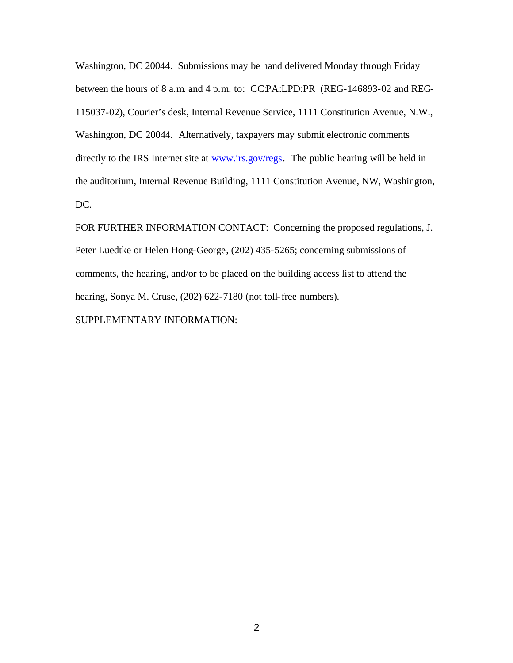Washington, DC 20044. Submissions may be hand delivered Monday through Friday between the hours of 8 a.m. and 4 p.m. to: CCPA:LPD:PR (REG-146893-02 and REG-115037-02), Courier's desk, Internal Revenue Service, 1111 Constitution Avenue, N.W., Washington, DC 20044. Alternatively, taxpayers may submit electronic comments directly to the IRS Internet site at www.irs.gov/regs. The public hearing will be held in the auditorium, Internal Revenue Building, 1111 Constitution Avenue, NW, Washington, DC.

FOR FURTHER INFORMATION CONTACT: Concerning the proposed regulations, J. Peter Luedtke or Helen Hong-George, (202) 435-5265; concerning submissions of comments, the hearing, and/or to be placed on the building access list to attend the hearing, Sonya M. Cruse, (202) 622-7180 (not toll-free numbers). SUPPLEMENTARY INFORMATION: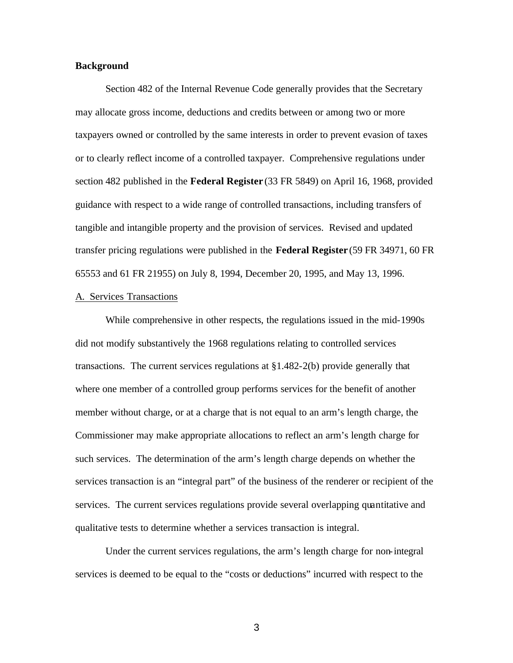# **Background**

Section 482 of the Internal Revenue Code generally provides that the Secretary may allocate gross income, deductions and credits between or among two or more taxpayers owned or controlled by the same interests in order to prevent evasion of taxes or to clearly reflect income of a controlled taxpayer. Comprehensive regulations under section 482 published in the **Federal Register** (33 FR 5849) on April 16, 1968, provided guidance with respect to a wide range of controlled transactions, including transfers of tangible and intangible property and the provision of services. Revised and updated transfer pricing regulations were published in the **Federal Register** (59 FR 34971, 60 FR 65553 and 61 FR 21955) on July 8, 1994, December 20, 1995, and May 13, 1996.

# A. Services Transactions

While comprehensive in other respects, the regulations issued in the mid-1990s did not modify substantively the 1968 regulations relating to controlled services transactions. The current services regulations at §1.482-2(b) provide generally that where one member of a controlled group performs services for the benefit of another member without charge, or at a charge that is not equal to an arm's length charge, the Commissioner may make appropriate allocations to reflect an arm's length charge for such services. The determination of the arm's length charge depends on whether the services transaction is an "integral part" of the business of the renderer or recipient of the services. The current services regulations provide several overlapping quantitative and qualitative tests to determine whether a services transaction is integral.

Under the current services regulations, the arm's length charge for non-integral services is deemed to be equal to the "costs or deductions" incurred with respect to the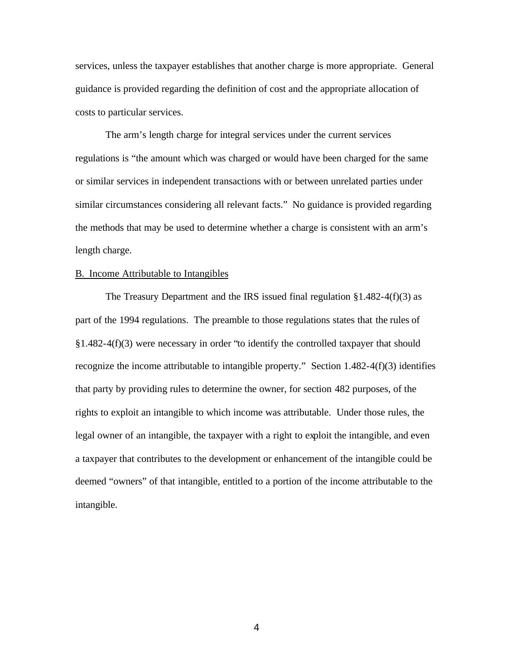services, unless the taxpayer establishes that another charge is more appropriate. General guidance is provided regarding the definition of cost and the appropriate allocation of costs to particular services.

The arm's length charge for integral services under the current services regulations is "the amount which was charged or would have been charged for the same or similar services in independent transactions with or between unrelated parties under similar circumstances considering all relevant facts." No guidance is provided regarding the methods that may be used to determine whether a charge is consistent with an arm's length charge.

### B. Income Attributable to Intangibles

The Treasury Department and the IRS issued final regulation  $\S 1.482 - 4(f)(3)$  as part of the 1994 regulations. The preamble to those regulations states that the rules of §1.482-4(f)(3) were necessary in order "to identify the controlled taxpayer that should recognize the income attributable to intangible property." Section 1.482-4(f)(3) identifies that party by providing rules to determine the owner, for section 482 purposes, of the rights to exploit an intangible to which income was attributable. Under those rules, the legal owner of an intangible, the taxpayer with a right to exploit the intangible, and even a taxpayer that contributes to the development or enhancement of the intangible could be deemed "owners" of that intangible, entitled to a portion of the income attributable to the intangible.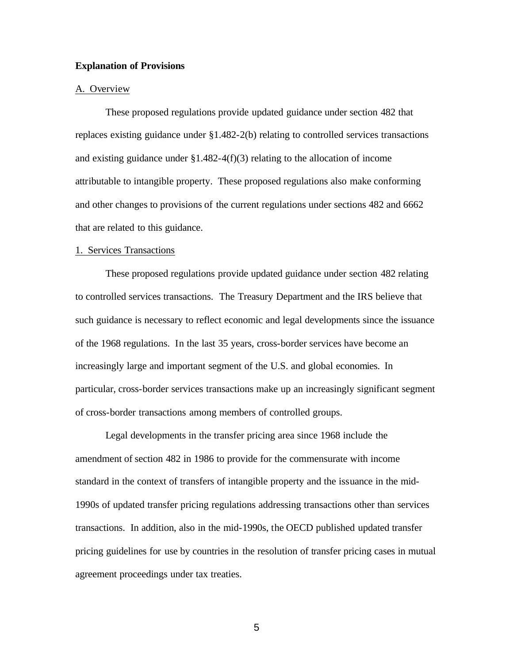# **Explanation of Provisions**

# A. Overview

These proposed regulations provide updated guidance under section 482 that replaces existing guidance under §1.482-2(b) relating to controlled services transactions and existing guidance under §1.482-4(f)(3) relating to the allocation of income attributable to intangible property. These proposed regulations also make conforming and other changes to provisions of the current regulations under sections 482 and 6662 that are related to this guidance.

# 1. Services Transactions

These proposed regulations provide updated guidance under section 482 relating to controlled services transactions. The Treasury Department and the IRS believe that such guidance is necessary to reflect economic and legal developments since the issuance of the 1968 regulations. In the last 35 years, cross-border services have become an increasingly large and important segment of the U.S. and global economies. In particular, cross-border services transactions make up an increasingly significant segment of cross-border transactions among members of controlled groups.

Legal developments in the transfer pricing area since 1968 include the amendment of section 482 in 1986 to provide for the commensurate with income standard in the context of transfers of intangible property and the issuance in the mid-1990s of updated transfer pricing regulations addressing transactions other than services transactions. In addition, also in the mid-1990s, the OECD published updated transfer pricing guidelines for use by countries in the resolution of transfer pricing cases in mutual agreement proceedings under tax treaties.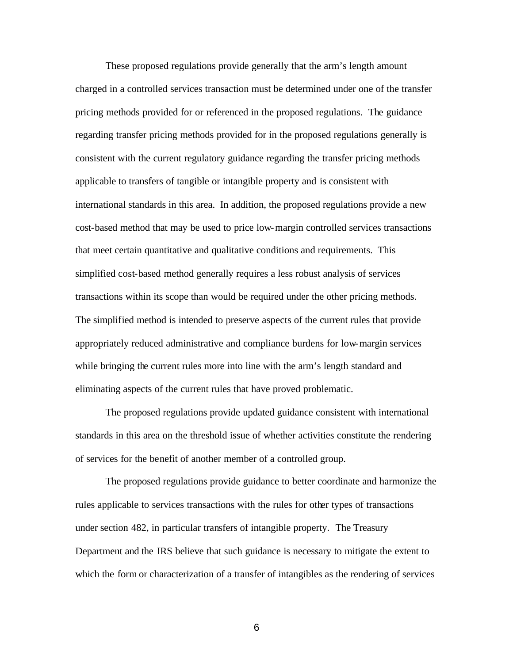These proposed regulations provide generally that the arm's length amount charged in a controlled services transaction must be determined under one of the transfer pricing methods provided for or referenced in the proposed regulations. The guidance regarding transfer pricing methods provided for in the proposed regulations generally is consistent with the current regulatory guidance regarding the transfer pricing methods applicable to transfers of tangible or intangible property and is consistent with international standards in this area. In addition, the proposed regulations provide a new cost-based method that may be used to price low-margin controlled services transactions that meet certain quantitative and qualitative conditions and requirements. This simplified cost-based method generally requires a less robust analysis of services transactions within its scope than would be required under the other pricing methods. The simplified method is intended to preserve aspects of the current rules that provide appropriately reduced administrative and compliance burdens for low-margin services while bringing the current rules more into line with the arm's length standard and eliminating aspects of the current rules that have proved problematic.

The proposed regulations provide updated guidance consistent with international standards in this area on the threshold issue of whether activities constitute the rendering of services for the benefit of another member of a controlled group.

The proposed regulations provide guidance to better coordinate and harmonize the rules applicable to services transactions with the rules for other types of transactions under section 482, in particular transfers of intangible property. The Treasury Department and the IRS believe that such guidance is necessary to mitigate the extent to which the form or characterization of a transfer of intangibles as the rendering of services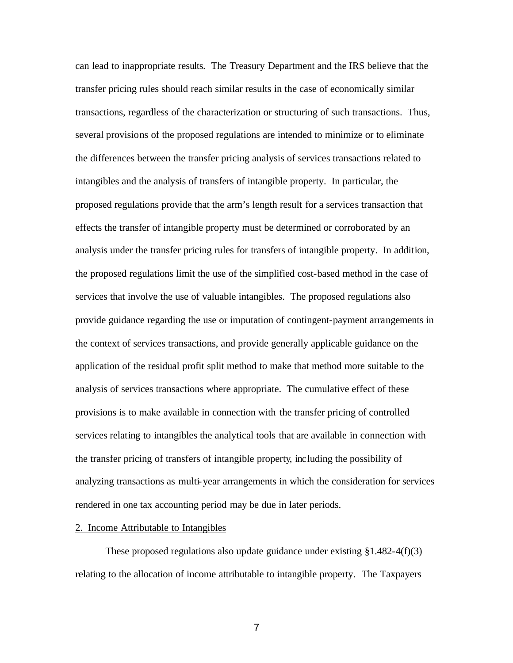can lead to inappropriate results. The Treasury Department and the IRS believe that the transfer pricing rules should reach similar results in the case of economically similar transactions, regardless of the characterization or structuring of such transactions. Thus, several provisions of the proposed regulations are intended to minimize or to eliminate the differences between the transfer pricing analysis of services transactions related to intangibles and the analysis of transfers of intangible property. In particular, the proposed regulations provide that the arm's length result for a services transaction that effects the transfer of intangible property must be determined or corroborated by an analysis under the transfer pricing rules for transfers of intangible property. In addition, the proposed regulations limit the use of the simplified cost-based method in the case of services that involve the use of valuable intangibles. The proposed regulations also provide guidance regarding the use or imputation of contingent-payment arrangements in the context of services transactions, and provide generally applicable guidance on the application of the residual profit split method to make that method more suitable to the analysis of services transactions where appropriate. The cumulative effect of these provisions is to make available in connection with the transfer pricing of controlled services relating to intangibles the analytical tools that are available in connection with the transfer pricing of transfers of intangible property, including the possibility of analyzing transactions as multi-year arrangements in which the consideration for services rendered in one tax accounting period may be due in later periods.

# 2. Income Attributable to Intangibles

These proposed regulations also update guidance under existing  $\S 1.482 - 4(f)(3)$ relating to the allocation of income attributable to intangible property. The Taxpayers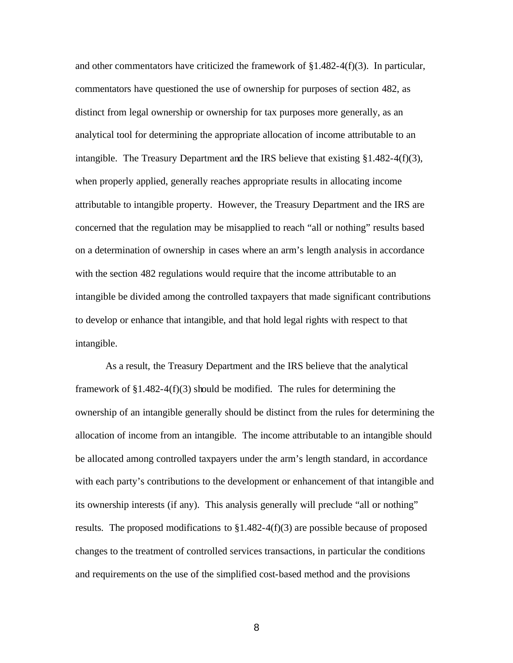and other commentators have criticized the framework of  $\S 1.482 - 4(f)(3)$ . In particular, commentators have questioned the use of ownership for purposes of section 482, as distinct from legal ownership or ownership for tax purposes more generally, as an analytical tool for determining the appropriate allocation of income attributable to an intangible. The Treasury Department and the IRS believe that existing §1.482-4(f)(3), when properly applied, generally reaches appropriate results in allocating income attributable to intangible property. However, the Treasury Department and the IRS are concerned that the regulation may be misapplied to reach "all or nothing" results based on a determination of ownership in cases where an arm's length analysis in accordance with the section 482 regulations would require that the income attributable to an intangible be divided among the controlled taxpayers that made significant contributions to develop or enhance that intangible, and that hold legal rights with respect to that intangible.

As a result, the Treasury Department and the IRS believe that the analytical framework of  $\S1.482-4(f)(3)$  should be modified. The rules for determining the ownership of an intangible generally should be distinct from the rules for determining the allocation of income from an intangible. The income attributable to an intangible should be allocated among controlled taxpayers under the arm's length standard, in accordance with each party's contributions to the development or enhancement of that intangible and its ownership interests (if any). This analysis generally will preclude "all or nothing" results. The proposed modifications to  $\S1.482-4(f)(3)$  are possible because of proposed changes to the treatment of controlled services transactions, in particular the conditions and requirements on the use of the simplified cost-based method and the provisions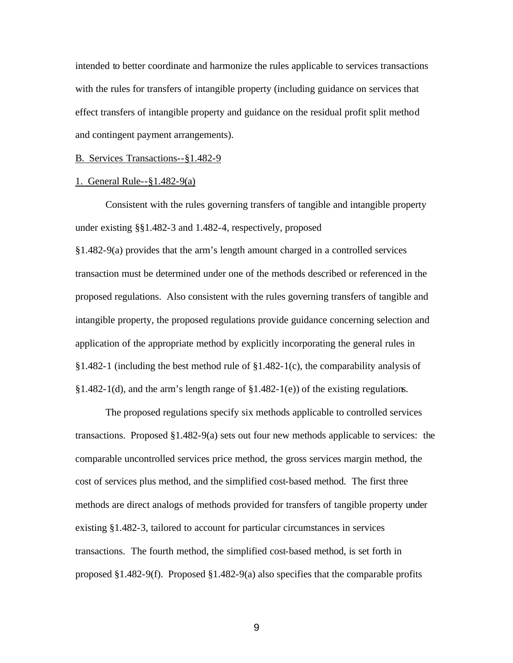intended to better coordinate and harmonize the rules applicable to services transactions with the rules for transfers of intangible property (including guidance on services that effect transfers of intangible property and guidance on the residual profit split method and contingent payment arrangements).

### B. Services Transactions--§1.482-9

### 1. General Rule--§1.482-9(a)

Consistent with the rules governing transfers of tangible and intangible property under existing §§1.482-3 and 1.482-4, respectively, proposed

§1.482-9(a) provides that the arm's length amount charged in a controlled services transaction must be determined under one of the methods described or referenced in the proposed regulations. Also consistent with the rules governing transfers of tangible and intangible property, the proposed regulations provide guidance concerning selection and application of the appropriate method by explicitly incorporating the general rules in §1.482-1 (including the best method rule of §1.482-1(c), the comparability analysis of  $§1.482-1(d)$ , and the arm's length range of  $§1.482-1(e)$  of the existing regulations.

The proposed regulations specify six methods applicable to controlled services transactions. Proposed  $\S 1.482-9(a)$  sets out four new methods applicable to services: the comparable uncontrolled services price method, the gross services margin method, the cost of services plus method, and the simplified cost-based method. The first three methods are direct analogs of methods provided for transfers of tangible property under existing §1.482-3, tailored to account for particular circumstances in services transactions. The fourth method, the simplified cost-based method, is set forth in proposed §1.482-9(f). Proposed §1.482-9(a) also specifies that the comparable profits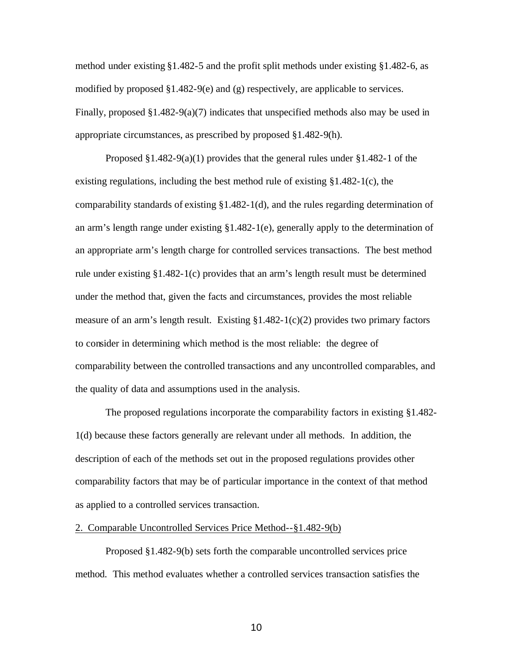method under existing §1.482-5 and the profit split methods under existing §1.482-6, as modified by proposed  $\S1.482-9(e)$  and (g) respectively, are applicable to services. Finally, proposed  $\S1.482-9(a)(7)$  indicates that unspecified methods also may be used in appropriate circumstances, as prescribed by proposed §1.482-9(h).

Proposed  $\S1.482-9(a)(1)$  provides that the general rules under  $\S1.482-1$  of the existing regulations, including the best method rule of existing §1.482-1(c), the comparability standards of existing §1.482-1(d), and the rules regarding determination of an arm's length range under existing  $\S1.482-1(e)$ , generally apply to the determination of an appropriate arm's length charge for controlled services transactions. The best method rule under existing §1.482-1(c) provides that an arm's length result must be determined under the method that, given the facts and circumstances, provides the most reliable measure of an arm's length result. Existing  $\S1.482-1(c)(2)$  provides two primary factors to consider in determining which method is the most reliable: the degree of comparability between the controlled transactions and any uncontrolled comparables, and the quality of data and assumptions used in the analysis.

The proposed regulations incorporate the comparability factors in existing §1.482- 1(d) because these factors generally are relevant under all methods. In addition, the description of each of the methods set out in the proposed regulations provides other comparability factors that may be of particular importance in the context of that method as applied to a controlled services transaction.

### 2. Comparable Uncontrolled Services Price Method--§1.482-9(b)

Proposed §1.482-9(b) sets forth the comparable uncontrolled services price method. This method evaluates whether a controlled services transaction satisfies the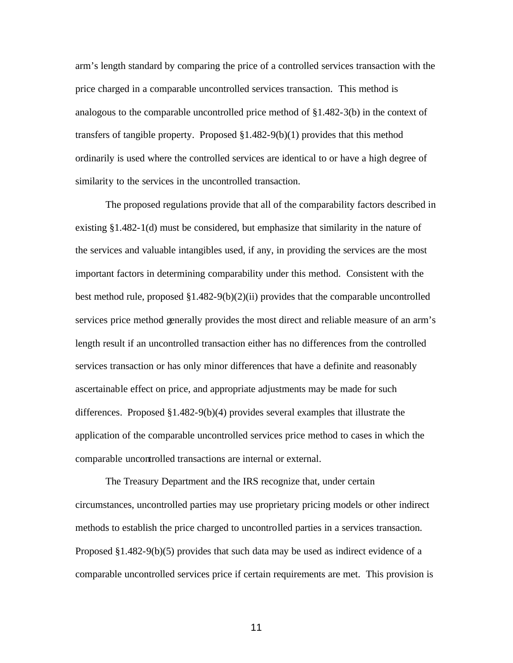arm's length standard by comparing the price of a controlled services transaction with the price charged in a comparable uncontrolled services transaction. This method is analogous to the comparable uncontrolled price method of  $\S 1.482-3(b)$  in the context of transfers of tangible property. Proposed §1.482-9(b)(1) provides that this method ordinarily is used where the controlled services are identical to or have a high degree of similarity to the services in the uncontrolled transaction.

The proposed regulations provide that all of the comparability factors described in existing §1.482-1(d) must be considered, but emphasize that similarity in the nature of the services and valuable intangibles used, if any, in providing the services are the most important factors in determining comparability under this method. Consistent with the best method rule, proposed §1.482-9(b)(2)(ii) provides that the comparable uncontrolled services price method generally provides the most direct and reliable measure of an arm's length result if an uncontrolled transaction either has no differences from the controlled services transaction or has only minor differences that have a definite and reasonably ascertainable effect on price, and appropriate adjustments may be made for such differences. Proposed §1.482-9(b)(4) provides several examples that illustrate the application of the comparable uncontrolled services price method to cases in which the comparable uncontrolled transactions are internal or external.

The Treasury Department and the IRS recognize that, under certain circumstances, uncontrolled parties may use proprietary pricing models or other indirect methods to establish the price charged to uncontrolled parties in a services transaction. Proposed §1.482-9(b)(5) provides that such data may be used as indirect evidence of a comparable uncontrolled services price if certain requirements are met. This provision is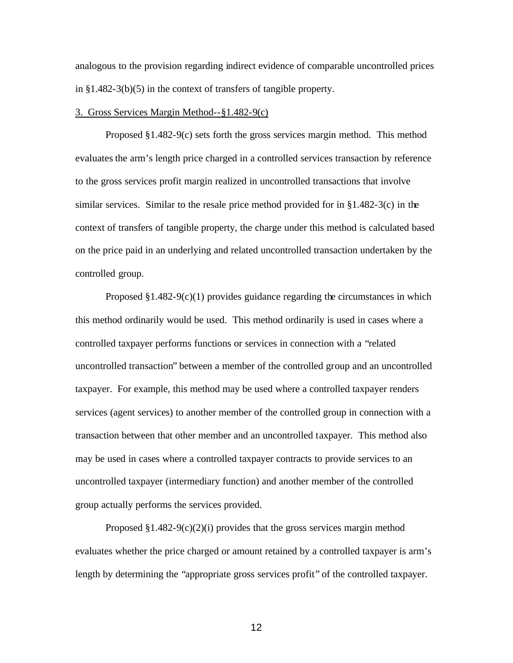analogous to the provision regarding indirect evidence of comparable uncontrolled prices in §1.482-3(b)(5) in the context of transfers of tangible property.

# 3. Gross Services Margin Method--§1.482-9(c)

Proposed §1.482-9(c) sets forth the gross services margin method. This method evaluates the arm's length price charged in a controlled services transaction by reference to the gross services profit margin realized in uncontrolled transactions that involve similar services. Similar to the resale price method provided for in  $\S1.482-3(c)$  in the context of transfers of tangible property, the charge under this method is calculated based on the price paid in an underlying and related uncontrolled transaction undertaken by the controlled group.

Proposed  $§1.482-9(c)(1)$  provides guidance regarding the circumstances in which this method ordinarily would be used. This method ordinarily is used in cases where a controlled taxpayer performs functions or services in connection with a "related uncontrolled transaction" between a member of the controlled group and an uncontrolled taxpayer. For example, this method may be used where a controlled taxpayer renders services (agent services) to another member of the controlled group in connection with a transaction between that other member and an uncontrolled taxpayer. This method also may be used in cases where a controlled taxpayer contracts to provide services to an uncontrolled taxpayer (intermediary function) and another member of the controlled group actually performs the services provided.

Proposed  $\S1.482-9(c)(2)(i)$  provides that the gross services margin method evaluates whether the price charged or amount retained by a controlled taxpayer is arm's length by determining the "appropriate gross services profit" of the controlled taxpayer.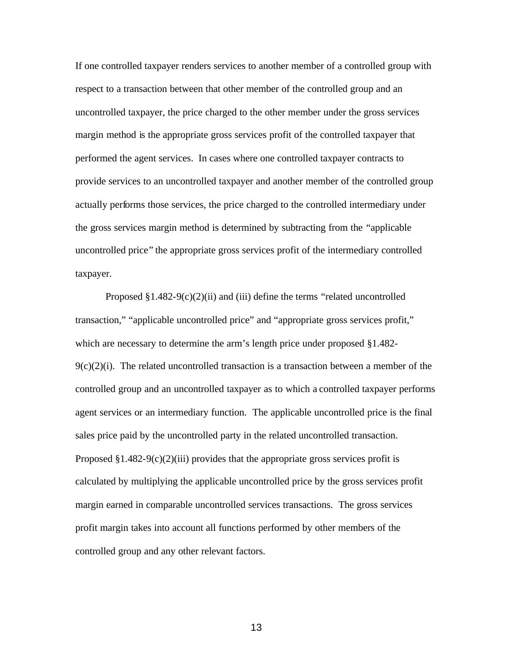If one controlled taxpayer renders services to another member of a controlled group with respect to a transaction between that other member of the controlled group and an uncontrolled taxpayer, the price charged to the other member under the gross services margin method is the appropriate gross services profit of the controlled taxpayer that performed the agent services. In cases where one controlled taxpayer contracts to provide services to an uncontrolled taxpayer and another member of the controlled group actually performs those services, the price charged to the controlled intermediary under the gross services margin method is determined by subtracting from the "applicable uncontrolled price" the appropriate gross services profit of the intermediary controlled taxpayer.

Proposed  $§1.482-9(c)(2)(ii)$  and (iii) define the terms "related uncontrolled transaction," "applicable uncontrolled price" and "appropriate gross services profit," which are necessary to determine the arm's length price under proposed §1.482-  $9(c)(2)(i)$ . The related uncontrolled transaction is a transaction between a member of the controlled group and an uncontrolled taxpayer as to which a controlled taxpayer performs agent services or an intermediary function. The applicable uncontrolled price is the final sales price paid by the uncontrolled party in the related uncontrolled transaction. Proposed  $\S1.482-9(c)(2)(iii)$  provides that the appropriate gross services profit is calculated by multiplying the applicable uncontrolled price by the gross services profit margin earned in comparable uncontrolled services transactions. The gross services profit margin takes into account all functions performed by other members of the controlled group and any other relevant factors.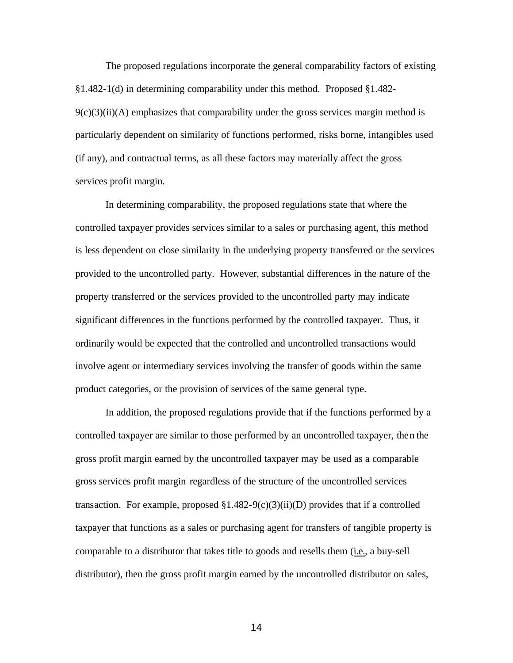The proposed regulations incorporate the general comparability factors of existing §1.482-1(d) in determining comparability under this method. Proposed §1.482-  $9(c)(3)(ii)(A)$  emphasizes that comparability under the gross services margin method is particularly dependent on similarity of functions performed, risks borne, intangibles used (if any), and contractual terms, as all these factors may materially affect the gross services profit margin.

In determining comparability, the proposed regulations state that where the controlled taxpayer provides services similar to a sales or purchasing agent, this method is less dependent on close similarity in the underlying property transferred or the services provided to the uncontrolled party. However, substantial differences in the nature of the property transferred or the services provided to the uncontrolled party may indicate significant differences in the functions performed by the controlled taxpayer. Thus, it ordinarily would be expected that the controlled and uncontrolled transactions would involve agent or intermediary services involving the transfer of goods within the same product categories, or the provision of services of the same general type.

In addition, the proposed regulations provide that if the functions performed by a controlled taxpayer are similar to those performed by an uncontrolled taxpayer, then the gross profit margin earned by the uncontrolled taxpayer may be used as a comparable gross services profit margin regardless of the structure of the uncontrolled services transaction. For example, proposed  $\S1.482-9(c)(3)(ii)(D)$  provides that if a controlled taxpayer that functions as a sales or purchasing agent for transfers of tangible property is comparable to a distributor that takes title to goods and resells them (*i.e.*, a buy-sell distributor), then the gross profit margin earned by the uncontrolled distributor on sales,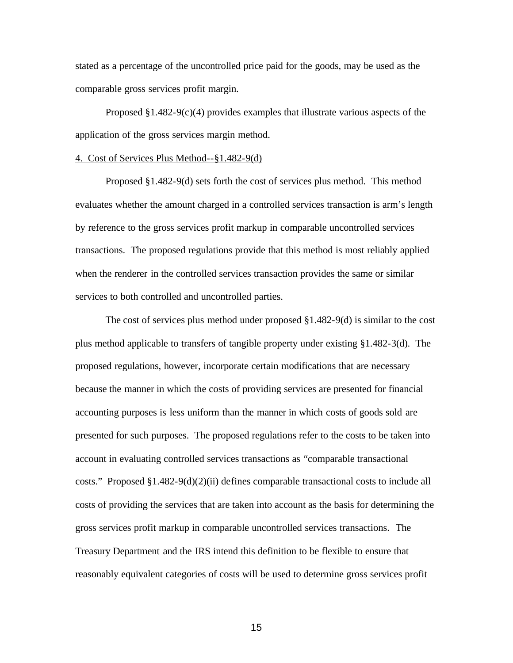stated as a percentage of the uncontrolled price paid for the goods, may be used as the comparable gross services profit margin.

Proposed  $\S1.482-9(c)(4)$  provides examples that illustrate various aspects of the application of the gross services margin method.

### 4. Cost of Services Plus Method--§1.482-9(d)

Proposed §1.482-9(d) sets forth the cost of services plus method. This method evaluates whether the amount charged in a controlled services transaction is arm's length by reference to the gross services profit markup in comparable uncontrolled services transactions. The proposed regulations provide that this method is most reliably applied when the renderer in the controlled services transaction provides the same or similar services to both controlled and uncontrolled parties.

The cost of services plus method under proposed §1.482-9(d) is similar to the cost plus method applicable to transfers of tangible property under existing §1.482-3(d). The proposed regulations, however, incorporate certain modifications that are necessary because the manner in which the costs of providing services are presented for financial accounting purposes is less uniform than the manner in which costs of goods sold are presented for such purposes. The proposed regulations refer to the costs to be taken into account in evaluating controlled services transactions as "comparable transactional costs." Proposed  $\S1.482-9(d)(2)(ii)$  defines comparable transactional costs to include all costs of providing the services that are taken into account as the basis for determining the gross services profit markup in comparable uncontrolled services transactions. The Treasury Department and the IRS intend this definition to be flexible to ensure that reasonably equivalent categories of costs will be used to determine gross services profit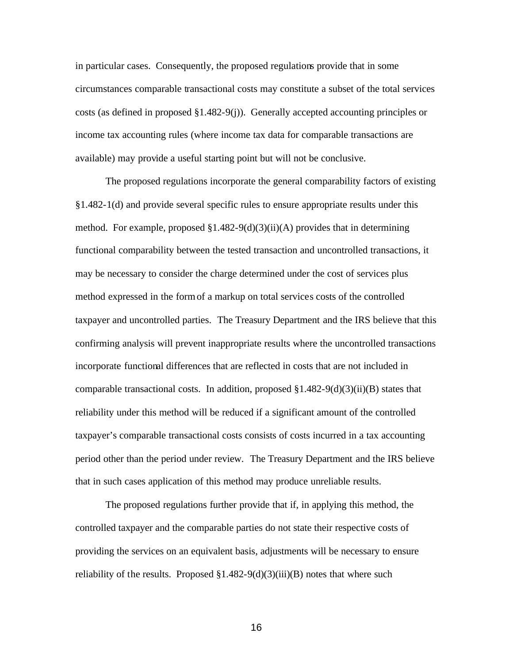in particular cases. Consequently, the proposed regulations provide that in some circumstances comparable transactional costs may constitute a subset of the total services costs (as defined in proposed §1.482-9(j)). Generally accepted accounting principles or income tax accounting rules (where income tax data for comparable transactions are available) may provide a useful starting point but will not be conclusive.

The proposed regulations incorporate the general comparability factors of existing §1.482-1(d) and provide several specific rules to ensure appropriate results under this method. For example, proposed  $\S1.482-9(d)(3)(ii)(A)$  provides that in determining functional comparability between the tested transaction and uncontrolled transactions, it may be necessary to consider the charge determined under the cost of services plus method expressed in the form of a markup on total services costs of the controlled taxpayer and uncontrolled parties. The Treasury Department and the IRS believe that this confirming analysis will prevent inappropriate results where the uncontrolled transactions incorporate functional differences that are reflected in costs that are not included in comparable transactional costs. In addition, proposed  $\S1.482-9(d)(3)(ii)(B)$  states that reliability under this method will be reduced if a significant amount of the controlled taxpayer's comparable transactional costs consists of costs incurred in a tax accounting period other than the period under review. The Treasury Department and the IRS believe that in such cases application of this method may produce unreliable results.

The proposed regulations further provide that if, in applying this method, the controlled taxpayer and the comparable parties do not state their respective costs of providing the services on an equivalent basis, adjustments will be necessary to ensure reliability of the results. Proposed  $\S1.482-9(d)(3)(iii)(B)$  notes that where such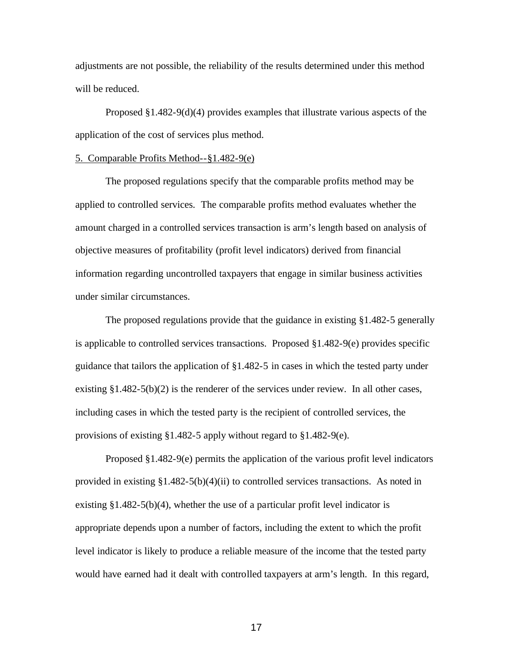adjustments are not possible, the reliability of the results determined under this method will be reduced.

Proposed  $\S1.482-9(d)(4)$  provides examples that illustrate various aspects of the application of the cost of services plus method.

### 5. Comparable Profits Method--§1.482-9(e)

The proposed regulations specify that the comparable profits method may be applied to controlled services. The comparable profits method evaluates whether the amount charged in a controlled services transaction is arm's length based on analysis of objective measures of profitability (profit level indicators) derived from financial information regarding uncontrolled taxpayers that engage in similar business activities under similar circumstances.

The proposed regulations provide that the guidance in existing §1.482-5 generally is applicable to controlled services transactions. Proposed §1.482-9(e) provides specific guidance that tailors the application of §1.482-5 in cases in which the tested party under existing  $\S 1.482-5(b)(2)$  is the renderer of the services under review. In all other cases, including cases in which the tested party is the recipient of controlled services, the provisions of existing §1.482-5 apply without regard to §1.482-9(e).

Proposed §1.482-9(e) permits the application of the various profit level indicators provided in existing  $\S1.482-5(b)(4)(ii)$  to controlled services transactions. As noted in existing  $§1.482-5(b)(4)$ , whether the use of a particular profit level indicator is appropriate depends upon a number of factors, including the extent to which the profit level indicator is likely to produce a reliable measure of the income that the tested party would have earned had it dealt with controlled taxpayers at arm's length. In this regard,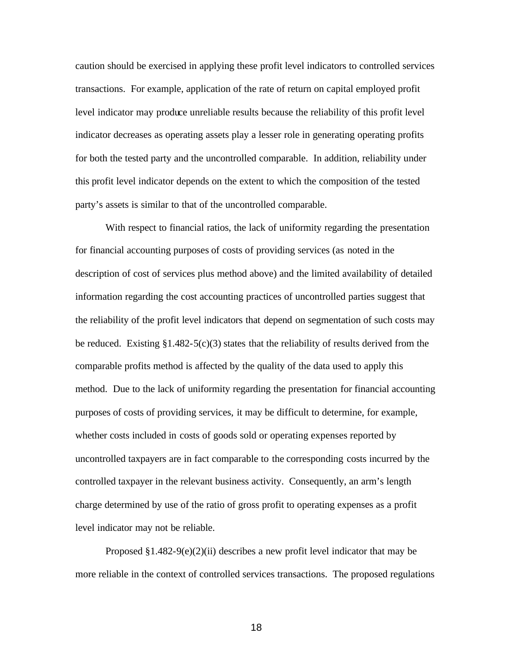caution should be exercised in applying these profit level indicators to controlled services transactions. For example, application of the rate of return on capital employed profit level indicator may produce unreliable results because the reliability of this profit level indicator decreases as operating assets play a lesser role in generating operating profits for both the tested party and the uncontrolled comparable. In addition, reliability under this profit level indicator depends on the extent to which the composition of the tested party's assets is similar to that of the uncontrolled comparable.

With respect to financial ratios, the lack of uniformity regarding the presentation for financial accounting purposes of costs of providing services (as noted in the description of cost of services plus method above) and the limited availability of detailed information regarding the cost accounting practices of uncontrolled parties suggest that the reliability of the profit level indicators that depend on segmentation of such costs may be reduced. Existing  $\S1.482-5(c)(3)$  states that the reliability of results derived from the comparable profits method is affected by the quality of the data used to apply this method. Due to the lack of uniformity regarding the presentation for financial accounting purposes of costs of providing services, it may be difficult to determine, for example, whether costs included in costs of goods sold or operating expenses reported by uncontrolled taxpayers are in fact comparable to the corresponding costs incurred by the controlled taxpayer in the relevant business activity. Consequently, an arm's length charge determined by use of the ratio of gross profit to operating expenses as a profit level indicator may not be reliable.

Proposed  $§1.482-9(e)(2)(ii)$  describes a new profit level indicator that may be more reliable in the context of controlled services transactions. The proposed regulations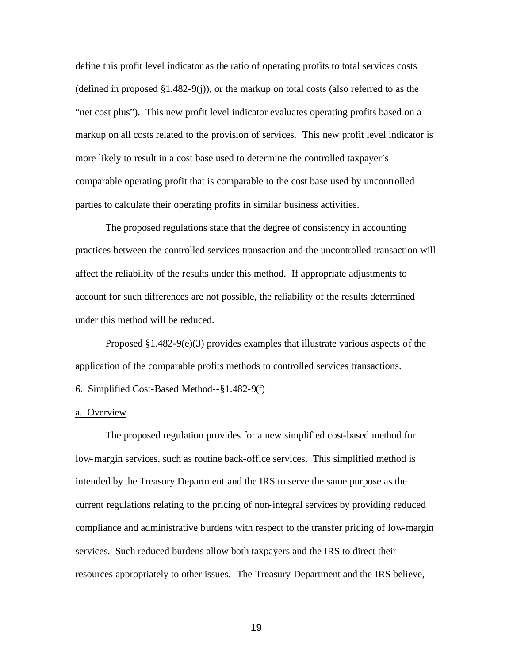define this profit level indicator as the ratio of operating profits to total services costs (defined in proposed  $\S1.482-9(i)$ ), or the markup on total costs (also referred to as the "net cost plus"). This new profit level indicator evaluates operating profits based on a markup on all costs related to the provision of services. This new profit level indicator is more likely to result in a cost base used to determine the controlled taxpayer's comparable operating profit that is comparable to the cost base used by uncontrolled parties to calculate their operating profits in similar business activities.

The proposed regulations state that the degree of consistency in accounting practices between the controlled services transaction and the uncontrolled transaction will affect the reliability of the results under this method. If appropriate adjustments to account for such differences are not possible, the reliability of the results determined under this method will be reduced.

Proposed  $\S1.482-9(e)(3)$  provides examples that illustrate various aspects of the application of the comparable profits methods to controlled services transactions.

### 6. Simplified Cost-Based Method--§1.482-9(f)

# a. Overview

The proposed regulation provides for a new simplified cost-based method for low-margin services, such as routine back-office services. This simplified method is intended by the Treasury Department and the IRS to serve the same purpose as the current regulations relating to the pricing of non-integral services by providing reduced compliance and administrative burdens with respect to the transfer pricing of low-margin services. Such reduced burdens allow both taxpayers and the IRS to direct their resources appropriately to other issues. The Treasury Department and the IRS believe,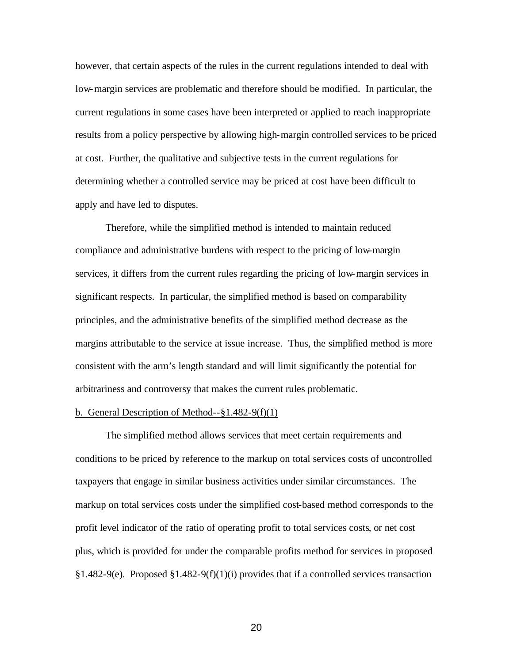however, that certain aspects of the rules in the current regulations intended to deal with low-margin services are problematic and therefore should be modified. In particular, the current regulations in some cases have been interpreted or applied to reach inappropriate results from a policy perspective by allowing high-margin controlled services to be priced at cost. Further, the qualitative and subjective tests in the current regulations for determining whether a controlled service may be priced at cost have been difficult to apply and have led to disputes.

Therefore, while the simplified method is intended to maintain reduced compliance and administrative burdens with respect to the pricing of low-margin services, it differs from the current rules regarding the pricing of low-margin services in significant respects. In particular, the simplified method is based on comparability principles, and the administrative benefits of the simplified method decrease as the margins attributable to the service at issue increase. Thus, the simplified method is more consistent with the arm's length standard and will limit significantly the potential for arbitrariness and controversy that makes the current rules problematic.

# b. General Description of Method--§1.482-9(f)(1)

The simplified method allows services that meet certain requirements and conditions to be priced by reference to the markup on total services costs of uncontrolled taxpayers that engage in similar business activities under similar circumstances. The markup on total services costs under the simplified cost-based method corresponds to the profit level indicator of the ratio of operating profit to total services costs, or net cost plus, which is provided for under the comparable profits method for services in proposed §1.482-9(e). Proposed §1.482-9(f)(1)(i) provides that if a controlled services transaction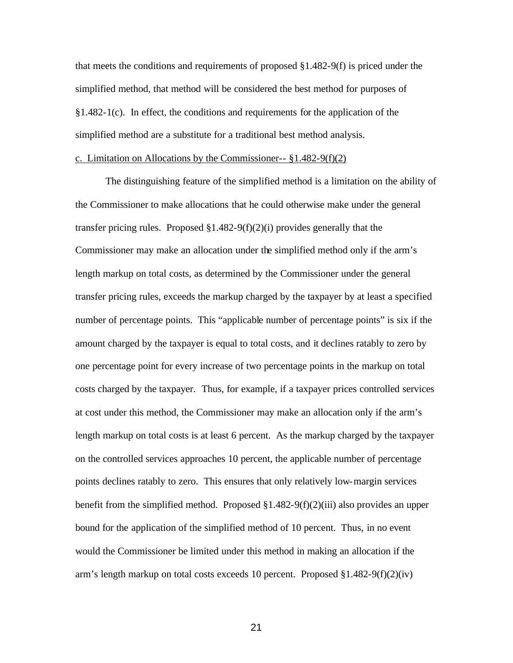that meets the conditions and requirements of proposed  $\S1.482-9(f)$  is priced under the simplified method, that method will be considered the best method for purposes of §1.482-1(c). In effect, the conditions and requirements for the application of the simplified method are a substitute for a traditional best method analysis.

### c. Limitation on Allocations by the Commissioner-- §1.482-9(f)(2)

The distinguishing feature of the simplified method is a limitation on the ability of the Commissioner to make allocations that he could otherwise make under the general transfer pricing rules. Proposed  $$1.482-9(f)(2)(i)$  provides generally that the Commissioner may make an allocation under the simplified method only if the arm's length markup on total costs, as determined by the Commissioner under the general transfer pricing rules, exceeds the markup charged by the taxpayer by at least a specified number of percentage points. This "applicable number of percentage points" is six if the amount charged by the taxpayer is equal to total costs, and it declines ratably to zero by one percentage point for every increase of two percentage points in the markup on total costs charged by the taxpayer. Thus, for example, if a taxpayer prices controlled services at cost under this method, the Commissioner may make an allocation only if the arm's length markup on total costs is at least 6 percent. As the markup charged by the taxpayer on the controlled services approaches 10 percent, the applicable number of percentage points declines ratably to zero. This ensures that only relatively low-margin services benefit from the simplified method. Proposed  $\S1.482-9(f)(2)(iii)$  also provides an upper bound for the application of the simplified method of 10 percent. Thus, in no event would the Commissioner be limited under this method in making an allocation if the arm's length markup on total costs exceeds 10 percent. Proposed  $\S1.482-9(f)(2)(iv)$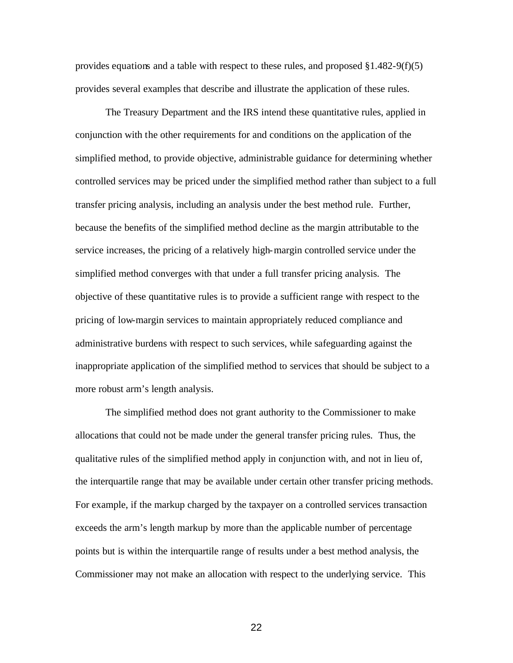provides equations and a table with respect to these rules, and proposed  $\S 1.482-9(f)(5)$ provides several examples that describe and illustrate the application of these rules.

The Treasury Department and the IRS intend these quantitative rules, applied in conjunction with the other requirements for and conditions on the application of the simplified method, to provide objective, administrable guidance for determining whether controlled services may be priced under the simplified method rather than subject to a full transfer pricing analysis, including an analysis under the best method rule. Further, because the benefits of the simplified method decline as the margin attributable to the service increases, the pricing of a relatively high-margin controlled service under the simplified method converges with that under a full transfer pricing analysis. The objective of these quantitative rules is to provide a sufficient range with respect to the pricing of low-margin services to maintain appropriately reduced compliance and administrative burdens with respect to such services, while safeguarding against the inappropriate application of the simplified method to services that should be subject to a more robust arm's length analysis.

The simplified method does not grant authority to the Commissioner to make allocations that could not be made under the general transfer pricing rules. Thus, the qualitative rules of the simplified method apply in conjunction with, and not in lieu of, the interquartile range that may be available under certain other transfer pricing methods. For example, if the markup charged by the taxpayer on a controlled services transaction exceeds the arm's length markup by more than the applicable number of percentage points but is within the interquartile range of results under a best method analysis, the Commissioner may not make an allocation with respect to the underlying service. This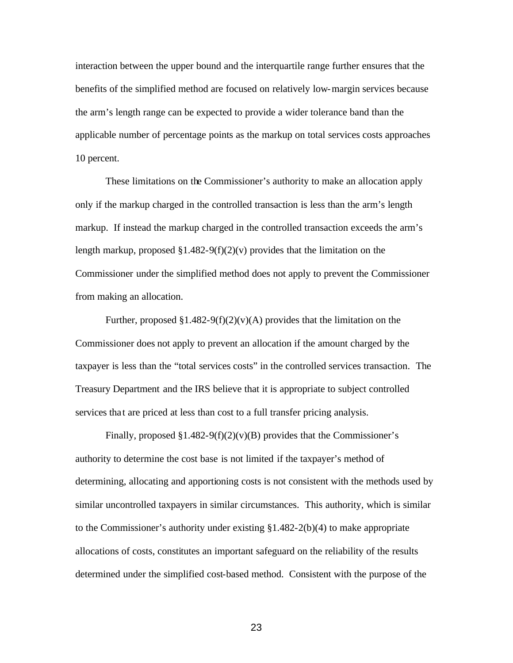interaction between the upper bound and the interquartile range further ensures that the benefits of the simplified method are focused on relatively low-margin services because the arm's length range can be expected to provide a wider tolerance band than the applicable number of percentage points as the markup on total services costs approaches 10 percent.

These limitations on the Commissioner's authority to make an allocation apply only if the markup charged in the controlled transaction is less than the arm's length markup. If instead the markup charged in the controlled transaction exceeds the arm's length markup, proposed  $\S1.482-9(f)(2)(v)$  provides that the limitation on the Commissioner under the simplified method does not apply to prevent the Commissioner from making an allocation.

Further, proposed  $\S1.482-9(f)(2)(v)(A)$  provides that the limitation on the Commissioner does not apply to prevent an allocation if the amount charged by the taxpayer is less than the "total services costs" in the controlled services transaction. The Treasury Department and the IRS believe that it is appropriate to subject controlled services that are priced at less than cost to a full transfer pricing analysis.

Finally, proposed  $\S1.482-9(f)(2)(v)(B)$  provides that the Commissioner's authority to determine the cost base is not limited if the taxpayer's method of determining, allocating and apportioning costs is not consistent with the methods used by similar uncontrolled taxpayers in similar circumstances. This authority, which is similar to the Commissioner's authority under existing  $$1.482-2(b)(4)$  to make appropriate allocations of costs, constitutes an important safeguard on the reliability of the results determined under the simplified cost-based method. Consistent with the purpose of the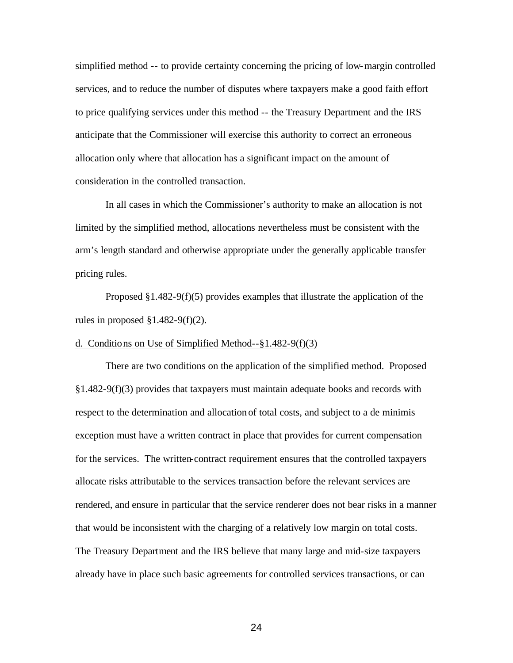simplified method -- to provide certainty concerning the pricing of low-margin controlled services, and to reduce the number of disputes where taxpayers make a good faith effort to price qualifying services under this method -- the Treasury Department and the IRS anticipate that the Commissioner will exercise this authority to correct an erroneous allocation only where that allocation has a significant impact on the amount of consideration in the controlled transaction.

In all cases in which the Commissioner's authority to make an allocation is not limited by the simplified method, allocations nevertheless must be consistent with the arm's length standard and otherwise appropriate under the generally applicable transfer pricing rules.

Proposed  $§1.482-9(f)(5)$  provides examples that illustrate the application of the rules in proposed  $\S 1.482 - 9(f)(2)$ .

# d. Conditions on Use of Simplified Method--§1.482-9(f)(3)

There are two conditions on the application of the simplified method. Proposed §1.482-9(f)(3) provides that taxpayers must maintain adequate books and records with respect to the determination and allocation of total costs, and subject to a de minimis exception must have a written contract in place that provides for current compensation for the services. The written-contract requirement ensures that the controlled taxpayers allocate risks attributable to the services transaction before the relevant services are rendered, and ensure in particular that the service renderer does not bear risks in a manner that would be inconsistent with the charging of a relatively low margin on total costs. The Treasury Department and the IRS believe that many large and mid-size taxpayers already have in place such basic agreements for controlled services transactions, or can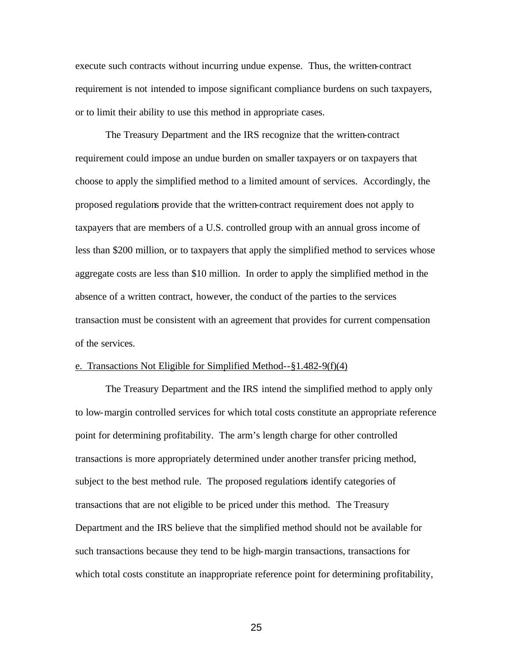execute such contracts without incurring undue expense. Thus, the written-contract requirement is not intended to impose significant compliance burdens on such taxpayers, or to limit their ability to use this method in appropriate cases.

The Treasury Department and the IRS recognize that the written-contract requirement could impose an undue burden on smaller taxpayers or on taxpayers that choose to apply the simplified method to a limited amount of services. Accordingly, the proposed regulations provide that the written-contract requirement does not apply to taxpayers that are members of a U.S. controlled group with an annual gross income of less than \$200 million, or to taxpayers that apply the simplified method to services whose aggregate costs are less than \$10 million. In order to apply the simplified method in the absence of a written contract, however, the conduct of the parties to the services transaction must be consistent with an agreement that provides for current compensation of the services.

### e. Transactions Not Eligible for Simplified Method--§1.482-9(f)(4)

The Treasury Department and the IRS intend the simplified method to apply only to low-margin controlled services for which total costs constitute an appropriate reference point for determining profitability. The arm's length charge for other controlled transactions is more appropriately determined under another transfer pricing method, subject to the best method rule. The proposed regulations identify categories of transactions that are not eligible to be priced under this method. The Treasury Department and the IRS believe that the simplified method should not be available for such transactions because they tend to be high-margin transactions, transactions for which total costs constitute an inappropriate reference point for determining profitability,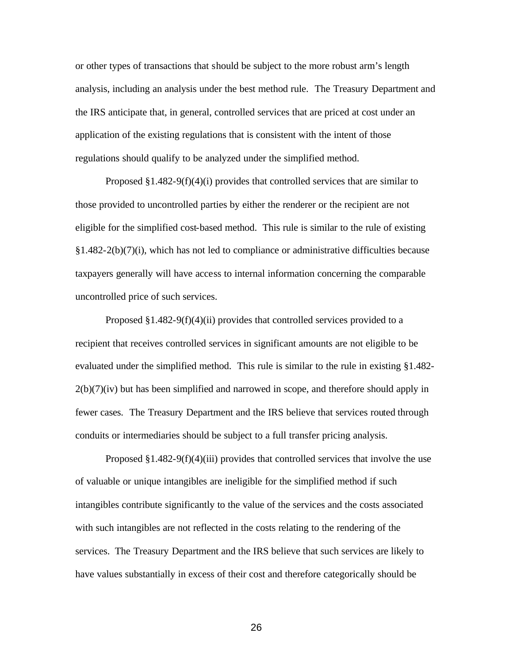or other types of transactions that should be subject to the more robust arm's length analysis, including an analysis under the best method rule. The Treasury Department and the IRS anticipate that, in general, controlled services that are priced at cost under an application of the existing regulations that is consistent with the intent of those regulations should qualify to be analyzed under the simplified method.

Proposed §1.482-9(f)(4)(i) provides that controlled services that are similar to those provided to uncontrolled parties by either the renderer or the recipient are not eligible for the simplified cost-based method. This rule is similar to the rule of existing §1.482-2(b)(7)(i), which has not led to compliance or administrative difficulties because taxpayers generally will have access to internal information concerning the comparable uncontrolled price of such services.

Proposed §1.482-9(f)(4)(ii) provides that controlled services provided to a recipient that receives controlled services in significant amounts are not eligible to be evaluated under the simplified method. This rule is similar to the rule in existing §1.482-  $2(b)(7)(iv)$  but has been simplified and narrowed in scope, and therefore should apply in fewer cases. The Treasury Department and the IRS believe that services routed through conduits or intermediaries should be subject to a full transfer pricing analysis.

Proposed  $\S1.482-9(f)(4)(iii)$  provides that controlled services that involve the use of valuable or unique intangibles are ineligible for the simplified method if such intangibles contribute significantly to the value of the services and the costs associated with such intangibles are not reflected in the costs relating to the rendering of the services. The Treasury Department and the IRS believe that such services are likely to have values substantially in excess of their cost and therefore categorically should be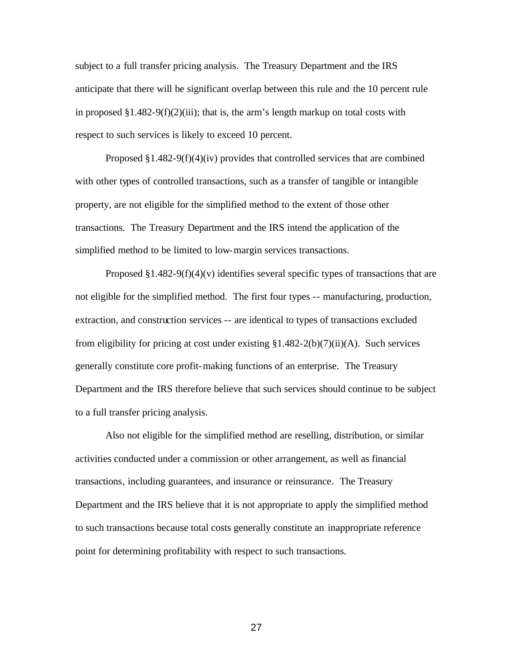subject to a full transfer pricing analysis. The Treasury Department and the IRS anticipate that there will be significant overlap between this rule and the 10 percent rule in proposed  $\S1.482-9(f)(2)(iii)$ ; that is, the arm's length markup on total costs with respect to such services is likely to exceed 10 percent.

Proposed §1.482-9(f)(4)(iv) provides that controlled services that are combined with other types of controlled transactions, such as a transfer of tangible or intangible property, are not eligible for the simplified method to the extent of those other transactions. The Treasury Department and the IRS intend the application of the simplified method to be limited to low-margin services transactions.

Proposed  $\S1.482-9(f)(4)(v)$  identifies several specific types of transactions that are not eligible for the simplified method. The first four types -- manufacturing, production, extraction, and construction services -- are identical to types of transactions excluded from eligibility for pricing at cost under existing  $\S1.482-2(b)(7)(ii)(A)$ . Such services generally constitute core profit-making functions of an enterprise. The Treasury Department and the IRS therefore believe that such services should continue to be subject to a full transfer pricing analysis.

Also not eligible for the simplified method are reselling, distribution, or similar activities conducted under a commission or other arrangement, as well as financial transactions, including guarantees, and insurance or reinsurance. The Treasury Department and the IRS believe that it is not appropriate to apply the simplified method to such transactions because total costs generally constitute an inappropriate reference point for determining profitability with respect to such transactions.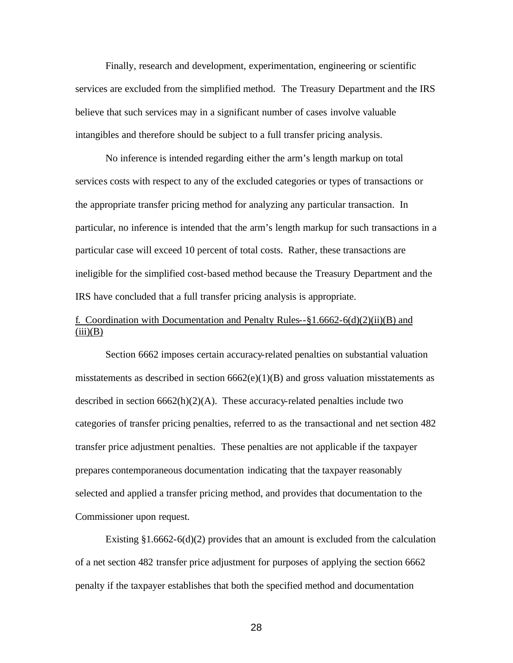Finally, research and development, experimentation, engineering or scientific services are excluded from the simplified method. The Treasury Department and the IRS believe that such services may in a significant number of cases involve valuable intangibles and therefore should be subject to a full transfer pricing analysis.

No inference is intended regarding either the arm's length markup on total services costs with respect to any of the excluded categories or types of transactions or the appropriate transfer pricing method for analyzing any particular transaction. In particular, no inference is intended that the arm's length markup for such transactions in a particular case will exceed 10 percent of total costs. Rather, these transactions are ineligible for the simplified cost-based method because the Treasury Department and the IRS have concluded that a full transfer pricing analysis is appropriate.

# f. Coordination with Documentation and Penalty Rules--§1.6662-6(d)(2)(ii)(B) and  $(iii)(B)$

Section 6662 imposes certain accuracy-related penalties on substantial valuation misstatements as described in section  $6662(e)(1)(B)$  and gross valuation misstatements as described in section  $6662(h)(2)(A)$ . These accuracy-related penalties include two categories of transfer pricing penalties, referred to as the transactional and net section 482 transfer price adjustment penalties. These penalties are not applicable if the taxpayer prepares contemporaneous documentation indicating that the taxpayer reasonably selected and applied a transfer pricing method, and provides that documentation to the Commissioner upon request.

Existing  $\S1.6662-6(d)(2)$  provides that an amount is excluded from the calculation of a net section 482 transfer price adjustment for purposes of applying the section 6662 penalty if the taxpayer establishes that both the specified method and documentation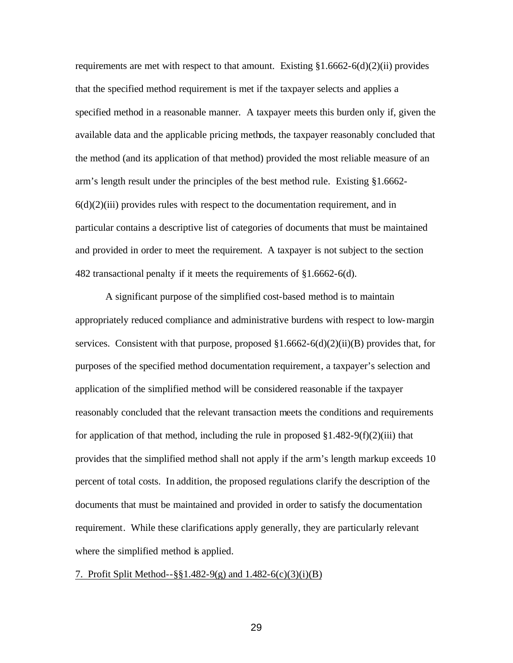requirements are met with respect to that amount. Existing §1.6662-6(d)(2)(ii) provides that the specified method requirement is met if the taxpayer selects and applies a specified method in a reasonable manner. A taxpayer meets this burden only if, given the available data and the applicable pricing methods, the taxpayer reasonably concluded that the method (and its application of that method) provided the most reliable measure of an arm's length result under the principles of the best method rule. Existing §1.6662-  $6(d)(2)(iii)$  provides rules with respect to the documentation requirement, and in particular contains a descriptive list of categories of documents that must be maintained and provided in order to meet the requirement. A taxpayer is not subject to the section 482 transactional penalty if it meets the requirements of §1.6662-6(d).

A significant purpose of the simplified cost-based method is to maintain appropriately reduced compliance and administrative burdens with respect to low-margin services. Consistent with that purpose, proposed §1.6662-6(d)(2)(ii)(B) provides that, for purposes of the specified method documentation requirement, a taxpayer's selection and application of the simplified method will be considered reasonable if the taxpayer reasonably concluded that the relevant transaction meets the conditions and requirements for application of that method, including the rule in proposed  $\S 1.482-9(f)(2)(iii)$  that provides that the simplified method shall not apply if the arm's length markup exceeds 10 percent of total costs. In addition, the proposed regulations clarify the description of the documents that must be maintained and provided in order to satisfy the documentation requirement. While these clarifications apply generally, they are particularly relevant where the simplified method is applied.

### 7. Profit Split Method--§§1.482-9(g) and 1.482-6(c)(3)(i)(B)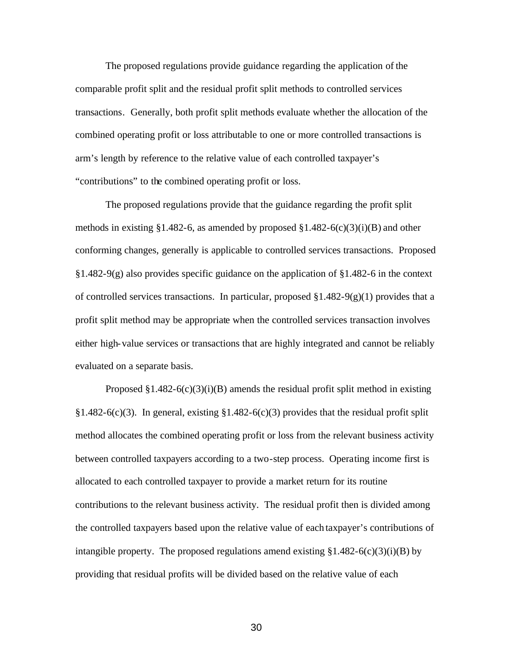The proposed regulations provide guidance regarding the application of the comparable profit split and the residual profit split methods to controlled services transactions. Generally, both profit split methods evaluate whether the allocation of the combined operating profit or loss attributable to one or more controlled transactions is arm's length by reference to the relative value of each controlled taxpayer's "contributions" to the combined operating profit or loss.

The proposed regulations provide that the guidance regarding the profit split methods in existing §1.482-6, as amended by proposed §1.482-6(c)(3)(i)(B) and other conforming changes, generally is applicable to controlled services transactions. Proposed  $§1.482-9(g)$  also provides specific guidance on the application of  $§1.482-6$  in the context of controlled services transactions. In particular, proposed  $\S1.482-9(g)(1)$  provides that a profit split method may be appropriate when the controlled services transaction involves either high-value services or transactions that are highly integrated and cannot be reliably evaluated on a separate basis.

Proposed  $\S1.482-6(c)(3)(i)(B)$  amends the residual profit split method in existing §1.482-6(c)(3). In general, existing §1.482-6(c)(3) provides that the residual profit split method allocates the combined operating profit or loss from the relevant business activity between controlled taxpayers according to a two-step process. Operating income first is allocated to each controlled taxpayer to provide a market return for its routine contributions to the relevant business activity. The residual profit then is divided among the controlled taxpayers based upon the relative value of each taxpayer's contributions of intangible property. The proposed regulations amend existing  $\S 1.482-6(c)(3)(i)(B)$  by providing that residual profits will be divided based on the relative value of each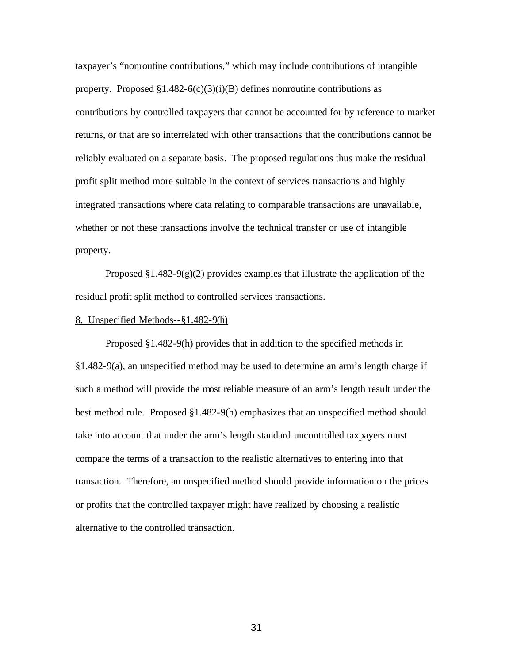taxpayer's "nonroutine contributions," which may include contributions of intangible property. Proposed  $\S1.482-6(c)(3)(i)(B)$  defines nonroutine contributions as contributions by controlled taxpayers that cannot be accounted for by reference to market returns, or that are so interrelated with other transactions that the contributions cannot be reliably evaluated on a separate basis. The proposed regulations thus make the residual profit split method more suitable in the context of services transactions and highly integrated transactions where data relating to comparable transactions are unavailable, whether or not these transactions involve the technical transfer or use of intangible property.

Proposed  $\S1.482-9(g)(2)$  provides examples that illustrate the application of the residual profit split method to controlled services transactions.

# 8. Unspecified Methods--§1.482-9(h)

Proposed §1.482-9(h) provides that in addition to the specified methods in §1.482-9(a), an unspecified method may be used to determine an arm's length charge if such a method will provide the most reliable measure of an arm's length result under the best method rule. Proposed §1.482-9(h) emphasizes that an unspecified method should take into account that under the arm's length standard uncontrolled taxpayers must compare the terms of a transaction to the realistic alternatives to entering into that transaction. Therefore, an unspecified method should provide information on the prices or profits that the controlled taxpayer might have realized by choosing a realistic alternative to the controlled transaction.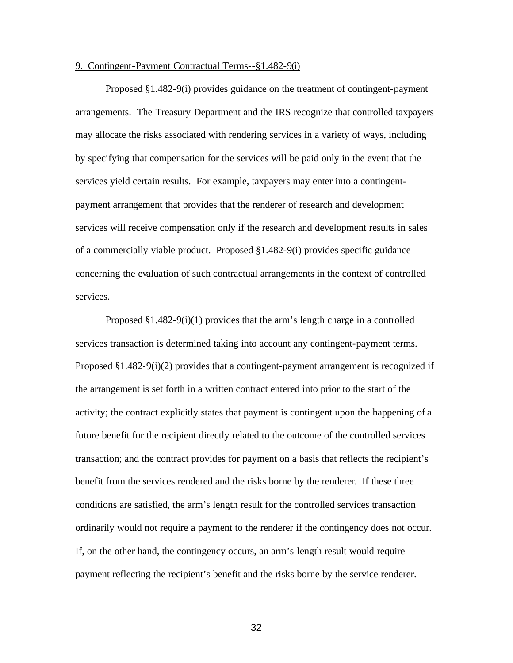### 9. Contingent-Payment Contractual Terms--§1.482-9(i)

Proposed §1.482-9(i) provides guidance on the treatment of contingent-payment arrangements. The Treasury Department and the IRS recognize that controlled taxpayers may allocate the risks associated with rendering services in a variety of ways, including by specifying that compensation for the services will be paid only in the event that the services yield certain results. For example, taxpayers may enter into a contingentpayment arrangement that provides that the renderer of research and development services will receive compensation only if the research and development results in sales of a commercially viable product. Proposed §1.482-9(i) provides specific guidance concerning the evaluation of such contractual arrangements in the context of controlled services.

Proposed  $§1.482-9(i)(1)$  provides that the arm's length charge in a controlled services transaction is determined taking into account any contingent-payment terms. Proposed  $\S1.482-9(i)(2)$  provides that a contingent-payment arrangement is recognized if the arrangement is set forth in a written contract entered into prior to the start of the activity; the contract explicitly states that payment is contingent upon the happening of a future benefit for the recipient directly related to the outcome of the controlled services transaction; and the contract provides for payment on a basis that reflects the recipient's benefit from the services rendered and the risks borne by the renderer. If these three conditions are satisfied, the arm's length result for the controlled services transaction ordinarily would not require a payment to the renderer if the contingency does not occur. If, on the other hand, the contingency occurs, an arm's length result would require payment reflecting the recipient's benefit and the risks borne by the service renderer.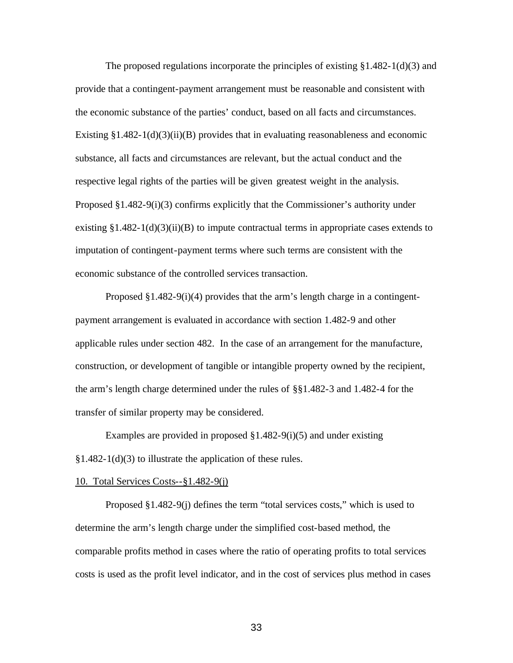The proposed regulations incorporate the principles of existing  $\S 1.482 - 1(d)(3)$  and provide that a contingent-payment arrangement must be reasonable and consistent with the economic substance of the parties' conduct, based on all facts and circumstances. Existing  $\S1.482-1(d)(3)(ii)(B)$  provides that in evaluating reasonableness and economic substance, all facts and circumstances are relevant, but the actual conduct and the respective legal rights of the parties will be given greatest weight in the analysis. Proposed  $\S1.482-9(i)(3)$  confirms explicitly that the Commissioner's authority under existing  $\S1.482-1(d)(3)(ii)(B)$  to impute contractual terms in appropriate cases extends to imputation of contingent-payment terms where such terms are consistent with the economic substance of the controlled services transaction.

Proposed §1.482-9(i)(4) provides that the arm's length charge in a contingentpayment arrangement is evaluated in accordance with section 1.482-9 and other applicable rules under section 482. In the case of an arrangement for the manufacture, construction, or development of tangible or intangible property owned by the recipient, the arm's length charge determined under the rules of §§1.482-3 and 1.482-4 for the transfer of similar property may be considered.

Examples are provided in proposed §1.482-9(i)(5) and under existing §1.482-1(d)(3) to illustrate the application of these rules.

#### 10. Total Services Costs--§1.482-9(j)

Proposed §1.482-9(j) defines the term "total services costs," which is used to determine the arm's length charge under the simplified cost-based method, the comparable profits method in cases where the ratio of operating profits to total services costs is used as the profit level indicator, and in the cost of services plus method in cases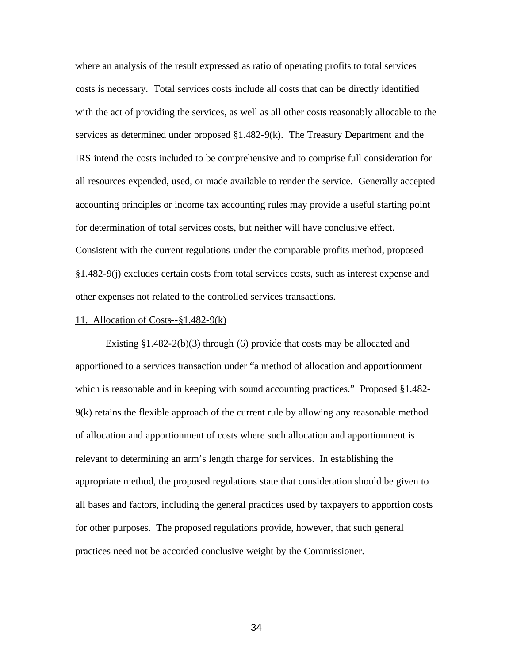where an analysis of the result expressed as ratio of operating profits to total services costs is necessary. Total services costs include all costs that can be directly identified with the act of providing the services, as well as all other costs reasonably allocable to the services as determined under proposed §1.482-9(k). The Treasury Department and the IRS intend the costs included to be comprehensive and to comprise full consideration for all resources expended, used, or made available to render the service. Generally accepted accounting principles or income tax accounting rules may provide a useful starting point for determination of total services costs, but neither will have conclusive effect. Consistent with the current regulations under the comparable profits method, proposed §1.482-9(j) excludes certain costs from total services costs, such as interest expense and other expenses not related to the controlled services transactions.

#### 11. Allocation of Costs--§1.482-9(k)

Existing §1.482-2(b)(3) through (6) provide that costs may be allocated and apportioned to a services transaction under "a method of allocation and apportionment which is reasonable and in keeping with sound accounting practices." Proposed §1.482-9(k) retains the flexible approach of the current rule by allowing any reasonable method of allocation and apportionment of costs where such allocation and apportionment is relevant to determining an arm's length charge for services. In establishing the appropriate method, the proposed regulations state that consideration should be given to all bases and factors, including the general practices used by taxpayers to apportion costs for other purposes. The proposed regulations provide, however, that such general practices need not be accorded conclusive weight by the Commissioner.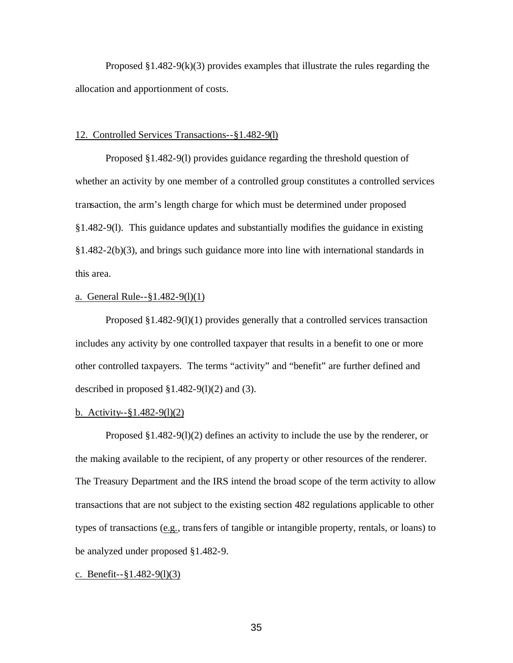Proposed  $\S1.482-9(k)(3)$  provides examples that illustrate the rules regarding the allocation and apportionment of costs.

### 12. Controlled Services Transactions--§1.482-9(l)

Proposed §1.482-9(l) provides guidance regarding the threshold question of whether an activity by one member of a controlled group constitutes a controlled services transaction, the arm's length charge for which must be determined under proposed §1.482-9(l). This guidance updates and substantially modifies the guidance in existing §1.482-2(b)(3), and brings such guidance more into line with international standards in this area.

# a. General Rule--§1.482-9(l)(1)

Proposed §1.482-9(l)(1) provides generally that a controlled services transaction includes any activity by one controlled taxpayer that results in a benefit to one or more other controlled taxpayers. The terms "activity" and "benefit" are further defined and described in proposed  $\S1.482-9(1)(2)$  and (3).

# b. Activity--§1.482-9(l)(2)

Proposed  $\S1.482-9(1)(2)$  defines an activity to include the use by the renderer, or the making available to the recipient, of any property or other resources of the renderer. The Treasury Department and the IRS intend the broad scope of the term activity to allow transactions that are not subject to the existing section 482 regulations applicable to other types of transactions (e.g., transfers of tangible or intangible property, rentals, or loans) to be analyzed under proposed §1.482-9.

c. Benefit--§1.482-9(l)(3)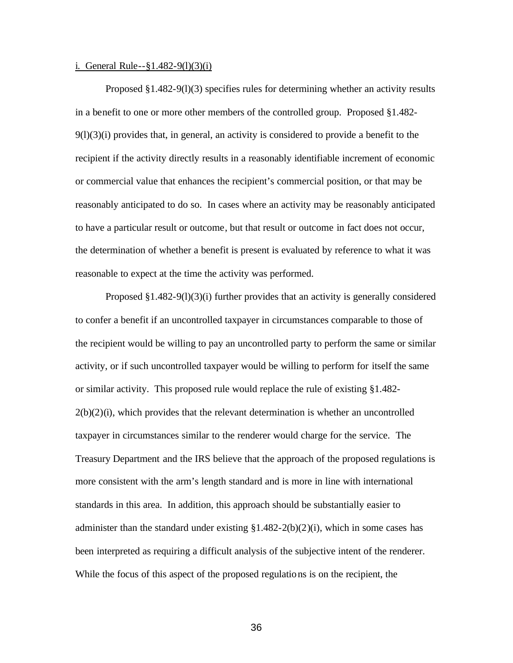#### i. General Rule--§1.482-9(l)(3)(i)

Proposed §1.482-9(l)(3) specifies rules for determining whether an activity results in a benefit to one or more other members of the controlled group. Proposed §1.482-  $9(1)(3)(i)$  provides that, in general, an activity is considered to provide a benefit to the recipient if the activity directly results in a reasonably identifiable increment of economic or commercial value that enhances the recipient's commercial position, or that may be reasonably anticipated to do so. In cases where an activity may be reasonably anticipated to have a particular result or outcome, but that result or outcome in fact does not occur, the determination of whether a benefit is present is evaluated by reference to what it was reasonable to expect at the time the activity was performed.

Proposed §1.482-9(l)(3)(i) further provides that an activity is generally considered to confer a benefit if an uncontrolled taxpayer in circumstances comparable to those of the recipient would be willing to pay an uncontrolled party to perform the same or similar activity, or if such uncontrolled taxpayer would be willing to perform for itself the same or similar activity. This proposed rule would replace the rule of existing §1.482-  $2(b)(2)(i)$ , which provides that the relevant determination is whether an uncontrolled taxpayer in circumstances similar to the renderer would charge for the service. The Treasury Department and the IRS believe that the approach of the proposed regulations is more consistent with the arm's length standard and is more in line with international standards in this area. In addition, this approach should be substantially easier to administer than the standard under existing  $\S 1.482 - 2(b)(2)(i)$ , which in some cases has been interpreted as requiring a difficult analysis of the subjective intent of the renderer. While the focus of this aspect of the proposed regulations is on the recipient, the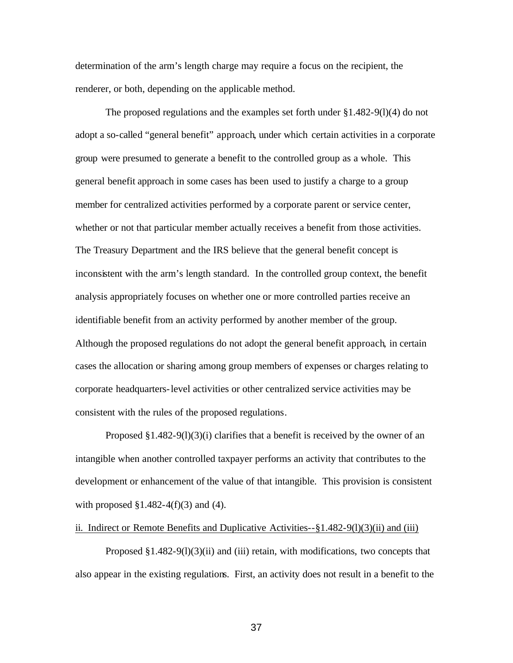determination of the arm's length charge may require a focus on the recipient, the renderer, or both, depending on the applicable method.

The proposed regulations and the examples set forth under  $\S 1.482-9(1)(4)$  do not adopt a so-called "general benefit" approach, under which certain activities in a corporate group were presumed to generate a benefit to the controlled group as a whole. This general benefit approach in some cases has been used to justify a charge to a group member for centralized activities performed by a corporate parent or service center, whether or not that particular member actually receives a benefit from those activities. The Treasury Department and the IRS believe that the general benefit concept is inconsistent with the arm's length standard. In the controlled group context, the benefit analysis appropriately focuses on whether one or more controlled parties receive an identifiable benefit from an activity performed by another member of the group. Although the proposed regulations do not adopt the general benefit approach, in certain cases the allocation or sharing among group members of expenses or charges relating to corporate headquarters-level activities or other centralized service activities may be consistent with the rules of the proposed regulations.

Proposed  $\S1.482-9(1)(3)(i)$  clarifies that a benefit is received by the owner of an intangible when another controlled taxpayer performs an activity that contributes to the development or enhancement of the value of that intangible. This provision is consistent with proposed  $\S1.482-4(f)(3)$  and (4).

### ii. Indirect or Remote Benefits and Duplicative Activities- $-\frac{8}{3}1.482 - 9(1)(3)(ii)$  and (iii)

Proposed  $\S1.482-9(1)(3)(ii)$  and (iii) retain, with modifications, two concepts that also appear in the existing regulations. First, an activity does not result in a benefit to the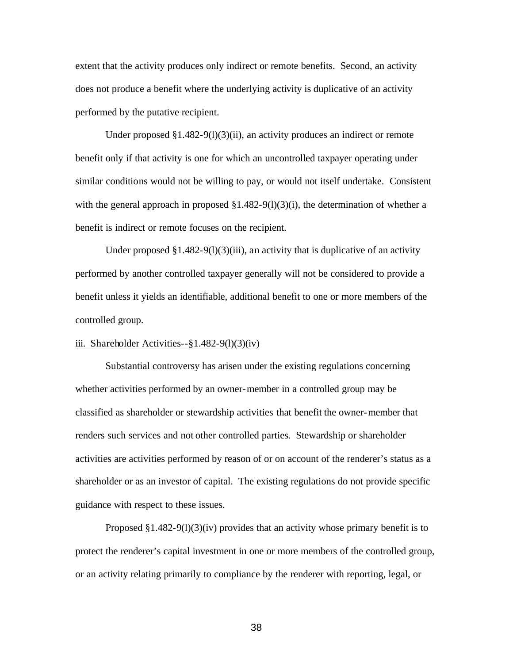extent that the activity produces only indirect or remote benefits. Second, an activity does not produce a benefit where the underlying activity is duplicative of an activity performed by the putative recipient.

Under proposed  $\S1.482-9(1)(3)(ii)$ , an activity produces an indirect or remote benefit only if that activity is one for which an uncontrolled taxpayer operating under similar conditions would not be willing to pay, or would not itself undertake. Consistent with the general approach in proposed  $\S1.482-9(1)(3)(i)$ , the determination of whether a benefit is indirect or remote focuses on the recipient.

Under proposed  $\S1.482-9(1)(3)(iii)$ , an activity that is duplicative of an activity performed by another controlled taxpayer generally will not be considered to provide a benefit unless it yields an identifiable, additional benefit to one or more members of the controlled group.

## iii. Shareholder Activities--§1.482-9(l)(3)(iv)

Substantial controversy has arisen under the existing regulations concerning whether activities performed by an owner-member in a controlled group may be classified as shareholder or stewardship activities that benefit the owner-member that renders such services and not other controlled parties. Stewardship or shareholder activities are activities performed by reason of or on account of the renderer's status as a shareholder or as an investor of capital. The existing regulations do not provide specific guidance with respect to these issues.

Proposed  $\S1.482-9(1)(3)(iv)$  provides that an activity whose primary benefit is to protect the renderer's capital investment in one or more members of the controlled group, or an activity relating primarily to compliance by the renderer with reporting, legal, or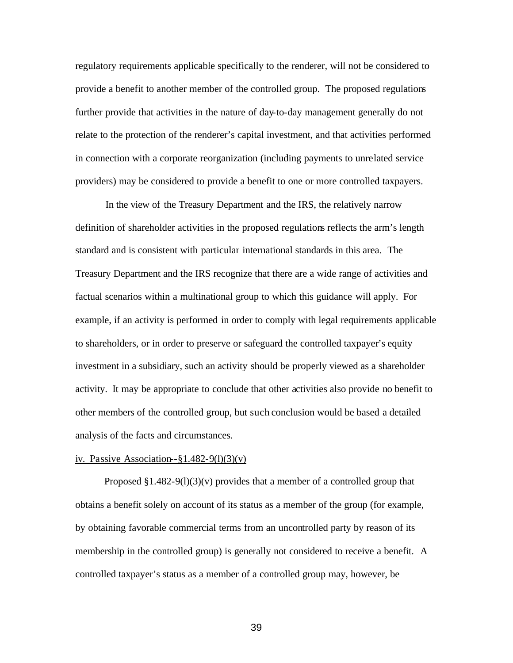regulatory requirements applicable specifically to the renderer, will not be considered to provide a benefit to another member of the controlled group. The proposed regulations further provide that activities in the nature of day-to-day management generally do not relate to the protection of the renderer's capital investment, and that activities performed in connection with a corporate reorganization (including payments to unrelated service providers) may be considered to provide a benefit to one or more controlled taxpayers.

In the view of the Treasury Department and the IRS, the relatively narrow definition of shareholder activities in the proposed regulations reflects the arm's length standard and is consistent with particular international standards in this area. The Treasury Department and the IRS recognize that there are a wide range of activities and factual scenarios within a multinational group to which this guidance will apply. For example, if an activity is performed in order to comply with legal requirements applicable to shareholders, or in order to preserve or safeguard the controlled taxpayer's equity investment in a subsidiary, such an activity should be properly viewed as a shareholder activity. It may be appropriate to conclude that other activities also provide no benefit to other members of the controlled group, but such conclusion would be based a detailed analysis of the facts and circumstances.

# iv. Passive Association- $\S1.482-9(1)(3)(v)$

Proposed  $\S1.482-9(1)(3)(v)$  provides that a member of a controlled group that obtains a benefit solely on account of its status as a member of the group (for example, by obtaining favorable commercial terms from an uncontrolled party by reason of its membership in the controlled group) is generally not considered to receive a benefit. A controlled taxpayer's status as a member of a controlled group may, however, be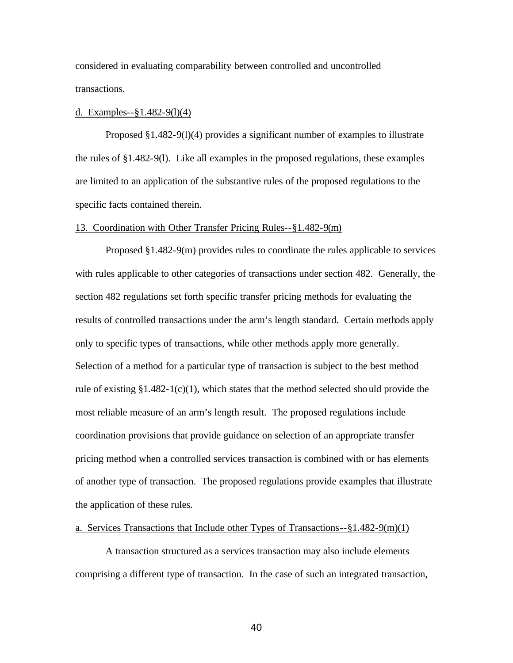considered in evaluating comparability between controlled and uncontrolled transactions.

### d. Examples--§1.482-9(l)(4)

Proposed §1.482-9(l)(4) provides a significant number of examples to illustrate the rules of §1.482-9(l). Like all examples in the proposed regulations, these examples are limited to an application of the substantive rules of the proposed regulations to the specific facts contained therein.

### 13. Coordination with Other Transfer Pricing Rules--§1.482-9(m)

Proposed §1.482-9(m) provides rules to coordinate the rules applicable to services with rules applicable to other categories of transactions under section 482. Generally, the section 482 regulations set forth specific transfer pricing methods for evaluating the results of controlled transactions under the arm's length standard. Certain methods apply only to specific types of transactions, while other methods apply more generally. Selection of a method for a particular type of transaction is subject to the best method rule of existing  $\S1.482-1(c)(1)$ , which states that the method selected should provide the most reliable measure of an arm's length result. The proposed regulations include coordination provisions that provide guidance on selection of an appropriate transfer pricing method when a controlled services transaction is combined with or has elements of another type of transaction. The proposed regulations provide examples that illustrate the application of these rules.

## a. Services Transactions that Include other Types of Transactions--§1.482-9(m)(1)

A transaction structured as a services transaction may also include elements comprising a different type of transaction. In the case of such an integrated transaction,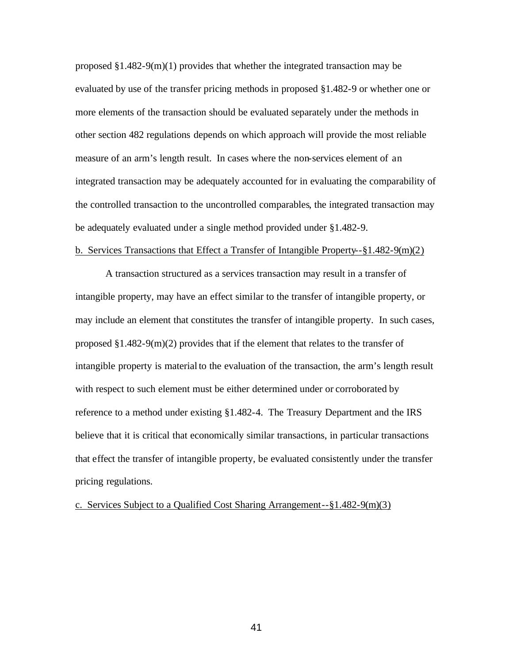proposed  $\S1.482-9(m)(1)$  provides that whether the integrated transaction may be evaluated by use of the transfer pricing methods in proposed §1.482-9 or whether one or more elements of the transaction should be evaluated separately under the methods in other section 482 regulations depends on which approach will provide the most reliable measure of an arm's length result. In cases where the non-services element of an integrated transaction may be adequately accounted for in evaluating the comparability of the controlled transaction to the uncontrolled comparables, the integrated transaction may be adequately evaluated under a single method provided under §1.482-9.

# b. Services Transactions that Effect a Transfer of Intangible Property--§1.482-9(m)(2)

A transaction structured as a services transaction may result in a transfer of intangible property, may have an effect similar to the transfer of intangible property, or may include an element that constitutes the transfer of intangible property. In such cases, proposed  $\S1.482-9(m)(2)$  provides that if the element that relates to the transfer of intangible property is material to the evaluation of the transaction, the arm's length result with respect to such element must be either determined under or corroborated by reference to a method under existing §1.482-4. The Treasury Department and the IRS believe that it is critical that economically similar transactions, in particular transactions that effect the transfer of intangible property, be evaluated consistently under the transfer pricing regulations.

c. Services Subject to a Qualified Cost Sharing Arrangement--§1.482-9(m)(3)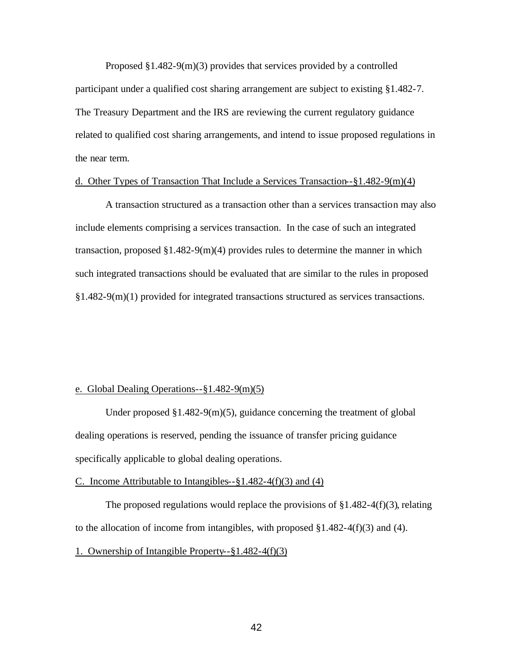Proposed §1.482-9(m)(3) provides that services provided by a controlled participant under a qualified cost sharing arrangement are subject to existing §1.482-7. The Treasury Department and the IRS are reviewing the current regulatory guidance related to qualified cost sharing arrangements, and intend to issue proposed regulations in the near term.

## d. Other Types of Transaction That Include a Services Transaction--§1.482-9(m)(4)

A transaction structured as a transaction other than a services transaction may also include elements comprising a services transaction. In the case of such an integrated transaction, proposed  $$1.482-9(m)(4)$  provides rules to determine the manner in which such integrated transactions should be evaluated that are similar to the rules in proposed §1.482-9(m)(1) provided for integrated transactions structured as services transactions.

### e. Global Dealing Operations--§1.482-9(m)(5)

Under proposed §1.482-9(m)(5), guidance concerning the treatment of global dealing operations is reserved, pending the issuance of transfer pricing guidance specifically applicable to global dealing operations.

### C. Income Attributable to Intangibles--§1.482-4(f)(3) and (4)

The proposed regulations would replace the provisions of  $\S 1.482 - 4(f)(3)$ , relating to the allocation of income from intangibles, with proposed  $\S 1.482-4(f)(3)$  and (4).

# 1. Ownership of Intangible Property--§1.482-4(f)(3)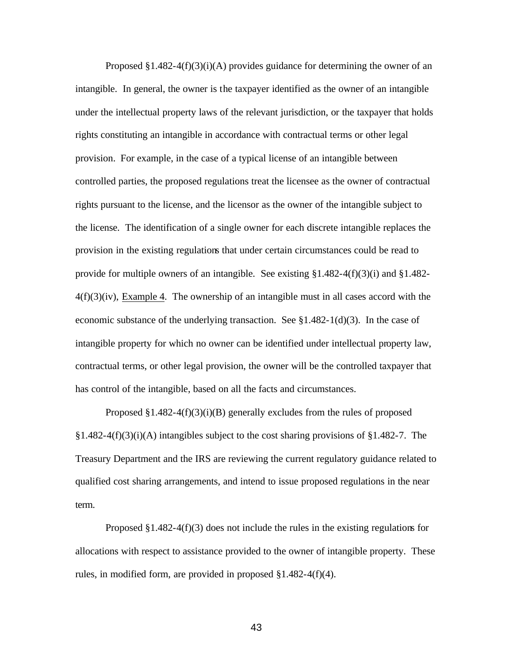Proposed  $\S1.482-4(f)(3)(i)$  provides guidance for determining the owner of an intangible. In general, the owner is the taxpayer identified as the owner of an intangible under the intellectual property laws of the relevant jurisdiction, or the taxpayer that holds rights constituting an intangible in accordance with contractual terms or other legal provision. For example, in the case of a typical license of an intangible between controlled parties, the proposed regulations treat the licensee as the owner of contractual rights pursuant to the license, and the licensor as the owner of the intangible subject to the license. The identification of a single owner for each discrete intangible replaces the provision in the existing regulations that under certain circumstances could be read to provide for multiple owners of an intangible. See existing  $\S 1.482 - 4(f)(3)(i)$  and  $\S 1.482 - 4(f)(3)(i)$  $4(f)(3)(iv)$ , Example 4. The ownership of an intangible must in all cases accord with the economic substance of the underlying transaction. See  $\S 1.482-1(d)(3)$ . In the case of intangible property for which no owner can be identified under intellectual property law, contractual terms, or other legal provision, the owner will be the controlled taxpayer that has control of the intangible, based on all the facts and circumstances.

Proposed  $\S1.482-4(f)(3)(i)(B)$  generally excludes from the rules of proposed  $§1.482-4(f)(3)(i)$  intangibles subject to the cost sharing provisions of §1.482-7. The Treasury Department and the IRS are reviewing the current regulatory guidance related to qualified cost sharing arrangements, and intend to issue proposed regulations in the near term.

Proposed  $\S 1.482-4(f)(3)$  does not include the rules in the existing regulations for allocations with respect to assistance provided to the owner of intangible property. These rules, in modified form, are provided in proposed §1.482-4(f)(4).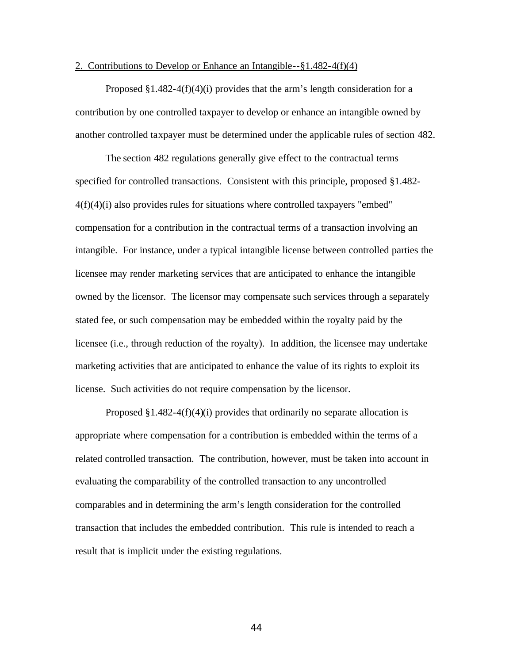#### 2. Contributions to Develop or Enhance an Intangible--§1.482-4(f)(4)

Proposed  $\S1.482-4(f)(4)(i)$  provides that the arm's length consideration for a contribution by one controlled taxpayer to develop or enhance an intangible owned by another controlled taxpayer must be determined under the applicable rules of section 482.

The section 482 regulations generally give effect to the contractual terms specified for controlled transactions. Consistent with this principle, proposed §1.482-  $4(f)(4)(i)$  also provides rules for situations where controlled taxpayers "embed" compensation for a contribution in the contractual terms of a transaction involving an intangible. For instance, under a typical intangible license between controlled parties the licensee may render marketing services that are anticipated to enhance the intangible owned by the licensor. The licensor may compensate such services through a separately stated fee, or such compensation may be embedded within the royalty paid by the licensee (i.e., through reduction of the royalty). In addition, the licensee may undertake marketing activities that are anticipated to enhance the value of its rights to exploit its license. Such activities do not require compensation by the licensor.

Proposed  $\S1.482-4(f)(4)(i)$  provides that ordinarily no separate allocation is appropriate where compensation for a contribution is embedded within the terms of a related controlled transaction. The contribution, however, must be taken into account in evaluating the comparability of the controlled transaction to any uncontrolled comparables and in determining the arm's length consideration for the controlled transaction that includes the embedded contribution. This rule is intended to reach a result that is implicit under the existing regulations.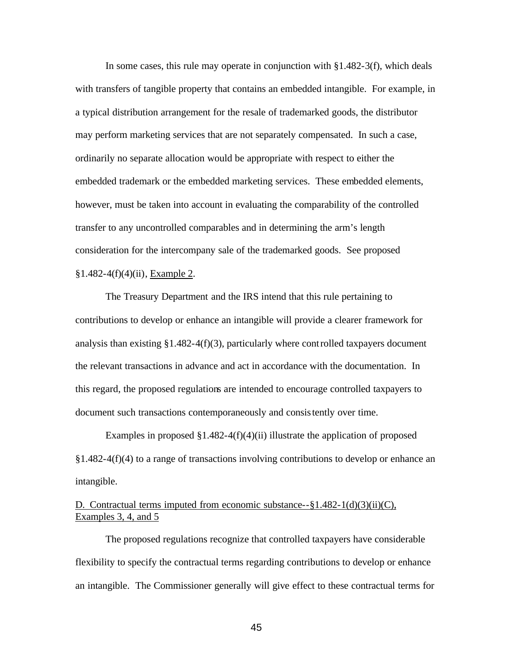In some cases, this rule may operate in conjunction with §1.482-3(f), which deals with transfers of tangible property that contains an embedded intangible. For example, in a typical distribution arrangement for the resale of trademarked goods, the distributor may perform marketing services that are not separately compensated. In such a case, ordinarily no separate allocation would be appropriate with respect to either the embedded trademark or the embedded marketing services. These embedded elements, however, must be taken into account in evaluating the comparability of the controlled transfer to any uncontrolled comparables and in determining the arm's length consideration for the intercompany sale of the trademarked goods. See proposed §1.482-4(f)(4)(ii), Example 2.

The Treasury Department and the IRS intend that this rule pertaining to contributions to develop or enhance an intangible will provide a clearer framework for analysis than existing  $\S1.482-4(f)(3)$ , particularly where controlled taxpayers document the relevant transactions in advance and act in accordance with the documentation. In this regard, the proposed regulations are intended to encourage controlled taxpayers to document such transactions contemporaneously and consistently over time.

Examples in proposed  $\S1.482-4(f)(4)(ii)$  illustrate the application of proposed §1.482-4(f)(4) to a range of transactions involving contributions to develop or enhance an intangible.

# D. Contractual terms imputed from economic substance-- $\S 1.482-1(d)(3)(ii)(C)$ , Examples 3, 4, and 5

The proposed regulations recognize that controlled taxpayers have considerable flexibility to specify the contractual terms regarding contributions to develop or enhance an intangible. The Commissioner generally will give effect to these contractual terms for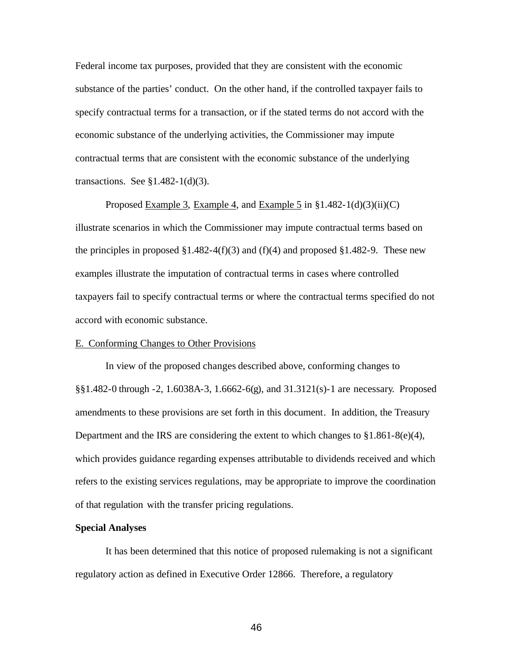Federal income tax purposes, provided that they are consistent with the economic substance of the parties' conduct. On the other hand, if the controlled taxpayer fails to specify contractual terms for a transaction, or if the stated terms do not accord with the economic substance of the underlying activities, the Commissioner may impute contractual terms that are consistent with the economic substance of the underlying transactions. See  $\S1.482-1(d)(3)$ .

Proposed Example 3, Example 4, and Example 5 in §1.482-1(d)(3)(ii)(C) illustrate scenarios in which the Commissioner may impute contractual terms based on the principles in proposed  $\S1.482-4(f)(3)$  and  $(f)(4)$  and proposed  $\S1.482-9$ . These new examples illustrate the imputation of contractual terms in cases where controlled taxpayers fail to specify contractual terms or where the contractual terms specified do not accord with economic substance.

## E. Conforming Changes to Other Provisions

In view of the proposed changes described above, conforming changes to §§1.482-0 through -2, 1.6038A-3, 1.6662-6(g), and 31.3121(s)-1 are necessary. Proposed amendments to these provisions are set forth in this document. In addition, the Treasury Department and the IRS are considering the extent to which changes to  $\S1.861-8(e)(4)$ , which provides guidance regarding expenses attributable to dividends received and which refers to the existing services regulations, may be appropriate to improve the coordination of that regulation with the transfer pricing regulations.

### **Special Analyses**

It has been determined that this notice of proposed rulemaking is not a significant regulatory action as defined in Executive Order 12866. Therefore, a regulatory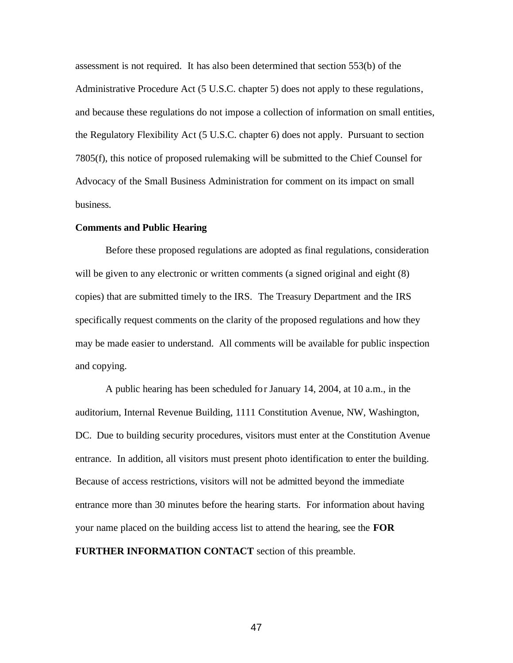assessment is not required. It has also been determined that section 553(b) of the Administrative Procedure Act (5 U.S.C. chapter 5) does not apply to these regulations, and because these regulations do not impose a collection of information on small entities, the Regulatory Flexibility Act (5 U.S.C. chapter 6) does not apply. Pursuant to section 7805(f), this notice of proposed rulemaking will be submitted to the Chief Counsel for Advocacy of the Small Business Administration for comment on its impact on small business.

## **Comments and Public Hearing**

Before these proposed regulations are adopted as final regulations, consideration will be given to any electronic or written comments (a signed original and eight  $(8)$ ) copies) that are submitted timely to the IRS. The Treasury Department and the IRS specifically request comments on the clarity of the proposed regulations and how they may be made easier to understand. All comments will be available for public inspection and copying.

A public hearing has been scheduled for January 14, 2004, at 10 a.m., in the auditorium, Internal Revenue Building, 1111 Constitution Avenue, NW, Washington, DC. Due to building security procedures, visitors must enter at the Constitution Avenue entrance. In addition, all visitors must present photo identification to enter the building. Because of access restrictions, visitors will not be admitted beyond the immediate entrance more than 30 minutes before the hearing starts. For information about having your name placed on the building access list to attend the hearing, see the **FOR FURTHER INFORMATION CONTACT** section of this preamble.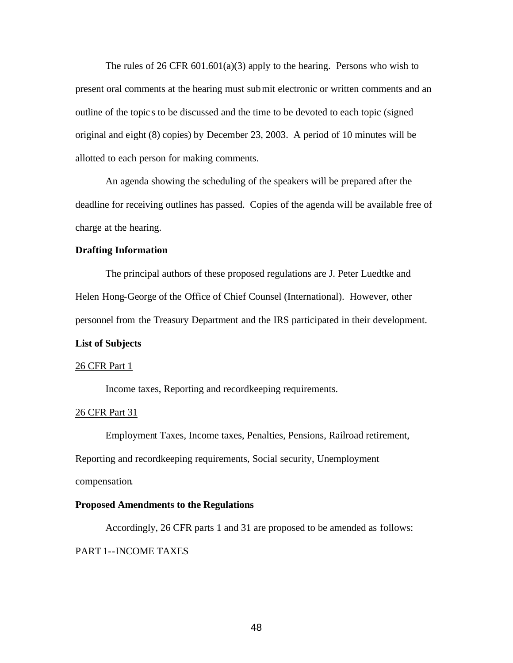The rules of 26 CFR  $601.601(a)(3)$  apply to the hearing. Persons who wish to present oral comments at the hearing must submit electronic or written comments and an outline of the topic s to be discussed and the time to be devoted to each topic (signed original and eight (8) copies) by December 23, 2003. A period of 10 minutes will be allotted to each person for making comments.

An agenda showing the scheduling of the speakers will be prepared after the deadline for receiving outlines has passed. Copies of the agenda will be available free of charge at the hearing.

# **Drafting Information**

The principal authors of these proposed regulations are J. Peter Luedtke and Helen Hong-George of the Office of Chief Counsel (International). However, other personnel from the Treasury Department and the IRS participated in their development.

## **List of Subjects**

#### 26 CFR Part 1

Income taxes, Reporting and recordkeeping requirements.

## 26 CFR Part 31

Employment Taxes, Income taxes, Penalties, Pensions, Railroad retirement, Reporting and recordkeeping requirements, Social security, Unemployment compensation.

## **Proposed Amendments to the Regulations**

Accordingly, 26 CFR parts 1 and 31 are proposed to be amended as follows: PART 1--INCOME TAXES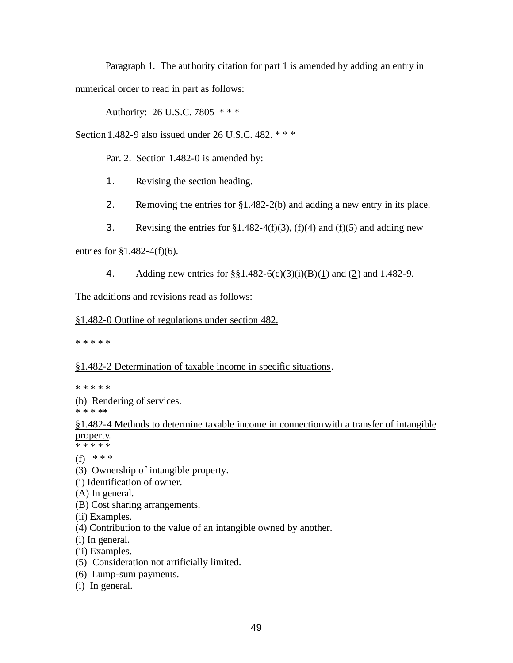Paragraph 1. The authority citation for part 1 is amended by adding an entry in numerical order to read in part as follows:

Authority: 26 U.S.C. 7805 \* \* \*

Section 1.482-9 also issued under 26 U.S.C. 482. \* \* \*

Par. 2. Section 1.482-0 is amended by:

- 1. Revising the section heading.
- 2. Removing the entries for §1.482-2(b) and adding a new entry in its place.
- 3. Revising the entries for  $\S 1.482-4(f)(3)$ ,  $(f)(4)$  and  $(f)(5)$  and adding new

entries for §1.482-4(f)(6).

4. Adding new entries for §§1.482-6(c)(3)(i)(B)(1) and (2) and 1.482-9.

The additions and revisions read as follows:

# §1.482-0 Outline of regulations under section 482.

\* \* \* \* \*

# §1.482-2 Determination of taxable income in specific situations.

\* \* \* \* \*

(b) Rendering of services.

\* \* \* \*\*

§1.482-4 Methods to determine taxable income in connectionwith a transfer of intangible property.

\* \* \* \* \*

(f) \* \* \*

- (3) Ownership of intangible property.
- (i) Identification of owner.
- (A) In general.
- (B) Cost sharing arrangements.
- (ii) Examples.
- (4) Contribution to the value of an intangible owned by another.
- (i) In general.
- (ii) Examples.
- (5) Consideration not artificially limited.
- (6) Lump-sum payments.
- (i) In general.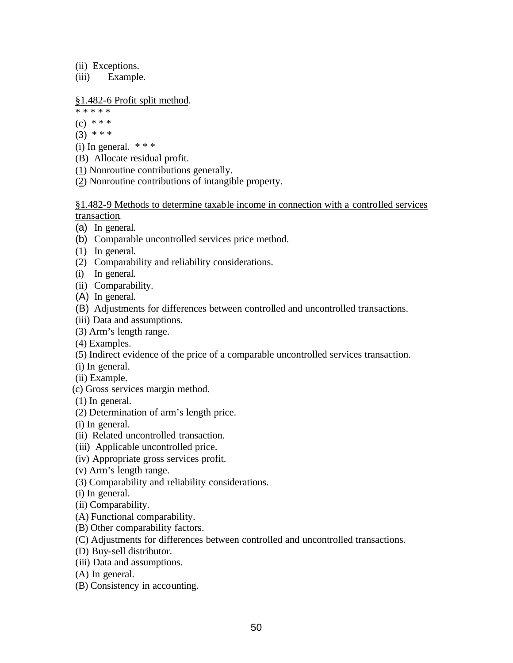(ii) Exceptions.

(iii) Example.

§1.482-6 Profit split method.

\* \* \* \* \*  $(c) * * * *$  $(3)$  \* \* \*

(i) In general.  $***$ 

- (B) Allocate residual profit.
- (1) Nonroutine contributions generally.

(2) Nonroutine contributions of intangible property.

§1.482-9 Methods to determine taxable income in connection with a controlled services transaction.

- (a) In general.
- (b) Comparable uncontrolled services price method.
- (1) In general.
- (2) Comparability and reliability considerations.
- (i) In general.
- (ii) Comparability.
- (A) In general.
- (B) Adjustments for differences between controlled and uncontrolled transactions.
- (iii) Data and assumptions.
- (3) Arm's length range.
- (4) Examples.
- (5) Indirect evidence of the price of a comparable uncontrolled services transaction.
- (i) In general.
- (ii) Example.
- (c) Gross services margin method.
- (1) In general.
- (2) Determination of arm's length price.
- (i) In general.
- (ii) Related uncontrolled transaction.
- (iii) Applicable uncontrolled price.
- (iv) Appropriate gross services profit.
- (v) Arm's length range.
- (3) Comparability and reliability considerations.
- (i) In general.
- (ii) Comparability.
- (A) Functional comparability.
- (B) Other comparability factors.
- (C) Adjustments for differences between controlled and uncontrolled transactions.
- (D) Buy-sell distributor.
- (iii) Data and assumptions.
- (A) In general.
- (B) Consistency in accounting.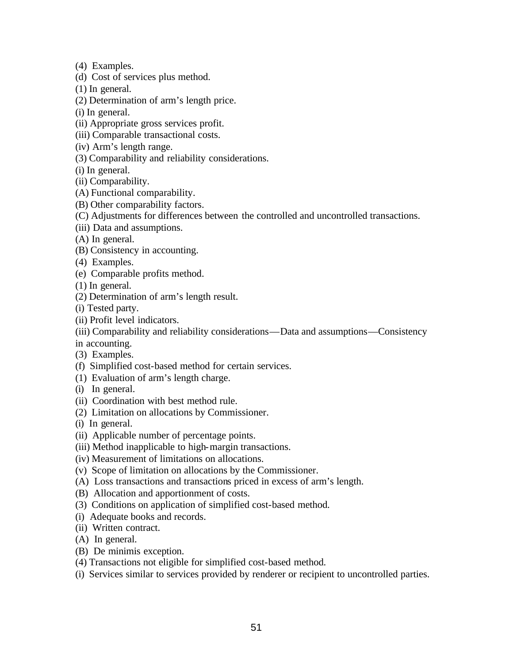- (4) Examples.
- (d) Cost of services plus method.
- (1) In general.
- (2) Determination of arm's length price.
- (i) In general.
- (ii) Appropriate gross services profit.
- (iii) Comparable transactional costs.
- (iv) Arm's length range.
- (3) Comparability and reliability considerations.
- (i) In general.
- (ii) Comparability.
- (A) Functional comparability.
- (B) Other comparability factors.
- (C) Adjustments for differences between the controlled and uncontrolled transactions.
- (iii) Data and assumptions.
- (A) In general.
- (B) Consistency in accounting.
- (4) Examples.
- (e) Comparable profits method.
- (1) In general.
- (2) Determination of arm's length result.
- (i) Tested party.
- (ii) Profit level indicators.
- (iii) Comparability and reliability considerations—Data and assumptions—Consistency
- in accounting.
- (3) Examples.
- (f) Simplified cost-based method for certain services.
- (1) Evaluation of arm's length charge.
- (i) In general.
- (ii) Coordination with best method rule.
- (2) Limitation on allocations by Commissioner.
- (i) In general.
- (ii) Applicable number of percentage points.
- (iii) Method inapplicable to high-margin transactions.
- (iv) Measurement of limitations on allocations.
- (v) Scope of limitation on allocations by the Commissioner.
- (A) Loss transactions and transactions priced in excess of arm's length.
- (B) Allocation and apportionment of costs.
- (3) Conditions on application of simplified cost-based method.
- (i) Adequate books and records.
- (ii) Written contract.
- (A) In general.
- (B) De minimis exception.
- (4) Transactions not eligible for simplified cost-based method.
- (i) Services similar to services provided by renderer or recipient to uncontrolled parties.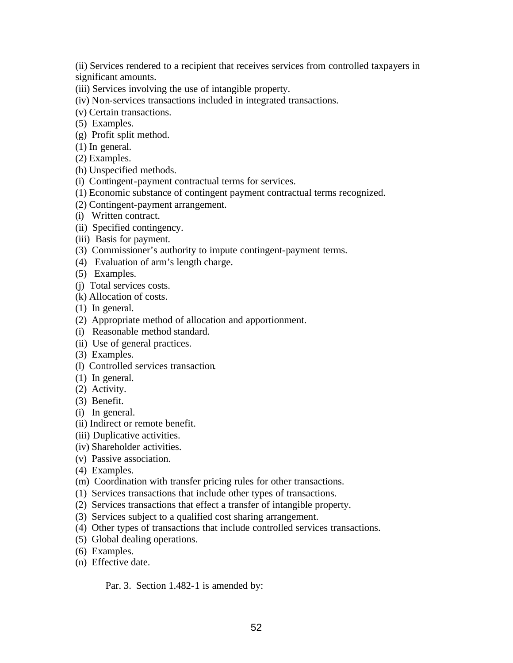(ii) Services rendered to a recipient that receives services from controlled taxpayers in significant amounts.

- (iii) Services involving the use of intangible property.
- (iv) Non-services transactions included in integrated transactions.
- (v) Certain transactions.
- (5) Examples.
- (g) Profit split method.
- (1) In general.
- (2) Examples.
- (h) Unspecified methods.
- (i) Contingent-payment contractual terms for services.
- (1) Economic substance of contingent payment contractual terms recognized.
- (2) Contingent-payment arrangement.
- (i) Written contract.
- (ii) Specified contingency.
- (iii) Basis for payment.
- (3) Commissioner's authority to impute contingent-payment terms.
- (4) Evaluation of arm's length charge.
- (5) Examples.
- (j) Total services costs.
- (k) Allocation of costs.
- (1) In general.
- (2) Appropriate method of allocation and apportionment.
- (i) Reasonable method standard.
- (ii) Use of general practices.
- (3) Examples.
- (l) Controlled services transaction.
- (1) In general.
- (2) Activity.
- (3) Benefit.
- (i) In general.
- (ii) Indirect or remote benefit.
- (iii) Duplicative activities.
- (iv) Shareholder activities.
- (v) Passive association.
- (4) Examples.
- (m) Coordination with transfer pricing rules for other transactions.
- (1) Services transactions that include other types of transactions.
- (2) Services transactions that effect a transfer of intangible property.
- (3) Services subject to a qualified cost sharing arrangement.
- (4) Other types of transactions that include controlled services transactions.
- (5) Global dealing operations.
- (6) Examples.
- (n) Effective date.

Par. 3. Section 1.482-1 is amended by: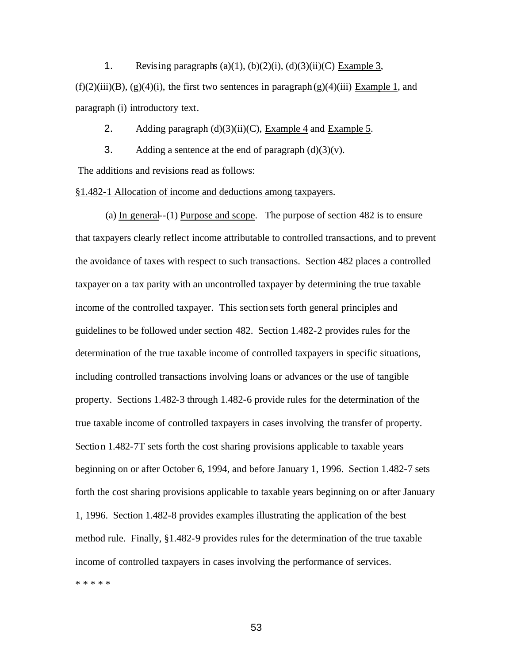1. Revising paragraphs  $(a)(1)$ ,  $(b)(2)(i)$ ,  $(d)(3)(ii)(C)$  Example 3,

 $(f)(2)(iii)(B)$ ,  $(g)(4)(i)$ , the first two sentences in paragraph  $(g)(4)(iii)$  Example 1, and paragraph (i) introductory text.

2. Adding paragraph  $(d)(3)(ii)(C)$ , Example 4 and Example 5.

3. Adding a sentence at the end of paragraph  $(d)(3)(v)$ .

The additions and revisions read as follows:

§1.482-1 Allocation of income and deductions among taxpayers.

(a) In general--(1) Purpose and scope. The purpose of section 482 is to ensure that taxpayers clearly reflect income attributable to controlled transactions, and to prevent the avoidance of taxes with respect to such transactions. Section 482 places a controlled taxpayer on a tax parity with an uncontrolled taxpayer by determining the true taxable income of the controlled taxpayer. This section sets forth general principles and guidelines to be followed under section 482. Section 1.482-2 provides rules for the determination of the true taxable income of controlled taxpayers in specific situations, including controlled transactions involving loans or advances or the use of tangible property. Sections 1.482-3 through 1.482-6 provide rules for the determination of the true taxable income of controlled taxpayers in cases involving the transfer of property. Section 1.482-7T sets forth the cost sharing provisions applicable to taxable years beginning on or after October 6, 1994, and before January 1, 1996. Section 1.482-7 sets forth the cost sharing provisions applicable to taxable years beginning on or after January 1, 1996. Section 1.482-8 provides examples illustrating the application of the best method rule. Finally, §1.482-9 provides rules for the determination of the true taxable income of controlled taxpayers in cases involving the performance of services. \* \* \* \* \*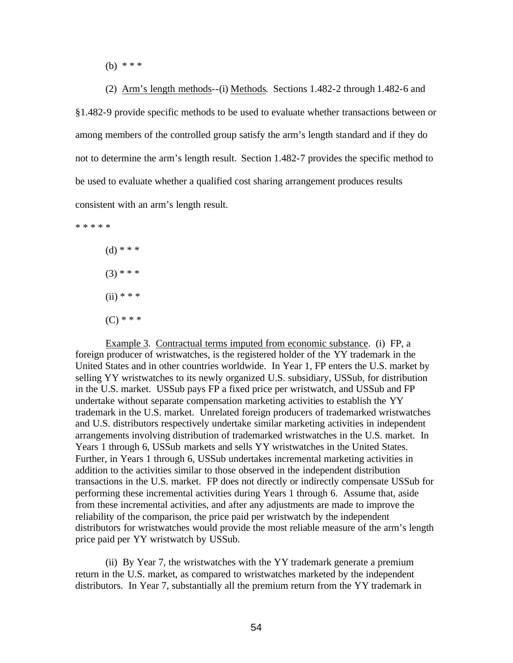(b) \* \* \*

(2) Arm's length methods--(i) Methods. Sections 1.482-2 through 1.482-6 and §1.482-9 provide specific methods to be used to evaluate whether transactions between or among members of the controlled group satisfy the arm's length standard and if they do not to determine the arm's length result. Section 1.482-7 provides the specific method to be used to evaluate whether a qualified cost sharing arrangement produces results consistent with an arm's length result.

\* \* \* \* \*

(d) \* \* \*  $(3)$  \* \* \*  $(ii) * * * *$  $(C)$  \* \* \*

Example 3. Contractual terms imputed from economic substance. (i) FP, a foreign producer of wristwatches, is the registered holder of the YY trademark in the United States and in other countries worldwide. In Year 1, FP enters the U.S. market by selling YY wristwatches to its newly organized U.S. subsidiary, USSub, for distribution in the U.S. market. USSub pays FP a fixed price per wristwatch, and USSub and FP undertake without separate compensation marketing activities to establish the YY trademark in the U.S. market. Unrelated foreign producers of trademarked wristwatches and U.S. distributors respectively undertake similar marketing activities in independent arrangements involving distribution of trademarked wristwatches in the U.S. market. In Years 1 through 6, USSub markets and sells YY wristwatches in the United States. Further, in Years 1 through 6, USSub undertakes incremental marketing activities in addition to the activities similar to those observed in the independent distribution transactions in the U.S. market. FP does not directly or indirectly compensate USSub for performing these incremental activities during Years 1 through 6. Assume that, aside from these incremental activities, and after any adjustments are made to improve the reliability of the comparison, the price paid per wristwatch by the independent distributors for wristwatches would provide the most reliable measure of the arm's length price paid per YY wristwatch by USSub.

(ii) By Year 7, the wristwatches with the YY trademark generate a premium return in the U.S. market, as compared to wristwatches marketed by the independent distributors. In Year 7, substantially all the premium return from the YY trademark in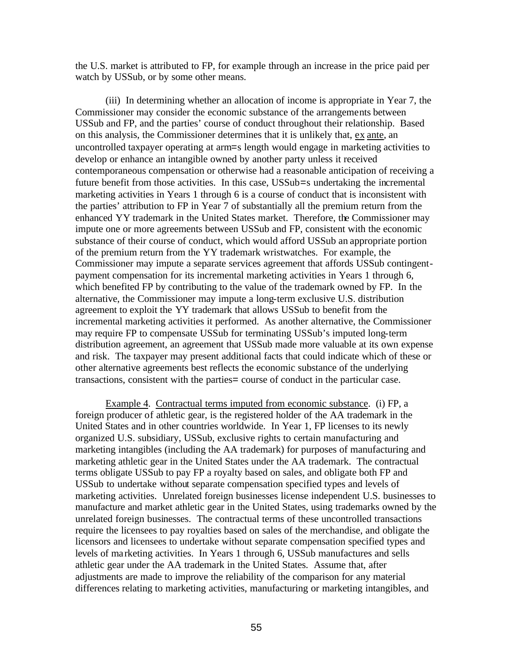the U.S. market is attributed to FP, for example through an increase in the price paid per watch by USSub, or by some other means.

(iii) In determining whether an allocation of income is appropriate in Year 7, the Commissioner may consider the economic substance of the arrangements between USSub and FP, and the parties' course of conduct throughout their relationship. Based on this analysis, the Commissioner determines that it is unlikely that, ex ante, an uncontrolled taxpayer operating at arm=s length would engage in marketing activities to develop or enhance an intangible owned by another party unless it received contemporaneous compensation or otherwise had a reasonable anticipation of receiving a future benefit from those activities. In this case, USSub=s undertaking the incremental marketing activities in Years 1 through 6 is a course of conduct that is inconsistent with the parties' attribution to FP in Year 7 of substantially all the premium return from the enhanced YY trademark in the United States market. Therefore, the Commissioner may impute one or more agreements between USSub and FP, consistent with the economic substance of their course of conduct, which would afford USSub an appropriate portion of the premium return from the YY trademark wristwatches. For example, the Commissioner may impute a separate services agreement that affords USSub contingentpayment compensation for its incremental marketing activities in Years 1 through 6, which benefited FP by contributing to the value of the trademark owned by FP. In the alternative, the Commissioner may impute a long-term exclusive U.S. distribution agreement to exploit the YY trademark that allows USSub to benefit from the incremental marketing activities it performed. As another alternative, the Commissioner may require FP to compensate USSub for terminating USSub's imputed long-term distribution agreement, an agreement that USSub made more valuable at its own expense and risk. The taxpayer may present additional facts that could indicate which of these or other alternative agreements best reflects the economic substance of the underlying transactions, consistent with the parties= course of conduct in the particular case.

Example 4. Contractual terms imputed from economic substance. (i) FP, a foreign producer of athletic gear, is the registered holder of the AA trademark in the United States and in other countries worldwide. In Year 1, FP licenses to its newly organized U.S. subsidiary, USSub, exclusive rights to certain manufacturing and marketing intangibles (including the AA trademark) for purposes of manufacturing and marketing athletic gear in the United States under the AA trademark. The contractual terms obligate USSub to pay FP a royalty based on sales, and obligate both FP and USSub to undertake without separate compensation specified types and levels of marketing activities. Unrelated foreign businesses license independent U.S. businesses to manufacture and market athletic gear in the United States, using trademarks owned by the unrelated foreign businesses. The contractual terms of these uncontrolled transactions require the licensees to pay royalties based on sales of the merchandise, and obligate the licensors and licensees to undertake without separate compensation specified types and levels of marketing activities. In Years 1 through 6, USSub manufactures and sells athletic gear under the AA trademark in the United States. Assume that, after adjustments are made to improve the reliability of the comparison for any material differences relating to marketing activities, manufacturing or marketing intangibles, and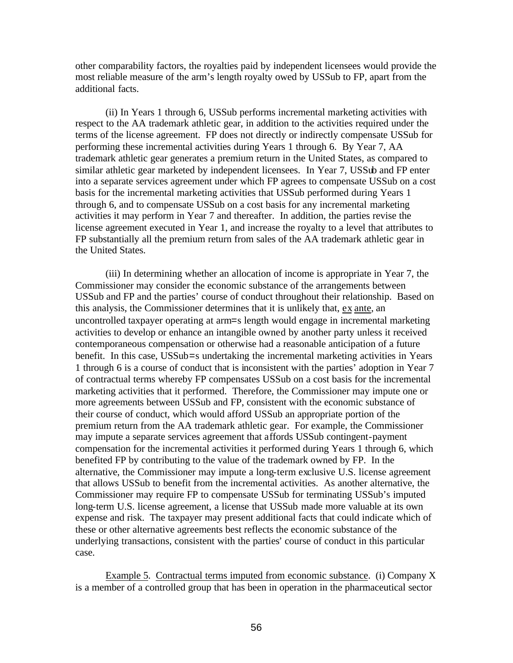other comparability factors, the royalties paid by independent licensees would provide the most reliable measure of the arm's length royalty owed by USSub to FP, apart from the additional facts.

(ii) In Years 1 through 6, USSub performs incremental marketing activities with respect to the AA trademark athletic gear, in addition to the activities required under the terms of the license agreement. FP does not directly or indirectly compensate USSub for performing these incremental activities during Years 1 through 6. By Year 7, AA trademark athletic gear generates a premium return in the United States, as compared to similar athletic gear marketed by independent licensees. In Year 7, USSub and FP enter into a separate services agreement under which FP agrees to compensate USSub on a cost basis for the incremental marketing activities that USSub performed during Years 1 through 6, and to compensate USSub on a cost basis for any incremental marketing activities it may perform in Year 7 and thereafter. In addition, the parties revise the license agreement executed in Year 1, and increase the royalty to a level that attributes to FP substantially all the premium return from sales of the AA trademark athletic gear in the United States.

(iii) In determining whether an allocation of income is appropriate in Year 7, the Commissioner may consider the economic substance of the arrangements between USSub and FP and the parties' course of conduct throughout their relationship. Based on this analysis, the Commissioner determines that it is unlikely that, ex ante, an uncontrolled taxpayer operating at arm=s length would engage in incremental marketing activities to develop or enhance an intangible owned by another party unless it received contemporaneous compensation or otherwise had a reasonable anticipation of a future benefit. In this case, USSub=s undertaking the incremental marketing activities in Years 1 through 6 is a course of conduct that is inconsistent with the parties' adoption in Year 7 of contractual terms whereby FP compensates USSub on a cost basis for the incremental marketing activities that it performed. Therefore, the Commissioner may impute one or more agreements between USSub and FP, consistent with the economic substance of their course of conduct, which would afford USSub an appropriate portion of the premium return from the AA trademark athletic gear. For example, the Commissioner may impute a separate services agreement that affords USSub contingent-payment compensation for the incremental activities it performed during Years 1 through 6, which benefited FP by contributing to the value of the trademark owned by FP. In the alternative, the Commissioner may impute a long-term exclusive U.S. license agreement that allows USSub to benefit from the incremental activities. As another alternative, the Commissioner may require FP to compensate USSub for terminating USSub's imputed long-term U.S. license agreement, a license that USSub made more valuable at its own expense and risk. The taxpayer may present additional facts that could indicate which of these or other alternative agreements best reflects the economic substance of the underlying transactions, consistent with the parties' course of conduct in this particular case.

Example 5. Contractual terms imputed from economic substance. (i) Company X is a member of a controlled group that has been in operation in the pharmaceutical sector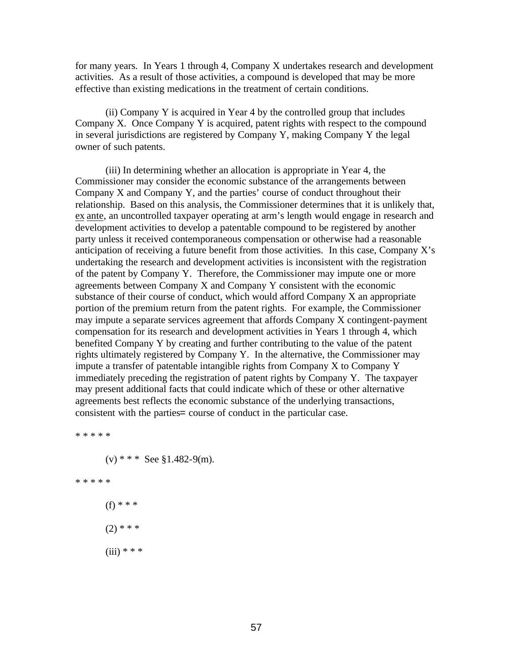for many years. In Years 1 through 4, Company X undertakes research and development activities. As a result of those activities, a compound is developed that may be more effective than existing medications in the treatment of certain conditions.

(ii) Company Y is acquired in Year 4 by the controlled group that includes Company X. Once Company Y is acquired, patent rights with respect to the compound in several jurisdictions are registered by Company Y, making Company Y the legal owner of such patents.

(iii) In determining whether an allocation is appropriate in Year 4, the Commissioner may consider the economic substance of the arrangements between Company X and Company Y, and the parties' course of conduct throughout their relationship. Based on this analysis, the Commissioner determines that it is unlikely that, ex ante, an uncontrolled taxpayer operating at arm's length would engage in research and development activities to develop a patentable compound to be registered by another party unless it received contemporaneous compensation or otherwise had a reasonable anticipation of receiving a future benefit from those activities. In this case, Company  $X$ 's undertaking the research and development activities is inconsistent with the registration of the patent by Company Y. Therefore, the Commissioner may impute one or more agreements between Company X and Company Y consistent with the economic substance of their course of conduct, which would afford Company X an appropriate portion of the premium return from the patent rights. For example, the Commissioner may impute a separate services agreement that affords Company X contingent-payment compensation for its research and development activities in Years 1 through 4, which benefited Company Y by creating and further contributing to the value of the patent rights ultimately registered by Company Y. In the alternative, the Commissioner may impute a transfer of patentable intangible rights from Company X to Company Y immediately preceding the registration of patent rights by Company Y. The taxpayer may present additional facts that could indicate which of these or other alternative agreements best reflects the economic substance of the underlying transactions, consistent with the parties= course of conduct in the particular case.

\* \* \* \* \*  $(v)$  \* \* \* See §1.482-9(m). \* \* \* \* \* (f) \* \* \*  $(2)$  \* \* \*  $(iii) * * *$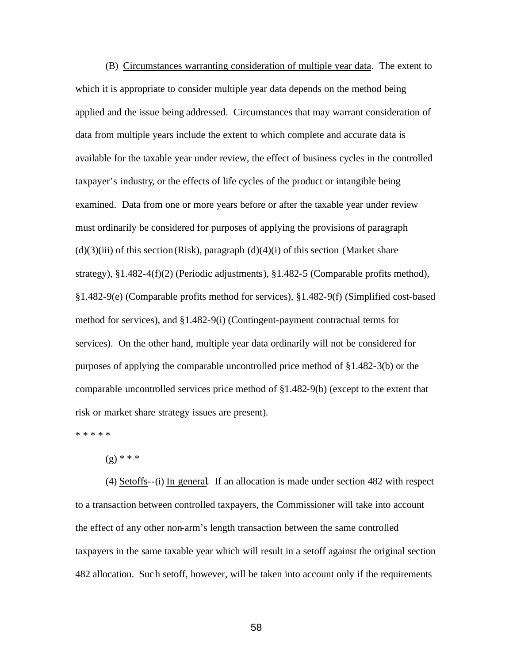(B) Circumstances warranting consideration of multiple year data. The extent to which it is appropriate to consider multiple year data depends on the method being applied and the issue being addressed. Circumstances that may warrant consideration of data from multiple years include the extent to which complete and accurate data is available for the taxable year under review, the effect of business cycles in the controlled taxpayer's industry, or the effects of life cycles of the product or intangible being examined. Data from one or more years before or after the taxable year under review must ordinarily be considered for purposes of applying the provisions of paragraph  $(d)(3)(iii)$  of this section (Risk), paragraph  $(d)(4)(i)$  of this section (Market share strategy), §1.482-4(f)(2) (Periodic adjustments), §1.482-5 (Comparable profits method), §1.482-9(e) (Comparable profits method for services), §1.482-9(f) (Simplified cost-based method for services), and §1.482-9(i) (Contingent-payment contractual terms for services). On the other hand, multiple year data ordinarily will not be considered for purposes of applying the comparable uncontrolled price method of §1.482-3(b) or the comparable uncontrolled services price method of §1.482-9(b) (except to the extent that risk or market share strategy issues are present).

\* \* \* \* \*

 $(g)$  \* \* \*

(4) Setoffs--(i) In general. If an allocation is made under section 482 with respect to a transaction between controlled taxpayers, the Commissioner will take into account the effect of any other non-arm's length transaction between the same controlled taxpayers in the same taxable year which will result in a setoff against the original section 482 allocation. Such setoff, however, will be taken into account only if the requirements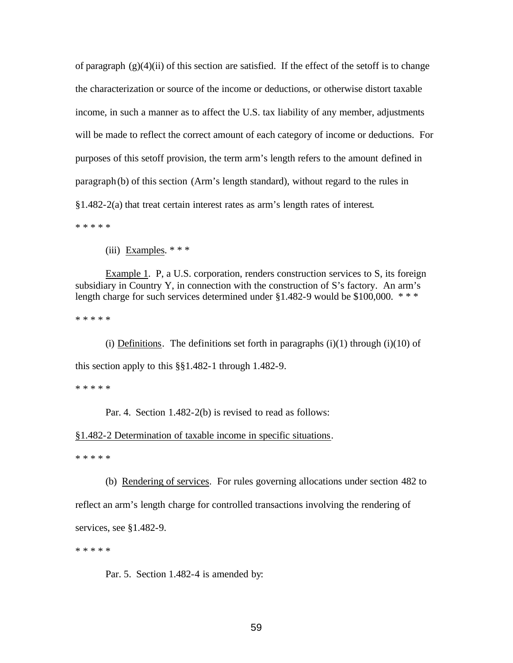of paragraph  $(g)(4)(ii)$  of this section are satisfied. If the effect of the setoff is to change the characterization or source of the income or deductions, or otherwise distort taxable income, in such a manner as to affect the U.S. tax liability of any member, adjustments will be made to reflect the correct amount of each category of income or deductions. For purposes of this setoff provision, the term arm's length refers to the amount defined in paragraph (b) of this section (Arm's length standard), without regard to the rules in §1.482-2(a) that treat certain interest rates as arm's length rates of interest.

\* \* \* \* \*

(iii) Examples. \* \* \*

Example 1. P, a U.S. corporation, renders construction services to S, its foreign subsidiary in Country Y, in connection with the construction of S's factory. An arm's length charge for such services determined under  $$1.482-9$  would be  $$100,000$ . \*\*\*

\* \* \* \* \*

(i) Definitions. The definitions set forth in paragraphs  $(i)(1)$  through  $(i)(10)$  of this section apply to this §§1.482-1 through 1.482-9.

\* \* \* \* \*

Par. 4. Section 1.482-2(b) is revised to read as follows:

§1.482-2 Determination of taxable income in specific situations.

\* \* \* \* \*

(b) Rendering of services. For rules governing allocations under section 482 to reflect an arm's length charge for controlled transactions involving the rendering of services, see §1.482-9.

\* \* \* \* \*

Par. 5. Section 1.482-4 is amended by: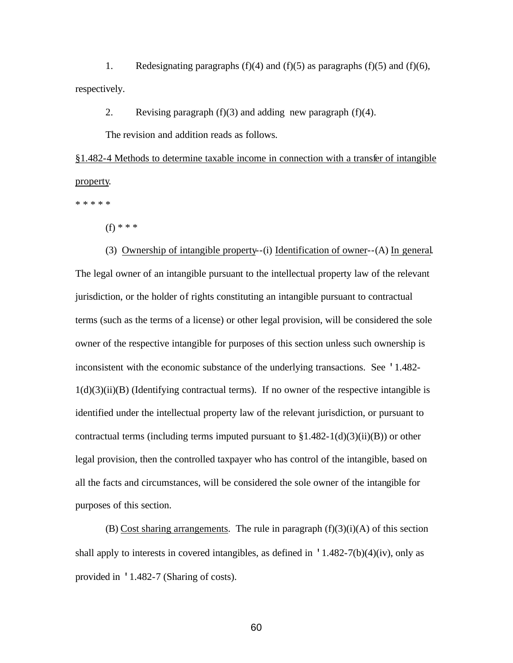1. Redesignating paragraphs (f)(4) and (f)(5) as paragraphs (f)(5) and (f)(6), respectively.

2. Revising paragraph  $(f)(3)$  and adding new paragraph  $(f)(4)$ .

The revision and addition reads as follows.

§1.482-4 Methods to determine taxable income in connection with a transfer of intangible property.

\* \* \* \* \*

(f) \* \* \*

(3) Ownership of intangible property--(i) Identification of owner--(A) In general. The legal owner of an intangible pursuant to the intellectual property law of the relevant jurisdiction, or the holder of rights constituting an intangible pursuant to contractual terms (such as the terms of a license) or other legal provision, will be considered the sole owner of the respective intangible for purposes of this section unless such ownership is inconsistent with the economic substance of the underlying transactions. See '1.482-  $1(d)(3)(ii)(B)$  (Identifying contractual terms). If no owner of the respective intangible is identified under the intellectual property law of the relevant jurisdiction, or pursuant to contractual terms (including terms imputed pursuant to  $\S1.482-1(d)(3)(ii)(B)$ ) or other legal provision, then the controlled taxpayer who has control of the intangible, based on all the facts and circumstances, will be considered the sole owner of the intangible for purposes of this section.

(B) Cost sharing arrangements. The rule in paragraph  $(f)(3)(i)(A)$  of this section shall apply to interests in covered intangibles, as defined in  $\frac{1.482-7(b)(4)(iv)}{i}$ , only as provided in '1.482-7 (Sharing of costs).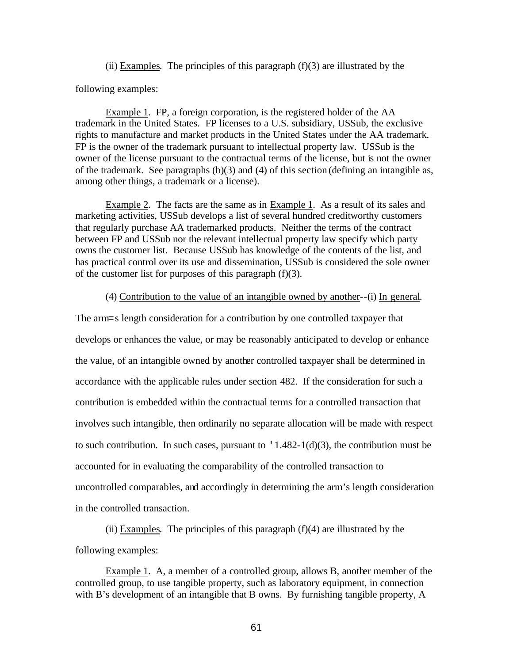(ii) Examples. The principles of this paragraph  $(f)(3)$  are illustrated by the

following examples:

Example 1. FP, a foreign corporation, is the registered holder of the AA trademark in the United States. FP licenses to a U.S. subsidiary, USSub, the exclusive rights to manufacture and market products in the United States under the AA trademark. FP is the owner of the trademark pursuant to intellectual property law. USSub is the owner of the license pursuant to the contractual terms of the license, but is not the owner of the trademark. See paragraphs (b)(3) and (4) of this section (defining an intangible as, among other things, a trademark or a license).

Example 2. The facts are the same as in Example 1. As a result of its sales and marketing activities, USSub develops a list of several hundred creditworthy customers that regularly purchase AA trademarked products. Neither the terms of the contract between FP and USSub nor the relevant intellectual property law specify which party owns the customer list. Because USSub has knowledge of the contents of the list, and has practical control over its use and dissemination, USSub is considered the sole owner of the customer list for purposes of this paragraph  $(f)(3)$ .

(4) Contribution to the value of an intangible owned by another--(i) In general.

The arm=s length consideration for a contribution by one controlled taxpayer that develops or enhances the value, or may be reasonably anticipated to develop or enhance the value, of an intangible owned by another controlled taxpayer shall be determined in accordance with the applicable rules under section 482. If the consideration for such a contribution is embedded within the contractual terms for a controlled transaction that involves such intangible, then ordinarily no separate allocation will be made with respect to such contribution. In such cases, pursuant to  $\lceil 1.482 - 1(d)(3) \rceil$ , the contribution must be accounted for in evaluating the comparability of the controlled transaction to uncontrolled comparables, and accordingly in determining the arm's length consideration in the controlled transaction.

(ii) Examples. The principles of this paragraph  $(f)(4)$  are illustrated by the following examples:

Example 1.A, a member of a controlled group, allows B, another member of the controlled group, to use tangible property, such as laboratory equipment, in connection with B's development of an intangible that B owns. By furnishing tangible property, A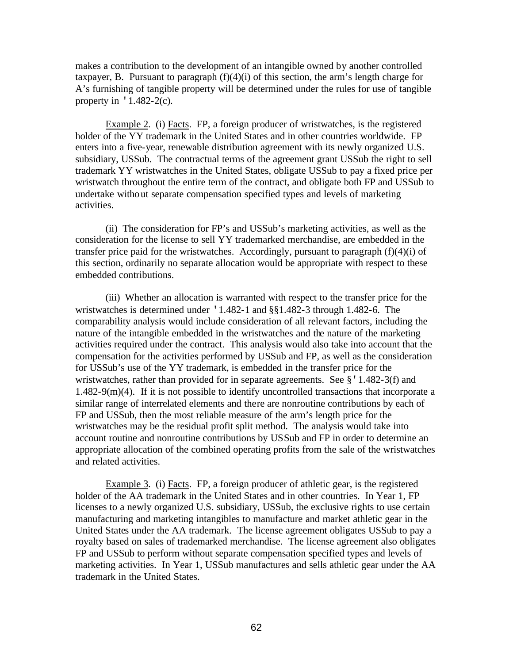makes a contribution to the development of an intangible owned by another controlled taxpayer, B. Pursuant to paragraph  $(f)(4)(i)$  of this section, the arm's length charge for A's furnishing of tangible property will be determined under the rules for use of tangible property in  $\cdot$  1.482-2(c).

Example 2. (i) Facts. FP, a foreign producer of wristwatches, is the registered holder of the YY trademark in the United States and in other countries worldwide. FP enters into a five-year, renewable distribution agreement with its newly organized U.S. subsidiary, USSub. The contractual terms of the agreement grant USSub the right to sell trademark YY wristwatches in the United States, obligate USSub to pay a fixed price per wristwatch throughout the entire term of the contract, and obligate both FP and USSub to undertake without separate compensation specified types and levels of marketing activities.

(ii) The consideration for FP's and USSub's marketing activities, as well as the consideration for the license to sell YY trademarked merchandise, are embedded in the transfer price paid for the wristwatches. Accordingly, pursuant to paragraph  $(f)(4)(i)$  of this section, ordinarily no separate allocation would be appropriate with respect to these embedded contributions.

(iii) Whether an allocation is warranted with respect to the transfer price for the wristwatches is determined under '1.482-1 and §§1.482-3 through 1.482-6. The comparability analysis would include consideration of all relevant factors, including the nature of the intangible embedded in the wristwatches and the nature of the marketing activities required under the contract. This analysis would also take into account that the compensation for the activities performed by USSub and FP, as well as the consideration for USSub's use of the YY trademark, is embedded in the transfer price for the wristwatches, rather than provided for in separate agreements. See  $\S$  '1.482-3(f) and 1.482-9(m)(4). If it is not possible to identify uncontrolled transactions that incorporate a similar range of interrelated elements and there are nonroutine contributions by each of FP and USSub, then the most reliable measure of the arm's length price for the wristwatches may be the residual profit split method. The analysis would take into account routine and nonroutine contributions by USSub and FP in order to determine an appropriate allocation of the combined operating profits from the sale of the wristwatches and related activities.

Example 3. (i) Facts. FP, a foreign producer of athletic gear, is the registered holder of the AA trademark in the United States and in other countries. In Year 1, FP licenses to a newly organized U.S. subsidiary, USSub, the exclusive rights to use certain manufacturing and marketing intangibles to manufacture and market athletic gear in the United States under the AA trademark. The license agreement obligates USSub to pay a royalty based on sales of trademarked merchandise. The license agreement also obligates FP and USSub to perform without separate compensation specified types and levels of marketing activities. In Year 1, USSub manufactures and sells athletic gear under the AA trademark in the United States.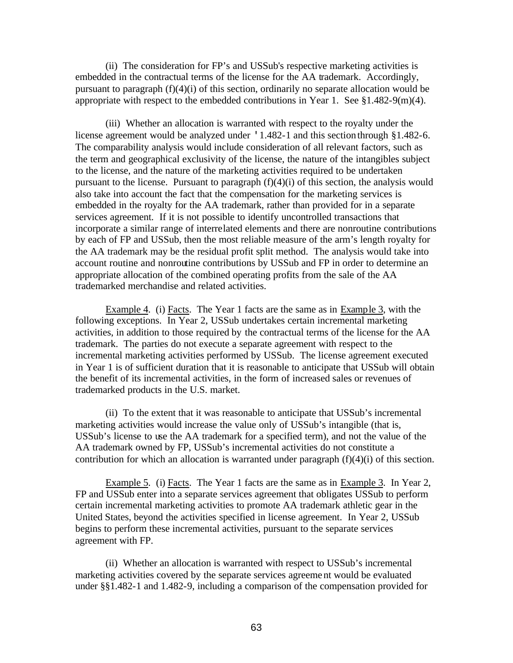(ii) The consideration for FP's and USSub's respective marketing activities is embedded in the contractual terms of the license for the AA trademark. Accordingly, pursuant to paragraph (f)(4)(i) of this section, ordinarily no separate allocation would be appropriate with respect to the embedded contributions in Year 1. See §1.482-9(m)(4).

(iii) Whether an allocation is warranted with respect to the royalty under the license agreement would be analyzed under '1.482-1 and this section through §1.482-6. The comparability analysis would include consideration of all relevant factors, such as the term and geographical exclusivity of the license, the nature of the intangibles subject to the license, and the nature of the marketing activities required to be undertaken pursuant to the license. Pursuant to paragraph  $(f)(4)(i)$  of this section, the analysis would also take into account the fact that the compensation for the marketing services is embedded in the royalty for the AA trademark, rather than provided for in a separate services agreement. If it is not possible to identify uncontrolled transactions that incorporate a similar range of interrelated elements and there are nonroutine contributions by each of FP and USSub, then the most reliable measure of the arm's length royalty for the AA trademark may be the residual profit split method. The analysis would take into account routine and nonroutine contributions by USSub and FP in order to determine an appropriate allocation of the combined operating profits from the sale of the AA trademarked merchandise and related activities.

Example 4. (i) Facts. The Year 1 facts are the same as in Example 3, with the following exceptions. In Year 2, USSub undertakes certain incremental marketing activities, in addition to those required by the contractual terms of the license for the AA trademark. The parties do not execute a separate agreement with respect to the incremental marketing activities performed by USSub. The license agreement executed in Year 1 is of sufficient duration that it is reasonable to anticipate that USSub will obtain the benefit of its incremental activities, in the form of increased sales or revenues of trademarked products in the U.S. market.

(ii) To the extent that it was reasonable to anticipate that USSub's incremental marketing activities would increase the value only of USSub's intangible (that is, USSub's license to use the AA trademark for a specified term), and not the value of the AA trademark owned by FP, USSub's incremental activities do not constitute a contribution for which an allocation is warranted under paragraph (f)(4)(i) of this section.

Example 5. (i) Facts. The Year 1 facts are the same as in Example 3. In Year 2, FP and USSub enter into a separate services agreement that obligates USSub to perform certain incremental marketing activities to promote AA trademark athletic gear in the United States, beyond the activities specified in license agreement. In Year 2, USSub begins to perform these incremental activities, pursuant to the separate services agreement with FP.

(ii) Whether an allocation is warranted with respect to USSub's incremental marketing activities covered by the separate services agreement would be evaluated under §§1.482-1 and 1.482-9, including a comparison of the compensation provided for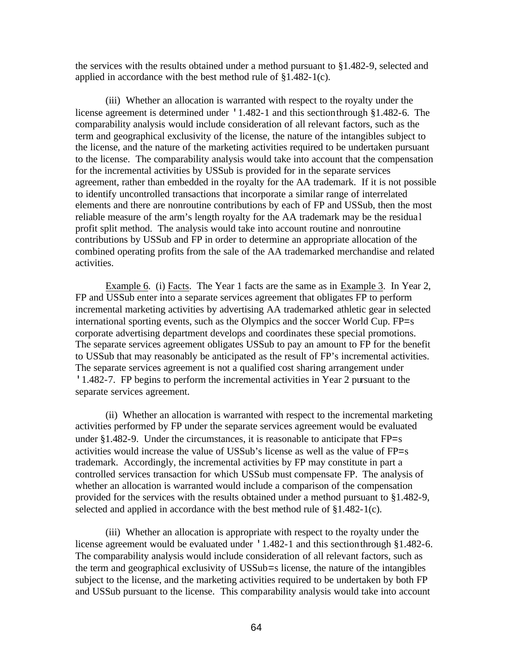the services with the results obtained under a method pursuant to §1.482-9, selected and applied in accordance with the best method rule of §1.482-1(c).

(iii) Whether an allocation is warranted with respect to the royalty under the license agreement is determined under '1.482-1 and this section through §1.482-6. The comparability analysis would include consideration of all relevant factors, such as the term and geographical exclusivity of the license, the nature of the intangibles subject to the license, and the nature of the marketing activities required to be undertaken pursuant to the license. The comparability analysis would take into account that the compensation for the incremental activities by USSub is provided for in the separate services agreement, rather than embedded in the royalty for the AA trademark. If it is not possible to identify uncontrolled transactions that incorporate a similar range of interrelated elements and there are nonroutine contributions by each of FP and USSub, then the most reliable measure of the arm's length royalty for the AA trademark may be the residua l profit split method. The analysis would take into account routine and nonroutine contributions by USSub and FP in order to determine an appropriate allocation of the combined operating profits from the sale of the AA trademarked merchandise and related activities.

Example 6. (i) Facts. The Year 1 facts are the same as in Example 3. In Year 2, FP and USSub enter into a separate services agreement that obligates FP to perform incremental marketing activities by advertising AA trademarked athletic gear in selected international sporting events, such as the Olympics and the soccer World Cup. FP=s corporate advertising department develops and coordinates these special promotions. The separate services agreement obligates USSub to pay an amount to FP for the benefit to USSub that may reasonably be anticipated as the result of FP's incremental activities. The separate services agreement is not a qualified cost sharing arrangement under '1.482-7. FP begins to perform the incremental activities in Year 2 pursuant to the separate services agreement.

(ii) Whether an allocation is warranted with respect to the incremental marketing activities performed by FP under the separate services agreement would be evaluated under  $§1.482-9$ . Under the circumstances, it is reasonable to anticipate that  $FP=s$ activities would increase the value of USSub's license as well as the value of FP=s trademark. Accordingly, the incremental activities by FP may constitute in part a controlled services transaction for which USSub must compensate FP. The analysis of whether an allocation is warranted would include a comparison of the compensation provided for the services with the results obtained under a method pursuant to §1.482-9, selected and applied in accordance with the best method rule of §1.482-1(c).

(iii) Whether an allocation is appropriate with respect to the royalty under the license agreement would be evaluated under '1.482-1 and this section through §1.482-6. The comparability analysis would include consideration of all relevant factors, such as the term and geographical exclusivity of USSub=s license, the nature of the intangibles subject to the license, and the marketing activities required to be undertaken by both FP and USSub pursuant to the license. This comparability analysis would take into account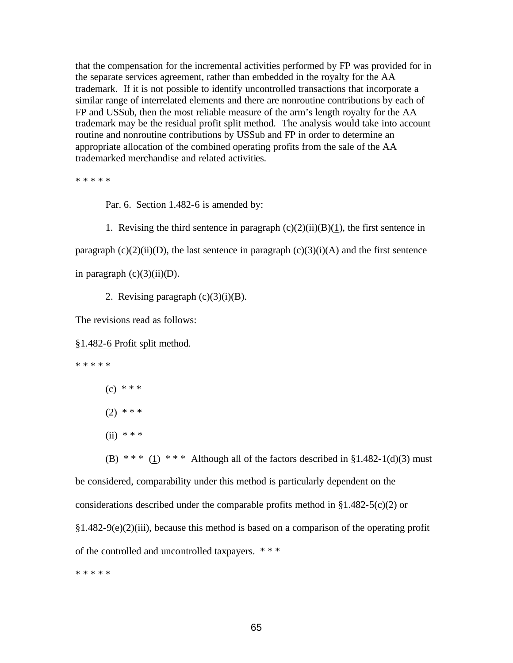that the compensation for the incremental activities performed by FP was provided for in the separate services agreement, rather than embedded in the royalty for the AA trademark. If it is not possible to identify uncontrolled transactions that incorporate a similar range of interrelated elements and there are nonroutine contributions by each of FP and USSub, then the most reliable measure of the arm's length royalty for the AA trademark may be the residual profit split method. The analysis would take into account routine and nonroutine contributions by USSub and FP in order to determine an appropriate allocation of the combined operating profits from the sale of the AA trademarked merchandise and related activities.

\* \* \* \* \*

Par. 6. Section 1.482-6 is amended by:

1. Revising the third sentence in paragraph  $(c)(2)(ii)(B)(1)$ , the first sentence in paragraph  $(c)(2)(ii)(D)$ , the last sentence in paragraph  $(c)(3)(i)(A)$  and the first sentence in paragraph  $(c)(3)(ii)(D)$ .

2. Revising paragraph  $(c)(3)(i)(B)$ .

The revisions read as follows:

§1.482-6 Profit split method.

\* \* \* \* \*

- $(c)$  \* \* \*
- $(2)$  \* \* \*
- (ii)  $* * *$

(B) \*\*\* (1) \*\*\* Although all of the factors described in  $\S 1.482-1(d)(3)$  must be considered, comparability under this method is particularly dependent on the considerations described under the comparable profits method in  $§1.482-5(c)(2)$  or  $§1.482-9(e)(2)(iii)$ , because this method is based on a comparison of the operating profit of the controlled and uncontrolled taxpayers. \* \* \*

\* \* \* \* \*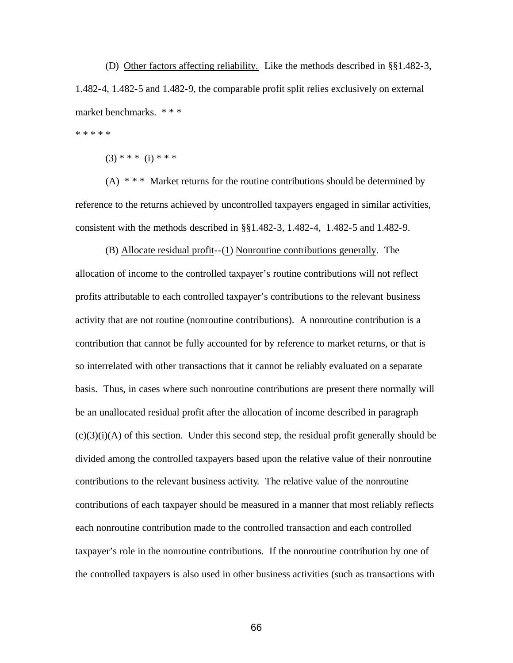(D) Other factors affecting reliability. Like the methods described in §§1.482-3, 1.482-4, 1.482-5 and 1.482-9, the comparable profit split relies exclusively on external market benchmarks. \* \* \*

\* \* \* \* \*

 $(3)$  \* \* \* (i) \* \* \*

 $(A)$  \* \* \* Market returns for the routine contributions should be determined by reference to the returns achieved by uncontrolled taxpayers engaged in similar activities, consistent with the methods described in §§1.482-3, 1.482-4, 1.482-5 and 1.482-9.

(B) Allocate residual profit--(1) Nonroutine contributions generally. The allocation of income to the controlled taxpayer's routine contributions will not reflect profits attributable to each controlled taxpayer's contributions to the relevant business activity that are not routine (nonroutine contributions). A nonroutine contribution is a contribution that cannot be fully accounted for by reference to market returns, or that is so interrelated with other transactions that it cannot be reliably evaluated on a separate basis. Thus, in cases where such nonroutine contributions are present there normally will be an unallocated residual profit after the allocation of income described in paragraph  $(c)(3)(i)(A)$  of this section. Under this second step, the residual profit generally should be divided among the controlled taxpayers based upon the relative value of their nonroutine contributions to the relevant business activity. The relative value of the nonroutine contributions of each taxpayer should be measured in a manner that most reliably reflects each nonroutine contribution made to the controlled transaction and each controlled taxpayer's role in the nonroutine contributions. If the nonroutine contribution by one of the controlled taxpayers is also used in other business activities (such as transactions with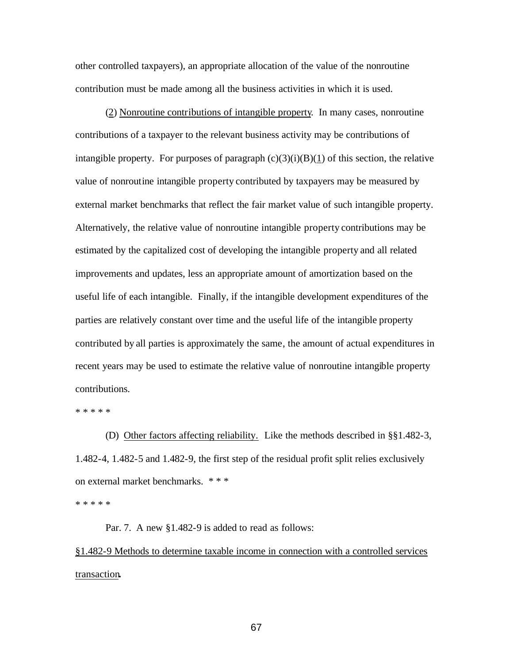other controlled taxpayers), an appropriate allocation of the value of the nonroutine contribution must be made among all the business activities in which it is used.

(2) Nonroutine contributions of intangible property. In many cases, nonroutine contributions of a taxpayer to the relevant business activity may be contributions of intangible property. For purposes of paragraph  $(c)(3)(i)(B)(1)$  of this section, the relative value of nonroutine intangible property contributed by taxpayers may be measured by external market benchmarks that reflect the fair market value of such intangible property. Alternatively, the relative value of nonroutine intangible property contributions may be estimated by the capitalized cost of developing the intangible property and all related improvements and updates, less an appropriate amount of amortization based on the useful life of each intangible. Finally, if the intangible development expenditures of the parties are relatively constant over time and the useful life of the intangible property contributed by all parties is approximately the same, the amount of actual expenditures in recent years may be used to estimate the relative value of nonroutine intangible property contributions.

\* \* \* \* \*

(D) Other factors affecting reliability. Like the methods described in §§1.482-3, 1.482-4, 1.482-5 and 1.482-9, the first step of the residual profit split relies exclusively on external market benchmarks. \* \* \*

\* \* \* \* \*

Par. 7. A new §1.482-9 is added to read as follows:

§1.482-9 Methods to determine taxable income in connection with a controlled services transaction**.**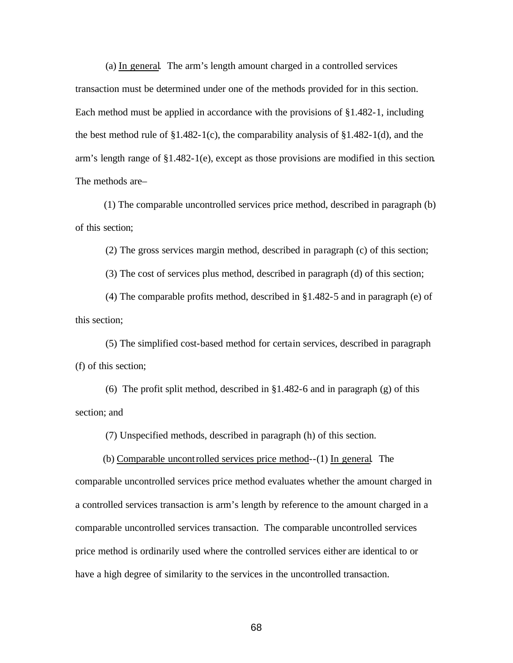(a) In general.The arm's length amount charged in a controlled services transaction must be determined under one of the methods provided for in this section. Each method must be applied in accordance with the provisions of §1.482-1, including the best method rule of  $\S1.482-1(c)$ , the comparability analysis of  $\S1.482-1(d)$ , and the arm's length range of §1.482-1(e), except as those provisions are modified in this section. The methods are–

 (1) The comparable uncontrolled services price method, described in paragraph (b) of this section;

(2) The gross services margin method, described in paragraph (c) of this section;

(3) The cost of services plus method, described in paragraph (d) of this section;

(4) The comparable profits method, described in §1.482-5 and in paragraph (e) of this section;

(5) The simplified cost-based method for certain services, described in paragraph (f) of this section;

(6) The profit split method, described in §1.482-6 and in paragraph (g) of this section; and

(7) Unspecified methods, described in paragraph (h) of this section.

 (b) Comparable uncontrolled services price method--(1) In general*.* The comparable uncontrolled services price method evaluates whether the amount charged in a controlled services transaction is arm's length by reference to the amount charged in a comparable uncontrolled services transaction. The comparable uncontrolled services price method is ordinarily used where the controlled services either are identical to or have a high degree of similarity to the services in the uncontrolled transaction.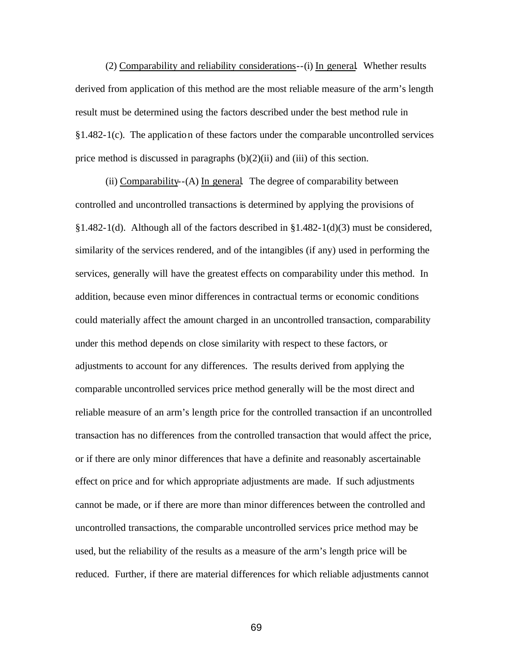(2) Comparability and reliability considerations--(i) In general*.* Whether results derived from application of this method are the most reliable measure of the arm's length result must be determined using the factors described under the best method rule in §1.482-1(c). The application of these factors under the comparable uncontrolled services price method is discussed in paragraphs  $(b)(2)(ii)$  and (iii) of this section.

(ii) Comparability--(A) In general*.* The degree of comparability between controlled and uncontrolled transactions is determined by applying the provisions of §1.482-1(d). Although all of the factors described in §1.482-1(d)(3) must be considered, similarity of the services rendered, and of the intangibles (if any) used in performing the services, generally will have the greatest effects on comparability under this method. In addition, because even minor differences in contractual terms or economic conditions could materially affect the amount charged in an uncontrolled transaction, comparability under this method depends on close similarity with respect to these factors, or adjustments to account for any differences. The results derived from applying the comparable uncontrolled services price method generally will be the most direct and reliable measure of an arm's length price for the controlled transaction if an uncontrolled transaction has no differences from the controlled transaction that would affect the price, or if there are only minor differences that have a definite and reasonably ascertainable effect on price and for which appropriate adjustments are made. If such adjustments cannot be made, or if there are more than minor differences between the controlled and uncontrolled transactions, the comparable uncontrolled services price method may be used, but the reliability of the results as a measure of the arm's length price will be reduced. Further, if there are material differences for which reliable adjustments cannot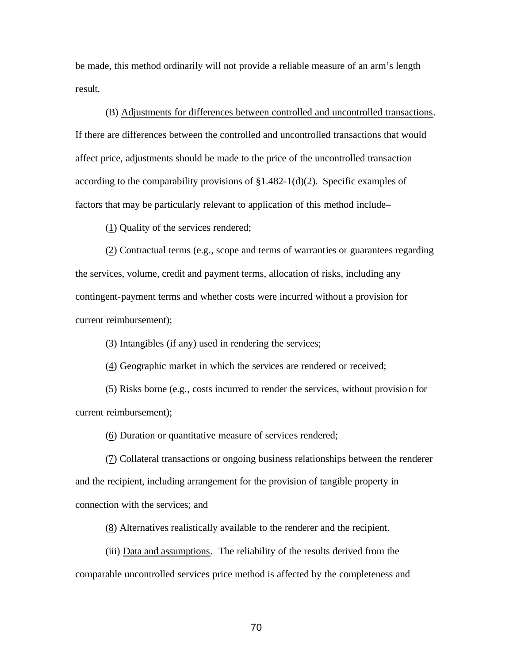be made, this method ordinarily will not provide a reliable measure of an arm's length result.

(B) Adjustments for differences between controlled and uncontrolled transactions*.*  If there are differences between the controlled and uncontrolled transactions that would affect price, adjustments should be made to the price of the uncontrolled transaction according to the comparability provisions of §1.482-1(d)(2). Specific examples of factors that may be particularly relevant to application of this method include–

(1) Quality of the services rendered;

(2) Contractual terms (e.g., scope and terms of warranties or guarantees regarding the services, volume, credit and payment terms, allocation of risks, including any contingent-payment terms and whether costs were incurred without a provision for current reimbursement);

(3) Intangibles (if any) used in rendering the services;

(4) Geographic market in which the services are rendered or received;

(5) Risks borne (e.g., costs incurred to render the services, without provision for current reimbursement);

(6) Duration or quantitative measure of services rendered;

(7) Collateral transactions or ongoing business relationships between the renderer and the recipient, including arrangement for the provision of tangible property in connection with the services; and

(8) Alternatives realistically available to the renderer and the recipient.

(iii) Data and assumptions*.* The reliability of the results derived from the comparable uncontrolled services price method is affected by the completeness and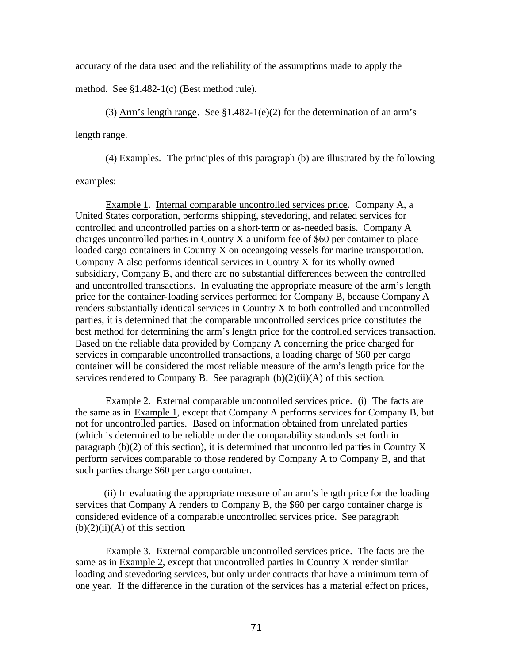accuracy of the data used and the reliability of the assumptions made to apply the

method. See §1.482-1(c) (Best method rule).

 (3) Arm's length range*.* See §1.482-1(e)(2) for the determination of an arm's length range.

(4) Examples*.* The principles of this paragraph (b) are illustrated by the following

examples:

Example 1. Internal comparable uncontrolled services price. Company A, a United States corporation, performs shipping, stevedoring, and related services for controlled and uncontrolled parties on a short-term or as-needed basis. Company A charges uncontrolled parties in Country X a uniform fee of \$60 per container to place loaded cargo containers in Country X on oceangoing vessels for marine transportation. Company A also performs identical services in Country X for its wholly owned subsidiary, Company B, and there are no substantial differences between the controlled and uncontrolled transactions. In evaluating the appropriate measure of the arm's length price for the container-loading services performed for Company B, because Company A renders substantially identical services in Country X to both controlled and uncontrolled parties, it is determined that the comparable uncontrolled services price constitutes the best method for determining the arm's length price for the controlled services transaction. Based on the reliable data provided by Company A concerning the price charged for services in comparable uncontrolled transactions, a loading charge of \$60 per cargo container will be considered the most reliable measure of the arm's length price for the services rendered to Company B. See paragraph  $(b)(2)(ii)(A)$  of this section.

Example 2. External comparable uncontrolled services price. (i) The facts are the same as in Example 1, except that Company A performs services for Company B, but not for uncontrolled parties. Based on information obtained from unrelated parties (which is determined to be reliable under the comparability standards set forth in paragraph (b)(2) of this section), it is determined that uncontrolled parties in Country X perform services comparable to those rendered by Company A to Company B, and that such parties charge \$60 per cargo container.

 (ii) In evaluating the appropriate measure of an arm's length price for the loading services that Company A renders to Company B, the \$60 per cargo container charge is considered evidence of a comparable uncontrolled services price. See paragraph  $(b)(2)(ii)(A)$  of this section.

Example 3. External comparable uncontrolled services price. The facts are the same as in Example 2, except that uncontrolled parties in Country X render similar loading and stevedoring services, but only under contracts that have a minimum term of one year. If the difference in the duration of the services has a material effect on prices,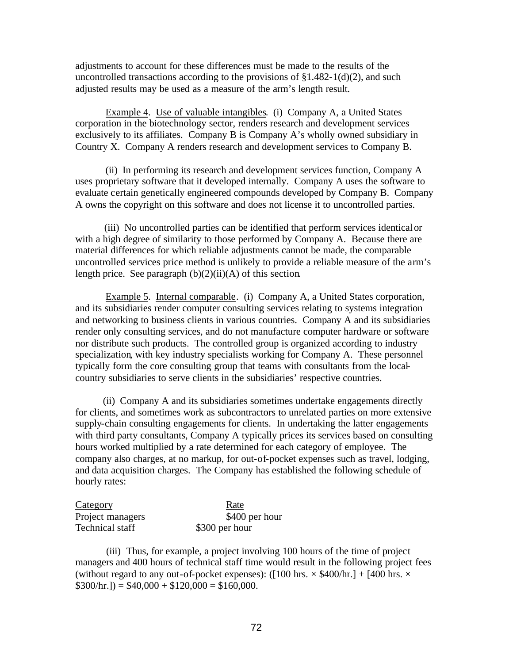adjustments to account for these differences must be made to the results of the uncontrolled transactions according to the provisions of  $$1.482-1(d)(2)$ , and such adjusted results may be used as a measure of the arm's length result.

 Example 4. Use of valuable intangibles. (i) Company A, a United States corporation in the biotechnology sector, renders research and development services exclusively to its affiliates. Company B is Company A's wholly owned subsidiary in Country X. Company A renders research and development services to Company B.

 (ii) In performing its research and development services function, Company A uses proprietary software that it developed internally. Company A uses the software to evaluate certain genetically engineered compounds developed by Company B. Company A owns the copyright on this software and does not license it to uncontrolled parties.

 (iii) No uncontrolled parties can be identified that perform services identical or with a high degree of similarity to those performed by Company A. Because there are material differences for which reliable adjustments cannot be made, the comparable uncontrolled services price method is unlikely to provide a reliable measure of the arm's length price. See paragraph  $(b)(2)(ii)(A)$  of this section.

Example 5. Internal comparable. (i) Company A, a United States corporation, and its subsidiaries render computer consulting services relating to systems integration and networking to business clients in various countries. Company A and its subsidiaries render only consulting services, and do not manufacture computer hardware or software nor distribute such products. The controlled group is organized according to industry specialization, with key industry specialists working for Company A. These personnel typically form the core consulting group that teams with consultants from the localcountry subsidiaries to serve clients in the subsidiaries' respective countries.

 (ii) Company A and its subsidiaries sometimes undertake engagements directly for clients, and sometimes work as subcontractors to unrelated parties on more extensive supply-chain consulting engagements for clients. In undertaking the latter engagements with third party consultants, Company A typically prices its services based on consulting hours worked multiplied by a rate determined for each category of employee. The company also charges, at no markup, for out-of-pocket expenses such as travel, lodging, and data acquisition charges. The Company has established the following schedule of hourly rates:

| Category         | Rate           |
|------------------|----------------|
| Project managers | \$400 per hour |
| Technical staff  | \$300 per hour |

(iii) Thus, for example, a project involving 100 hours of the time of project managers and 400 hours of technical staff time would result in the following project fees (without regard to any out-of-pocket expenses): ( $[100 \text{ hrs.} \times $400/\text{hr.}] + [400 \text{ hrs.} \times$  $$300/hr.$ ] =  $$40,000 + $120,000 = $160,000$ .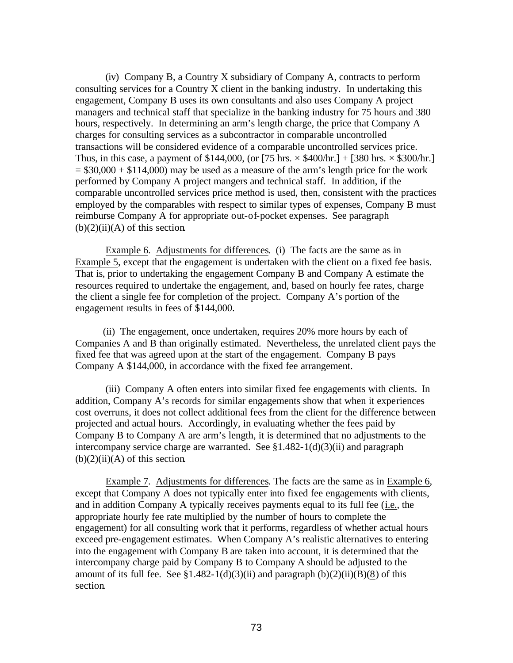(iv) Company B, a Country X subsidiary of Company A, contracts to perform consulting services for a Country X client in the banking industry. In undertaking this engagement, Company B uses its own consultants and also uses Company A project managers and technical staff that specialize in the banking industry for 75 hours and 380 hours, respectively. In determining an arm's length charge, the price that Company A charges for consulting services as a subcontractor in comparable uncontrolled transactions will be considered evidence of a comparable uncontrolled services price. Thus, in this case, a payment of \$144,000, (or  $[75 \text{ hrs.} \times $400 \text{/hr.}] + [380 \text{ hrs.} \times $300 \text{/hr.}]$  $= $30,000 + $114,000$  may be used as a measure of the arm's length price for the work performed by Company A project mangers and technical staff. In addition, if the comparable uncontrolled services price method is used, then, consistent with the practices employed by the comparables with respect to similar types of expenses, Company B must reimburse Company A for appropriate out-of-pocket expenses. See paragraph  $(b)(2)(ii)(A)$  of this section.

 Example 6. Adjustments for differences. (i) The facts are the same as in Example 5, except that the engagement is undertaken with the client on a fixed fee basis. That is, prior to undertaking the engagement Company B and Company A estimate the resources required to undertake the engagement, and, based on hourly fee rates, charge the client a single fee for completion of the project. Company A's portion of the engagement results in fees of \$144,000.

 (ii) The engagement, once undertaken, requires 20% more hours by each of Companies A and B than originally estimated. Nevertheless, the unrelated client pays the fixed fee that was agreed upon at the start of the engagement. Company B pays Company A \$144,000, in accordance with the fixed fee arrangement.

(iii) Company A often enters into similar fixed fee engagements with clients. In addition, Company A's records for similar engagements show that when it experiences cost overruns, it does not collect additional fees from the client for the difference between projected and actual hours. Accordingly, in evaluating whether the fees paid by Company B to Company A are arm's length, it is determined that no adjustments to the intercompany service charge are warranted. See  $$1.482-1(d)(3)(ii)$  and paragraph  $(b)(2)(ii)(A)$  of this section.

Example 7. Adjustments for differences. The facts are the same as in Example 6, except that Company A does not typically enter into fixed fee engagements with clients, and in addition Company A typically receives payments equal to its full fee (i.e., the appropriate hourly fee rate multiplied by the number of hours to complete the engagement) for all consulting work that it performs, regardless of whether actual hours exceed pre-engagement estimates. When Company A's realistic alternatives to entering into the engagement with Company B are taken into account, it is determined that the intercompany charge paid by Company B to Company A should be adjusted to the amount of its full fee. See  $$1.482-1(d)(3)(ii)$  and paragraph  $(b)(2)(ii)(B)(8)$  of this section.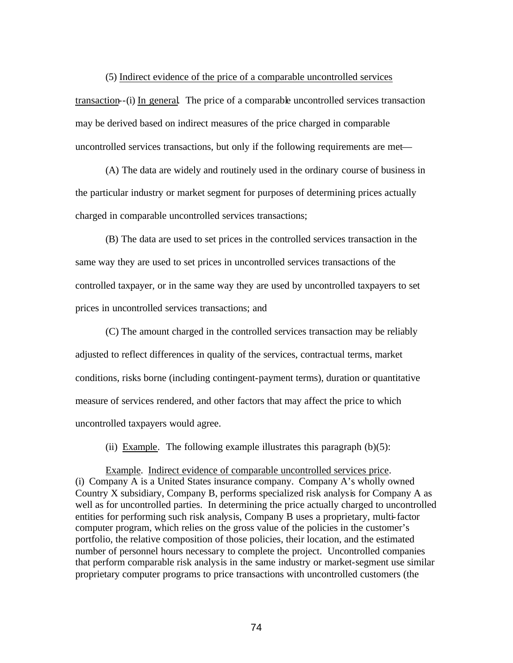(5) Indirect evidence of the price of a comparable uncontrolled services transaction--(i) In general*.* The price of a comparable uncontrolled services transaction may be derived based on indirect measures of the price charged in comparable uncontrolled services transactions, but only if the following requirements are met—

(A) The data are widely and routinely used in the ordinary course of business in the particular industry or market segment for purposes of determining prices actually charged in comparable uncontrolled services transactions;

(B) The data are used to set prices in the controlled services transaction in the same way they are used to set prices in uncontrolled services transactions of the controlled taxpayer, or in the same way they are used by uncontrolled taxpayers to set prices in uncontrolled services transactions; and

(C) The amount charged in the controlled services transaction may be reliably adjusted to reflect differences in quality of the services, contractual terms, market conditions, risks borne (including contingent-payment terms), duration or quantitative measure of services rendered, and other factors that may affect the price to which uncontrolled taxpayers would agree.

(ii) Example. The following example illustrates this paragraph  $(b)(5)$ :

Example. Indirect evidence of comparable uncontrolled services price. (i) Company A is a United States insurance company. Company A's wholly owned Country X subsidiary, Company B, performs specialized risk analysis for Company A as well as for uncontrolled parties. In determining the price actually charged to uncontrolled entities for performing such risk analysis, Company B uses a proprietary, multi-factor computer program, which relies on the gross value of the policies in the customer's portfolio, the relative composition of those policies, their location, and the estimated number of personnel hours necessary to complete the project. Uncontrolled companies that perform comparable risk analysis in the same industry or market-segment use similar proprietary computer programs to price transactions with uncontrolled customers (the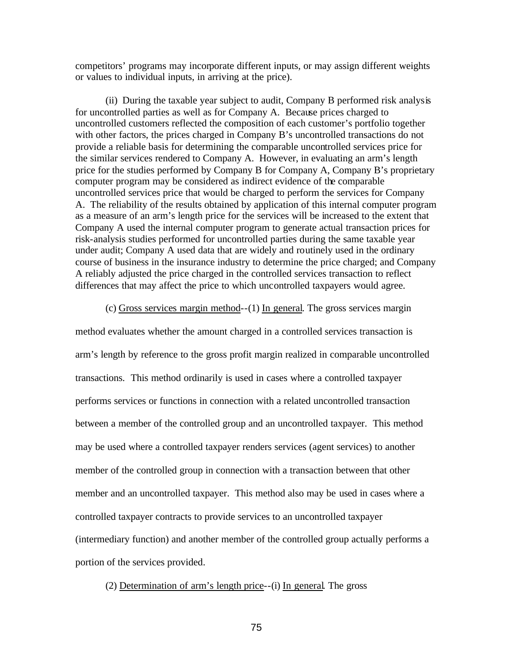competitors' programs may incorporate different inputs, or may assign different weights or values to individual inputs, in arriving at the price).

(ii) During the taxable year subject to audit, Company B performed risk analysis for uncontrolled parties as well as for Company A. Because prices charged to uncontrolled customers reflected the composition of each customer's portfolio together with other factors, the prices charged in Company B's uncontrolled transactions do not provide a reliable basis for determining the comparable uncontrolled services price for the similar services rendered to Company A. However, in evaluating an arm's length price for the studies performed by Company B for Company A, Company B's proprietary computer program may be considered as indirect evidence of the comparable uncontrolled services price that would be charged to perform the services for Company A. The reliability of the results obtained by application of this internal computer program as a measure of an arm's length price for the services will be increased to the extent that Company A used the internal computer program to generate actual transaction prices for risk-analysis studies performed for uncontrolled parties during the same taxable year under audit; Company A used data that are widely and routinely used in the ordinary course of business in the insurance industry to determine the price charged; and Company A reliably adjusted the price charged in the controlled services transaction to reflect differences that may affect the price to which uncontrolled taxpayers would agree.

(c) Gross services margin method--(1) In general. The gross services margin

method evaluates whether the amount charged in a controlled services transaction is arm's length by reference to the gross profit margin realized in comparable uncontrolled transactions. This method ordinarily is used in cases where a controlled taxpayer performs services or functions in connection with a related uncontrolled transaction between a member of the controlled group and an uncontrolled taxpayer. This method may be used where a controlled taxpayer renders services (agent services) to another member of the controlled group in connection with a transaction between that other member and an uncontrolled taxpayer. This method also may be used in cases where a controlled taxpayer contracts to provide services to an uncontrolled taxpayer (intermediary function) and another member of the controlled group actually performs a portion of the services provided.

(2) Determination of arm's length price--(i) In general. The gross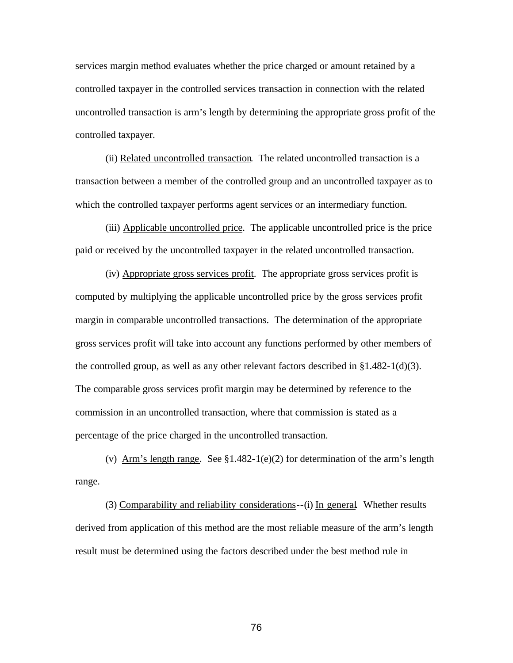services margin method evaluates whether the price charged or amount retained by a controlled taxpayer in the controlled services transaction in connection with the related uncontrolled transaction is arm's length by determining the appropriate gross profit of the controlled taxpayer.

(ii) Related uncontrolled transaction. The related uncontrolled transaction is a transaction between a member of the controlled group and an uncontrolled taxpayer as to which the controlled taxpayer performs agent services or an intermediary function.

(iii) Applicable uncontrolled price. The applicable uncontrolled price is the price paid or received by the uncontrolled taxpayer in the related uncontrolled transaction.

(iv) Appropriate gross services profit. The appropriate gross services profit is computed by multiplying the applicable uncontrolled price by the gross services profit margin in comparable uncontrolled transactions. The determination of the appropriate gross services profit will take into account any functions performed by other members of the controlled group, as well as any other relevant factors described in  $\S1.482-1(d)(3)$ . The comparable gross services profit margin may be determined by reference to the commission in an uncontrolled transaction, where that commission is stated as a percentage of the price charged in the uncontrolled transaction.

(v) Arm's length range*.* See §1.482-1(e)(2) for determination of the arm's length range.

(3) Comparability and reliability considerations--(i) In general*.* Whether results derived from application of this method are the most reliable measure of the arm's length result must be determined using the factors described under the best method rule in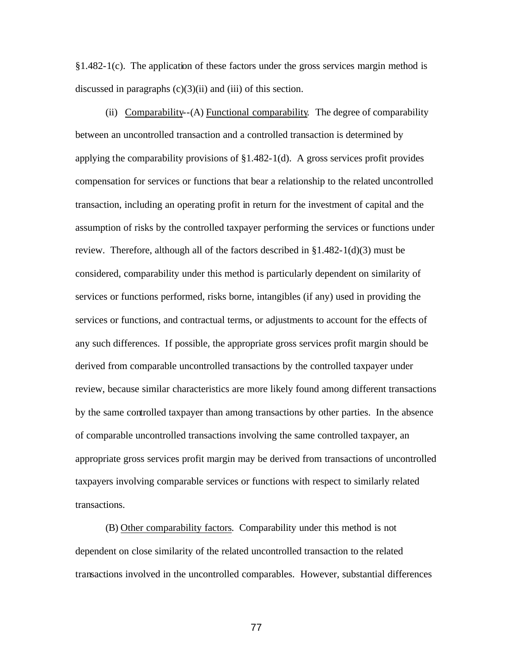§1.482-1(c). The application of these factors under the gross services margin method is discussed in paragraphs  $(c)(3)(ii)$  and  $(iii)$  of this section.

(ii) Comparability--(A) Functional comparability*.* The degree of comparability between an uncontrolled transaction and a controlled transaction is determined by applying the comparability provisions of §1.482-1(d). A gross services profit provides compensation for services or functions that bear a relationship to the related uncontrolled transaction, including an operating profit in return for the investment of capital and the assumption of risks by the controlled taxpayer performing the services or functions under review. Therefore, although all of the factors described in §1.482-1(d)(3) must be considered, comparability under this method is particularly dependent on similarity of services or functions performed, risks borne, intangibles (if any) used in providing the services or functions, and contractual terms, or adjustments to account for the effects of any such differences. If possible, the appropriate gross services profit margin should be derived from comparable uncontrolled transactions by the controlled taxpayer under review, because similar characteristics are more likely found among different transactions by the same controlled taxpayer than among transactions by other parties. In the absence of comparable uncontrolled transactions involving the same controlled taxpayer, an appropriate gross services profit margin may be derived from transactions of uncontrolled taxpayers involving comparable services or functions with respect to similarly related transactions.

(B) Other comparability factors*.* Comparability under this method is not dependent on close similarity of the related uncontrolled transaction to the related transactions involved in the uncontrolled comparables. However, substantial differences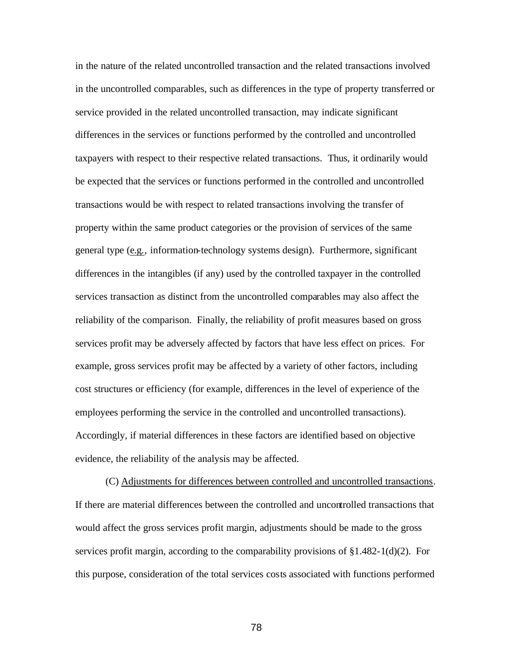in the nature of the related uncontrolled transaction and the related transactions involved in the uncontrolled comparables, such as differences in the type of property transferred or service provided in the related uncontrolled transaction, may indicate significant differences in the services or functions performed by the controlled and uncontrolled taxpayers with respect to their respective related transactions.Thus, it ordinarily would be expected that the services or functions performed in the controlled and uncontrolled transactions would be with respect to related transactions involving the transfer of property within the same product categories or the provision of services of the same general type (e.g., information-technology systems design). Furthermore, significant differences in the intangibles (if any) used by the controlled taxpayer in the controlled services transaction as distinct from the uncontrolled comparables may also affect the reliability of the comparison. Finally, the reliability of profit measures based on gross services profit may be adversely affected by factors that have less effect on prices. For example, gross services profit may be affected by a variety of other factors, including cost structures or efficiency (for example, differences in the level of experience of the employees performing the service in the controlled and uncontrolled transactions). Accordingly, if material differences in these factors are identified based on objective evidence, the reliability of the analysis may be affected.

(C) Adjustments for differences between controlled and uncontrolled transactions*.*  If there are material differences between the controlled and uncontrolled transactions that would affect the gross services profit margin, adjustments should be made to the gross services profit margin, according to the comparability provisions of  $\S 1.482-1(d)(2)$ . For this purpose, consideration of the total services costs associated with functions performed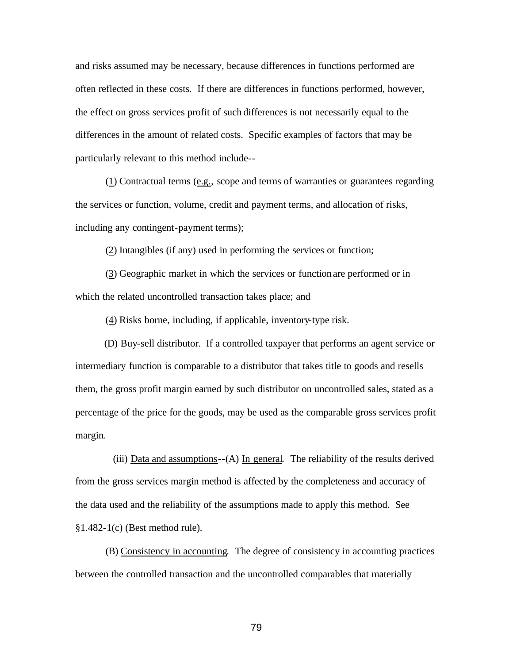and risks assumed may be necessary, because differences in functions performed are often reflected in these costs. If there are differences in functions performed, however, the effect on gross services profit of such differences is not necessarily equal to the differences in the amount of related costs. Specific examples of factors that may be particularly relevant to this method include--

(1) Contractual terms (e.g., scope and terms of warranties or guarantees regarding the services or function, volume, credit and payment terms, and allocation of risks, including any contingent-payment terms);

(2) Intangibles (if any) used in performing the services or function;

(3) Geographic market in which the services or function are performed or in which the related uncontrolled transaction takes place; and

(4) Risks borne, including, if applicable, inventory-type risk.

(D) Buy-sell distributor. If a controlled taxpayer that performs an agent service or intermediary function is comparable to a distributor that takes title to goods and resells them, the gross profit margin earned by such distributor on uncontrolled sales, stated as a percentage of the price for the goods, may be used as the comparable gross services profit margin.

(iii) Data and assumptions--(A) In general*.* The reliability of the results derived from the gross services margin method is affected by the completeness and accuracy of the data used and the reliability of the assumptions made to apply this method. See §1.482-1(c) (Best method rule).

(B) Consistency in accounting*.* The degree of consistency in accounting practices between the controlled transaction and the uncontrolled comparables that materially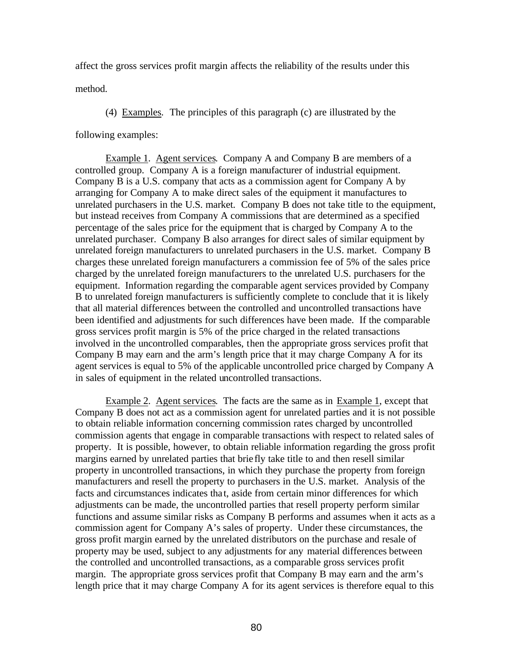affect the gross services profit margin affects the reliability of the results under this

method.

(4) Examples*.* The principles of this paragraph (c) are illustrated by the

following examples:

Example 1. Agent services. Company A and Company B are members of a controlled group. Company A is a foreign manufacturer of industrial equipment. Company B is a U.S. company that acts as a commission agent for Company A by arranging for Company A to make direct sales of the equipment it manufactures to unrelated purchasers in the U.S. market. Company B does not take title to the equipment, but instead receives from Company A commissions that are determined as a specified percentage of the sales price for the equipment that is charged by Company A to the unrelated purchaser. Company B also arranges for direct sales of similar equipment by unrelated foreign manufacturers to unrelated purchasers in the U.S. market. Company B charges these unrelated foreign manufacturers a commission fee of 5% of the sales price charged by the unrelated foreign manufacturers to the unrelated U.S. purchasers for the equipment. Information regarding the comparable agent services provided by Company B to unrelated foreign manufacturers is sufficiently complete to conclude that it is likely that all material differences between the controlled and uncontrolled transactions have been identified and adjustments for such differences have been made. If the comparable gross services profit margin is 5% of the price charged in the related transactions involved in the uncontrolled comparables, then the appropriate gross services profit that Company B may earn and the arm's length price that it may charge Company A for its agent services is equal to 5% of the applicable uncontrolled price charged by Company A in sales of equipment in the related uncontrolled transactions.

Example 2. Agent services. The facts are the same as in Example 1, except that Company B does not act as a commission agent for unrelated parties and it is not possible to obtain reliable information concerning commission rates charged by uncontrolled commission agents that engage in comparable transactions with respect to related sales of property. It is possible, however, to obtain reliable information regarding the gross profit margins earned by unrelated parties that brie fly take title to and then resell similar property in uncontrolled transactions, in which they purchase the property from foreign manufacturers and resell the property to purchasers in the U.S. market. Analysis of the facts and circumstances indicates tha t, aside from certain minor differences for which adjustments can be made, the uncontrolled parties that resell property perform similar functions and assume similar risks as Company B performs and assumes when it acts as a commission agent for Company A's sales of property. Under these circumstances, the gross profit margin earned by the unrelated distributors on the purchase and resale of property may be used, subject to any adjustments for any material differences between the controlled and uncontrolled transactions, as a comparable gross services profit margin. The appropriate gross services profit that Company B may earn and the arm's length price that it may charge Company A for its agent services is therefore equal to this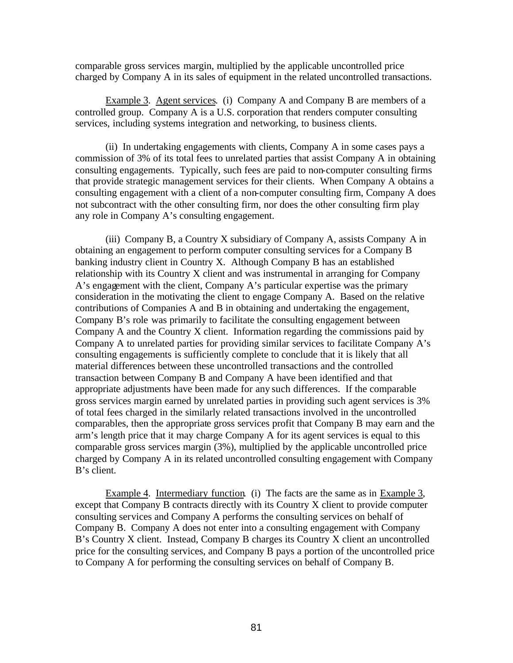comparable gross services margin, multiplied by the applicable uncontrolled price charged by Company A in its sales of equipment in the related uncontrolled transactions.

Example 3. Agent services. (i) Company A and Company B are members of a controlled group. Company A is a U.S. corporation that renders computer consulting services, including systems integration and networking, to business clients.

(ii) In undertaking engagements with clients, Company A in some cases pays a commission of 3% of its total fees to unrelated parties that assist Company A in obtaining consulting engagements. Typically, such fees are paid to non-computer consulting firms that provide strategic management services for their clients. When Company A obtains a consulting engagement with a client of a non-computer consulting firm, Company A does not subcontract with the other consulting firm, nor does the other consulting firm play any role in Company A's consulting engagement.

(iii) Company B, a Country X subsidiary of Company A, assists Company A in obtaining an engagement to perform computer consulting services for a Company B banking industry client in Country X. Although Company B has an established relationship with its Country X client and was instrumental in arranging for Company A's engagement with the client, Company A's particular expertise was the primary consideration in the motivating the client to engage Company A. Based on the relative contributions of Companies A and B in obtaining and undertaking the engagement, Company B's role was primarily to facilitate the consulting engagement between Company A and the Country X client. Information regarding the commissions paid by Company A to unrelated parties for providing similar services to facilitate Company A's consulting engagements is sufficiently complete to conclude that it is likely that all material differences between these uncontrolled transactions and the controlled transaction between Company B and Company A have been identified and that appropriate adjustments have been made for any such differences. If the comparable gross services margin earned by unrelated parties in providing such agent services is 3% of total fees charged in the similarly related transactions involved in the uncontrolled comparables, then the appropriate gross services profit that Company B may earn and the arm's length price that it may charge Company A for its agent services is equal to this comparable gross services margin (3%), multiplied by the applicable uncontrolled price charged by Company A in its related uncontrolled consulting engagement with Company B's client.

Example 4. Intermediary function. (i) The facts are the same as in Example 3, except that Company B contracts directly with its Country X client to provide computer consulting services and Company A performs the consulting services on behalf of Company B. Company A does not enter into a consulting engagement with Company B's Country X client. Instead, Company B charges its Country X client an uncontrolled price for the consulting services, and Company B pays a portion of the uncontrolled price to Company A for performing the consulting services on behalf of Company B.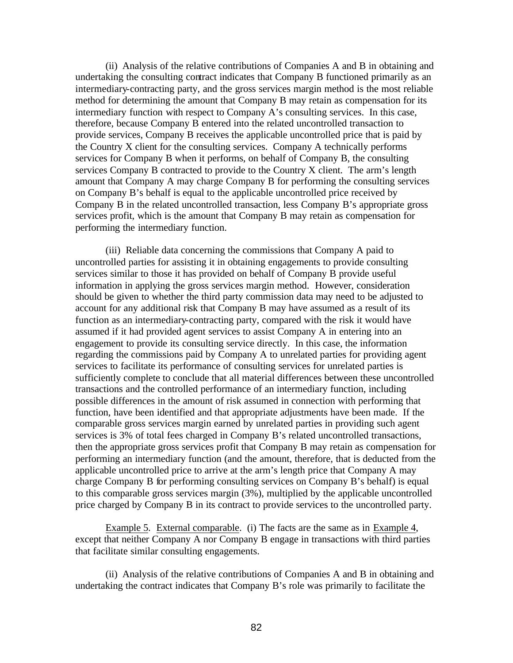(ii) Analysis of the relative contributions of Companies A and B in obtaining and undertaking the consulting contract indicates that Company B functioned primarily as an intermediary-contracting party, and the gross services margin method is the most reliable method for determining the amount that Company B may retain as compensation for its intermediary function with respect to Company A's consulting services. In this case, therefore, because Company B entered into the related uncontrolled transaction to provide services, Company B receives the applicable uncontrolled price that is paid by the Country X client for the consulting services. Company A technically performs services for Company B when it performs, on behalf of Company B, the consulting services Company B contracted to provide to the Country X client. The arm's length amount that Company A may charge Company B for performing the consulting services on Company B's behalf is equal to the applicable uncontrolled price received by Company B in the related uncontrolled transaction, less Company B's appropriate gross services profit, which is the amount that Company B may retain as compensation for performing the intermediary function.

(iii) Reliable data concerning the commissions that Company A paid to uncontrolled parties for assisting it in obtaining engagements to provide consulting services similar to those it has provided on behalf of Company B provide useful information in applying the gross services margin method. However, consideration should be given to whether the third party commission data may need to be adjusted to account for any additional risk that Company B may have assumed as a result of its function as an intermediary-contracting party, compared with the risk it would have assumed if it had provided agent services to assist Company A in entering into an engagement to provide its consulting service directly. In this case, the information regarding the commissions paid by Company A to unrelated parties for providing agent services to facilitate its performance of consulting services for unrelated parties is sufficiently complete to conclude that all material differences between these uncontrolled transactions and the controlled performance of an intermediary function, including possible differences in the amount of risk assumed in connection with performing that function, have been identified and that appropriate adjustments have been made. If the comparable gross services margin earned by unrelated parties in providing such agent services is 3% of total fees charged in Company B's related uncontrolled transactions, then the appropriate gross services profit that Company B may retain as compensation for performing an intermediary function (and the amount, therefore, that is deducted from the applicable uncontrolled price to arrive at the arm's length price that Company A may charge Company B for performing consulting services on Company B's behalf) is equal to this comparable gross services margin (3%), multiplied by the applicable uncontrolled price charged by Company B in its contract to provide services to the uncontrolled party.

Example 5. External comparable. (i) The facts are the same as in Example 4, except that neither Company A nor Company B engage in transactions with third parties that facilitate similar consulting engagements.

(ii) Analysis of the relative contributions of Companies A and B in obtaining and undertaking the contract indicates that Company B's role was primarily to facilitate the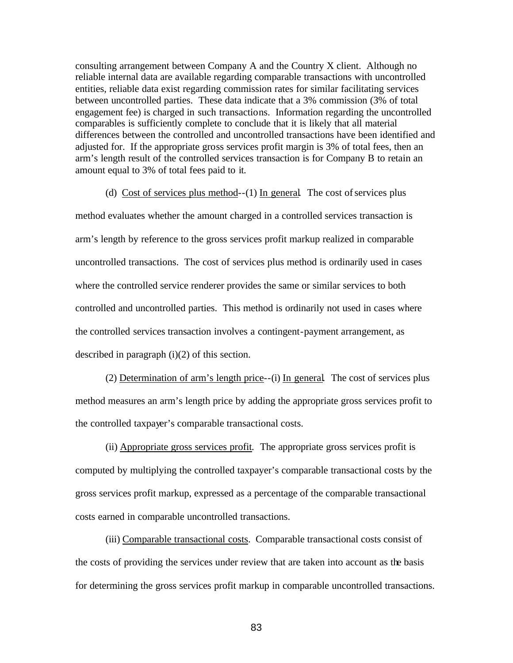consulting arrangement between Company A and the Country X client. Although no reliable internal data are available regarding comparable transactions with uncontrolled entities, reliable data exist regarding commission rates for similar facilitating services between uncontrolled parties. These data indicate that a 3% commission (3% of total engagement fee) is charged in such transactions. Information regarding the uncontrolled comparables is sufficiently complete to conclude that it is likely that all material differences between the controlled and uncontrolled transactions have been identified and adjusted for. If the appropriate gross services profit margin is 3% of total fees, then an arm's length result of the controlled services transaction is for Company B to retain an amount equal to 3% of total fees paid to it.

(d) Cost of services plus method--(1) In general*.* The cost of services plus method evaluates whether the amount charged in a controlled services transaction is arm's length by reference to the gross services profit markup realized in comparable uncontrolled transactions. The cost of services plus method is ordinarily used in cases where the controlled service renderer provides the same or similar services to both controlled and uncontrolled parties. This method is ordinarily not used in cases where the controlled services transaction involves a contingent-payment arrangement, as described in paragraph (i)(2) of this section.

(2) Determination of arm's length price--(i) In general*.* The cost of services plus method measures an arm's length price by adding the appropriate gross services profit to the controlled taxpayer's comparable transactional costs.

(ii) Appropriate gross services profit*.* The appropriate gross services profit is computed by multiplying the controlled taxpayer's comparable transactional costs by the gross services profit markup, expressed as a percentage of the comparable transactional costs earned in comparable uncontrolled transactions.

(iii) Comparable transactional costs. Comparable transactional costs consist of the costs of providing the services under review that are taken into account as the basis for determining the gross services profit markup in comparable uncontrolled transactions.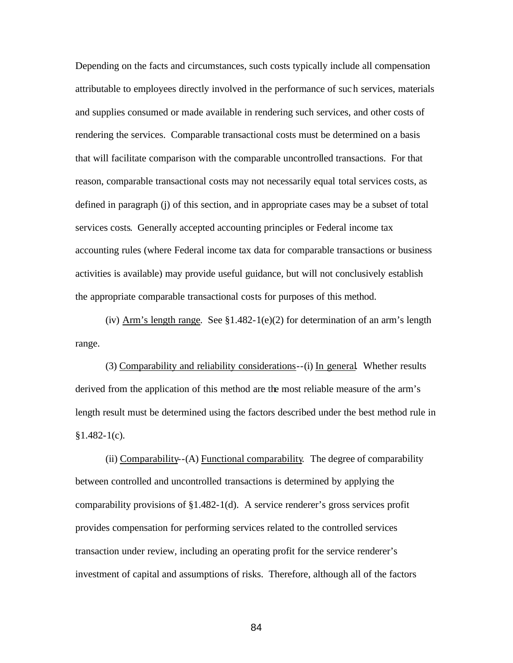Depending on the facts and circumstances, such costs typically include all compensation attributable to employees directly involved in the performance of such services, materials and supplies consumed or made available in rendering such services, and other costs of rendering the services. Comparable transactional costs must be determined on a basis that will facilitate comparison with the comparable uncontrolled transactions. For that reason, comparable transactional costs may not necessarily equal total services costs, as defined in paragraph (j) of this section, and in appropriate cases may be a subset of total services costs. Generally accepted accounting principles or Federal income tax accounting rules (where Federal income tax data for comparable transactions or business activities is available) may provide useful guidance, but will not conclusively establish the appropriate comparable transactional costs for purposes of this method.

(iv) Arm's length range*.* See §1.482-1(e)(2) for determination of an arm's length range.

(3) Comparability and reliability considerations--(i) In general*.* Whether results derived from the application of this method are the most reliable measure of the arm's length result must be determined using the factors described under the best method rule in  $§1.482-1(c).$ 

(ii) Comparability--(A) Functional comparability*.* The degree of comparability between controlled and uncontrolled transactions is determined by applying the comparability provisions of §1.482-1(d). A service renderer's gross services profit provides compensation for performing services related to the controlled services transaction under review, including an operating profit for the service renderer's investment of capital and assumptions of risks. Therefore, although all of the factors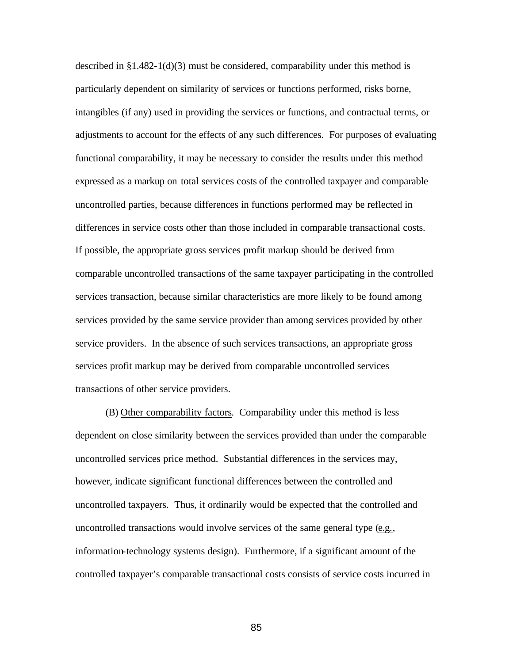described in  $\S1.482-1(d)(3)$  must be considered, comparability under this method is particularly dependent on similarity of services or functions performed, risks borne, intangibles (if any) used in providing the services or functions, and contractual terms, or adjustments to account for the effects of any such differences. For purposes of evaluating functional comparability, it may be necessary to consider the results under this method expressed as a markup on total services costs of the controlled taxpayer and comparable uncontrolled parties, because differences in functions performed may be reflected in differences in service costs other than those included in comparable transactional costs. If possible, the appropriate gross services profit markup should be derived from comparable uncontrolled transactions of the same taxpayer participating in the controlled services transaction, because similar characteristics are more likely to be found among services provided by the same service provider than among services provided by other service providers. In the absence of such services transactions, an appropriate gross services profit markup may be derived from comparable uncontrolled services transactions of other service providers.

(B) Other comparability factors*.* Comparability under this method is less dependent on close similarity between the services provided than under the comparable uncontrolled services price method. Substantial differences in the services may, however, indicate significant functional differences between the controlled and uncontrolled taxpayers. Thus, it ordinarily would be expected that the controlled and uncontrolled transactions would involve services of the same general type (e.g., information-technology systems design). Furthermore, if a significant amount of the controlled taxpayer's comparable transactional costs consists of service costs incurred in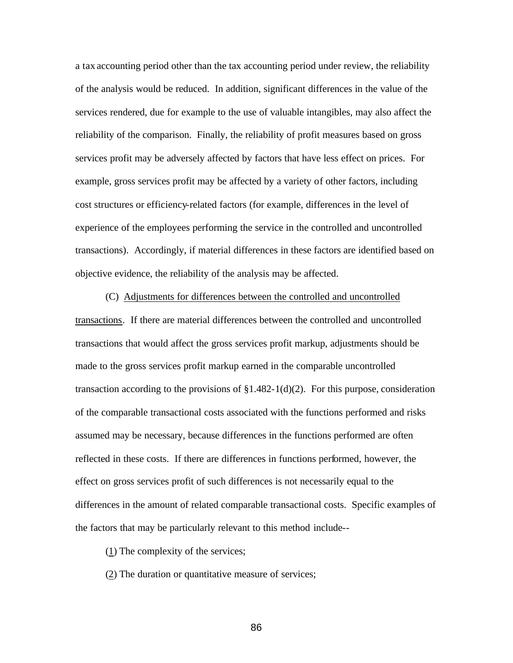a tax accounting period other than the tax accounting period under review, the reliability of the analysis would be reduced. In addition, significant differences in the value of the services rendered, due for example to the use of valuable intangibles, may also affect the reliability of the comparison. Finally, the reliability of profit measures based on gross services profit may be adversely affected by factors that have less effect on prices. For example, gross services profit may be affected by a variety of other factors, including cost structures or efficiency-related factors (for example, differences in the level of experience of the employees performing the service in the controlled and uncontrolled transactions). Accordingly, if material differences in these factors are identified based on objective evidence, the reliability of the analysis may be affected.

(C) Adjustments for differences between the controlled and uncontrolled transactions.If there are material differences between the controlled and uncontrolled transactions that would affect the gross services profit markup, adjustments should be made to the gross services profit markup earned in the comparable uncontrolled transaction according to the provisions of  $\S1.482-1(d)(2)$ . For this purpose, consideration of the comparable transactional costs associated with the functions performed and risks assumed may be necessary, because differences in the functions performed are often reflected in these costs. If there are differences in functions performed, however, the effect on gross services profit of such differences is not necessarily equal to the differences in the amount of related comparable transactional costs. Specific examples of the factors that may be particularly relevant to this method include--

(1) The complexity of the services;

(2) The duration or quantitative measure of services;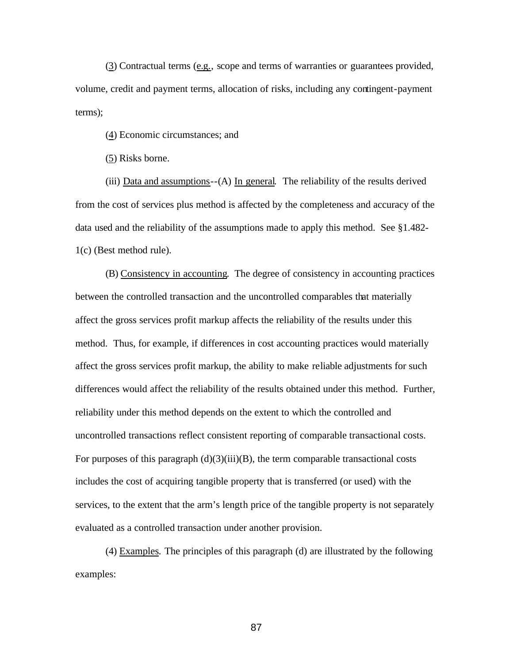(3) Contractual terms (e.g., scope and terms of warranties or guarantees provided, volume, credit and payment terms, allocation of risks, including any contingent-payment terms);

(4) Economic circumstances; and

(5) Risks borne.

(iii) Data and assumptions--(A) In general*.* The reliability of the results derived from the cost of services plus method is affected by the completeness and accuracy of the data used and the reliability of the assumptions made to apply this method. See §1.482- 1(c) (Best method rule).

(B) Consistency in accounting. The degree of consistency in accounting practices between the controlled transaction and the uncontrolled comparables that materially affect the gross services profit markup affects the reliability of the results under this method. Thus, for example, if differences in cost accounting practices would materially affect the gross services profit markup, the ability to make reliable adjustments for such differences would affect the reliability of the results obtained under this method. Further, reliability under this method depends on the extent to which the controlled and uncontrolled transactions reflect consistent reporting of comparable transactional costs. For purposes of this paragraph  $(d)(3)(iii)(B)$ , the term comparable transactional costs includes the cost of acquiring tangible property that is transferred (or used) with the services, to the extent that the arm's length price of the tangible property is not separately evaluated as a controlled transaction under another provision.

(4) Examples*.* The principles of this paragraph (d) are illustrated by the following examples: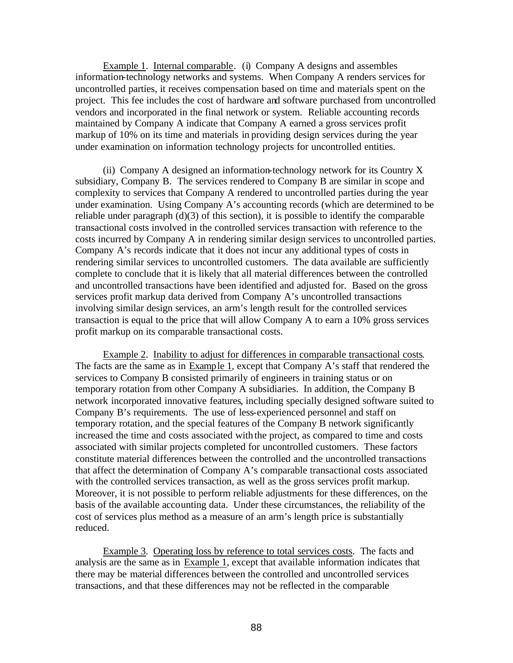Example 1. Internal comparable. (i) Company A designs and assembles information-technology networks and systems. When Company A renders services for uncontrolled parties, it receives compensation based on time and materials spent on the project. This fee includes the cost of hardware and software purchased from uncontrolled vendors and incorporated in the final network or system. Reliable accounting records maintained by Company A indicate that Company A earned a gross services profit markup of 10% on its time and materials in providing design services during the year under examination on information technology projects for uncontrolled entities.

 (ii) Company A designed an information-technology network for its Country X subsidiary, Company B. The services rendered to Company B are similar in scope and complexity to services that Company A rendered to uncontrolled parties during the year under examination. Using Company A's accounting records (which are determined to be reliable under paragraph (d)(3) of this section), it is possible to identify the comparable transactional costs involved in the controlled services transaction with reference to the costs incurred by Company A in rendering similar design services to uncontrolled parties. Company A's records indicate that it does not incur any additional types of costs in rendering similar services to uncontrolled customers. The data available are sufficiently complete to conclude that it is likely that all material differences between the controlled and uncontrolled transactions have been identified and adjusted for. Based on the gross services profit markup data derived from Company A's uncontrolled transactions involving similar design services, an arm's length result for the controlled services transaction is equal to the price that will allow Company A to earn a 10% gross services profit markup on its comparable transactional costs.

 Example 2. Inability to adjust for differences in comparable transactional costs. The facts are the same as in Example 1, except that Company A's staff that rendered the services to Company B consisted primarily of engineers in training status or on temporary rotation from other Company A subsidiaries. In addition, the Company B network incorporated innovative features, including specially designed software suited to Company B's requirements. The use of less-experienced personnel and staff on temporary rotation, and the special features of the Company B network significantly increased the time and costs associated with the project, as compared to time and costs associated with similar projects completed for uncontrolled customers. These factors constitute material differences between the controlled and the uncontrolled transactions that affect the determination of Company A's comparable transactional costs associated with the controlled services transaction, as well as the gross services profit markup. Moreover, it is not possible to perform reliable adjustments for these differences, on the basis of the available accounting data. Under these circumstances, the reliability of the cost of services plus method as a measure of an arm's length price is substantially reduced.

 Example 3. Operating loss by reference to total services costs. The facts and analysis are the same as in Example 1, except that available information indicates that there may be material differences between the controlled and uncontrolled services transactions, and that these differences may not be reflected in the comparable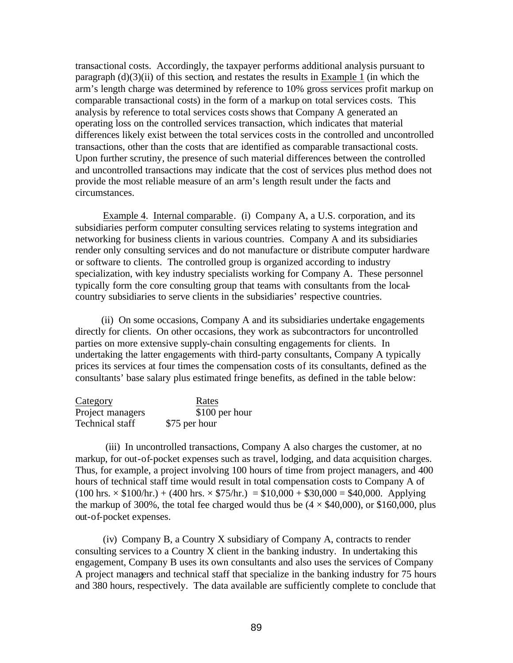transactional costs. Accordingly, the taxpayer performs additional analysis pursuant to paragraph  $(d)(3)(ii)$  of this section, and restates the results in Example 1 (in which the arm's length charge was determined by reference to 10% gross services profit markup on comparable transactional costs) in the form of a markup on total services costs. This analysis by reference to total services costsshows that Company A generated an operating loss on the controlled services transaction, which indicates that material differences likely exist between the total services costs in the controlled and uncontrolled transactions, other than the costs that are identified as comparable transactional costs. Upon further scrutiny, the presence of such material differences between the controlled and uncontrolled transactions may indicate that the cost of services plus method does not provide the most reliable measure of an arm's length result under the facts and circumstances.

 Example 4. Internal comparable. (i) Company A, a U.S. corporation, and its subsidiaries perform computer consulting services relating to systems integration and networking for business clients in various countries. Company A and its subsidiaries render only consulting services and do not manufacture or distribute computer hardware or software to clients. The controlled group is organized according to industry specialization, with key industry specialists working for Company A. These personnel typically form the core consulting group that teams with consultants from the localcountry subsidiaries to serve clients in the subsidiaries' respective countries.

 (ii) On some occasions, Company A and its subsidiaries undertake engagements directly for clients. On other occasions, they work as subcontractors for uncontrolled parties on more extensive supply-chain consulting engagements for clients. In undertaking the latter engagements with third-party consultants, Company A typically prices its services at four times the compensation costs of its consultants, defined as the consultants' base salary plus estimated fringe benefits, as defined in the table below:

| Category         | Rates          |
|------------------|----------------|
| Project managers | \$100 per hour |
| Technical staff  | \$75 per hour  |

(iii) In uncontrolled transactions, Company A also charges the customer, at no markup, for out-of-pocket expenses such as travel, lodging, and data acquisition charges. Thus, for example, a project involving 100 hours of time from project managers, and 400 hours of technical staff time would result in total compensation costs to Company A of  $(100 \text{ hrs.} \times $100/\text{hr.}) + (400 \text{ hrs.} \times $75/\text{hr.}) = $10,000 + $30,000 = $40,000$ . Applying the markup of 300%, the total fee charged would thus be  $(4 \times $40,000)$ , or \$160,000, plus out-of-pocket expenses.

 (iv) Company B, a Country X subsidiary of Company A, contracts to render consulting services to a Country X client in the banking industry. In undertaking this engagement, Company B uses its own consultants and also uses the services of Company A project managers and technical staff that specialize in the banking industry for 75 hours and 380 hours, respectively. The data available are sufficiently complete to conclude that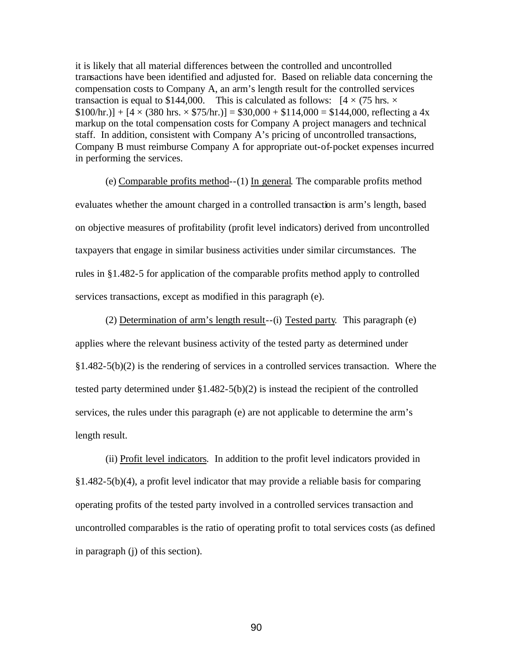it is likely that all material differences between the controlled and uncontrolled transactions have been identified and adjusted for. Based on reliable data concerning the compensation costs to Company A, an arm's length result for the controlled services transaction is equal to \$144,000. This is calculated as follows:  $[4 \times (75 \text{ hrs.} \times$  $$100/hr.$ ] + [4 × (380 hrs. × \$75/hr.)] = \$30,000 + \$114,000 = \$144,000, reflecting a 4x markup on the total compensation costs for Company A project managers and technical staff. In addition, consistent with Company A's pricing of uncontrolled transactions, Company B must reimburse Company A for appropriate out-of-pocket expenses incurred in performing the services.

(e) Comparable profits method--(1) In general*.* The comparable profits method evaluates whether the amount charged in a controlled transaction is arm's length, based on objective measures of profitability (profit level indicators) derived from uncontrolled taxpayers that engage in similar business activities under similar circumstances. The rules in §1.482-5 for application of the comparable profits method apply to controlled services transactions, except as modified in this paragraph (e).

(2) Determination of arm's length result--(i) Tested party*.* This paragraph (e) applies where the relevant business activity of the tested party as determined under §1.482-5(b)(2) is the rendering of services in a controlled services transaction. Where the tested party determined under §1.482-5(b)(2) is instead the recipient of the controlled services, the rules under this paragraph (e) are not applicable to determine the arm's length result.

(ii) Profit level indicators*.* In addition to the profit level indicators provided in §1.482-5(b)(4), a profit level indicator that may provide a reliable basis for comparing operating profits of the tested party involved in a controlled services transaction and uncontrolled comparables is the ratio of operating profit to total services costs (as defined in paragraph (j) of this section).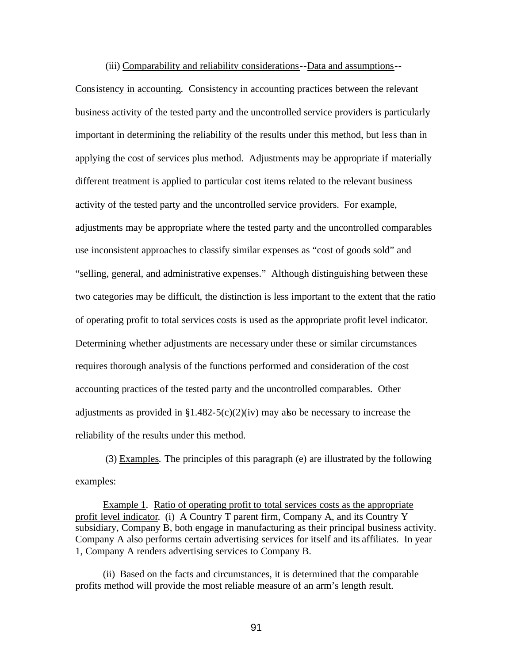(iii) Comparability and reliability considerations--Data and assumptions--

Consistency in accounting*.* Consistency in accounting practices between the relevant business activity of the tested party and the uncontrolled service providers is particularly important in determining the reliability of the results under this method, but less than in applying the cost of services plus method. Adjustments may be appropriate if materially different treatment is applied to particular cost items related to the relevant business activity of the tested party and the uncontrolled service providers. For example, adjustments may be appropriate where the tested party and the uncontrolled comparables use inconsistent approaches to classify similar expenses as "cost of goods sold" and "selling, general, and administrative expenses." Although distinguishing between these two categories may be difficult, the distinction is less important to the extent that the ratio of operating profit to total services costs is used as the appropriate profit level indicator. Determining whether adjustments are necessary under these or similar circumstances requires thorough analysis of the functions performed and consideration of the cost accounting practices of the tested party and the uncontrolled comparables. Other adjustments as provided in  $$1.482-5(c)(2)(iv)$  may also be necessary to increase the reliability of the results under this method.

(3) Examples*.* The principles of this paragraph (e) are illustrated by the following examples:

 Example 1. Ratio of operating profit to total services costs as the appropriate profit level indicator. (i) A Country T parent firm, Company A, and its Country Y subsidiary, Company B, both engage in manufacturing as their principal business activity. Company A also performs certain advertising services for itself and its affiliates. In year 1, Company A renders advertising services to Company B.

 (ii) Based on the facts and circumstances, it is determined that the comparable profits method will provide the most reliable measure of an arm's length result.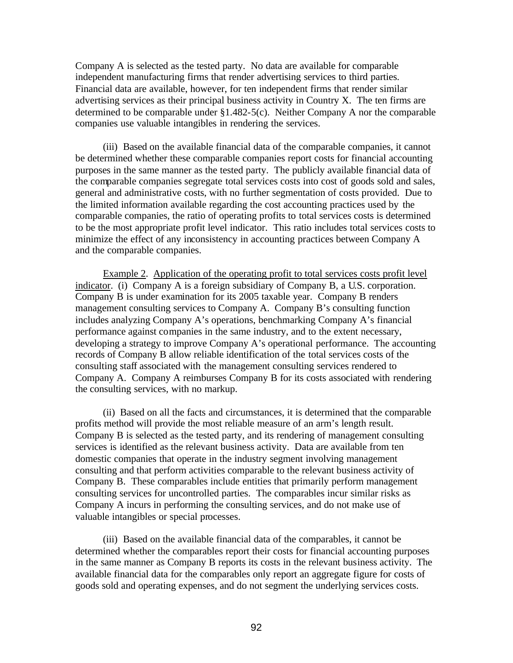Company A is selected as the tested party. No data are available for comparable independent manufacturing firms that render advertising services to third parties. Financial data are available, however, for ten independent firms that render similar advertising services as their principal business activity in Country X. The ten firms are determined to be comparable under §1.482-5(c). Neither Company A nor the comparable companies use valuable intangibles in rendering the services.

 (iii) Based on the available financial data of the comparable companies, it cannot be determined whether these comparable companies report costs for financial accounting purposes in the same manner as the tested party. The publicly available financial data of the comparable companies segregate total services costs into cost of goods sold and sales, general and administrative costs, with no further segmentation of costs provided. Due to the limited information available regarding the cost accounting practices used by the comparable companies, the ratio of operating profits to total services costs is determined to be the most appropriate profit level indicator. This ratio includes total services costs to minimize the effect of any inconsistency in accounting practices between Company A and the comparable companies.

 Example 2. Application of the operating profit to total services costs profit level indicator. (i) Company A is a foreign subsidiary of Company B, a U.S. corporation. Company B is under examination for its 2005 taxable year. Company B renders management consulting services to Company A. Company B's consulting function includes analyzing Company A's operations, benchmarking Company A's financial performance against companies in the same industry, and to the extent necessary, developing a strategy to improve Company A's operational performance. The accounting records of Company B allow reliable identification of the total services costs of the consulting staff associated with the management consulting services rendered to Company A. Company A reimburses Company B for its costs associated with rendering the consulting services, with no markup.

 (ii) Based on all the facts and circumstances, it is determined that the comparable profits method will provide the most reliable measure of an arm's length result. Company B is selected as the tested party, and its rendering of management consulting services is identified as the relevant business activity. Data are available from ten domestic companies that operate in the industry segment involving management consulting and that perform activities comparable to the relevant business activity of Company B. These comparables include entities that primarily perform management consulting services for uncontrolled parties. The comparables incur similar risks as Company A incurs in performing the consulting services, and do not make use of valuable intangibles or special processes.

 (iii) Based on the available financial data of the comparables, it cannot be determined whether the comparables report their costs for financial accounting purposes in the same manner as Company B reports its costs in the relevant business activity. The available financial data for the comparables only report an aggregate figure for costs of goods sold and operating expenses, and do not segment the underlying services costs.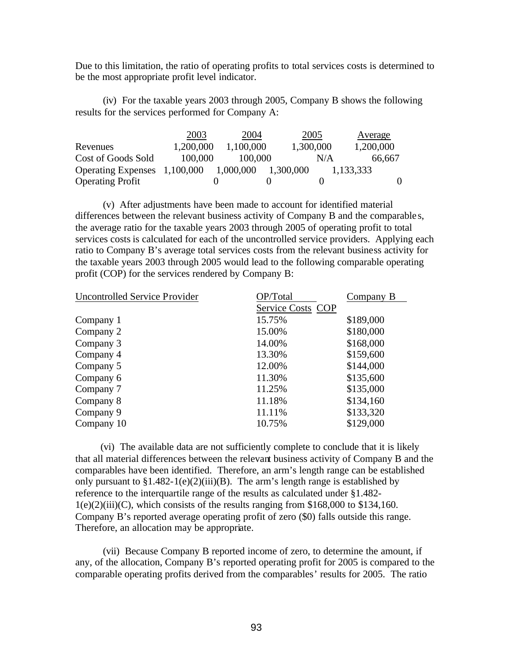Due to this limitation, the ratio of operating profits to total services costs is determined to be the most appropriate profit level indicator.

 (iv) For the taxable years 2003 through 2005, Company B shows the following results for the services performed for Company A:

|                              | 2003      | 2004      |           | 2005      | Average   |
|------------------------------|-----------|-----------|-----------|-----------|-----------|
| Revenues                     | 1,200,000 | 1,100,000 |           | 1,300,000 | 1,200,000 |
| Cost of Goods Sold           | 100,000   | 100,000   |           | N/A       | 66,667    |
| Operating Expenses 1,100,000 |           | 1,000,000 | 1,300,000 |           | 1,133,333 |
| <b>Operating Profit</b>      |           |           |           |           |           |

 (v) After adjustments have been made to account for identified material differences between the relevant business activity of Company B and the comparable s, the average ratio for the taxable years 2003 through 2005 of operating profit to total services costs is calculated for each of the uncontrolled service providers. Applying each ratio to Company B's average total services costs from the relevant business activity for the taxable years 2003 through 2005 would lead to the following comparable operating profit (COP) for the services rendered by Company B:

| <b>Uncontrolled Service Provider</b> | OP/Total          | Company B |  |  |
|--------------------------------------|-------------------|-----------|--|--|
|                                      | Service Costs COP |           |  |  |
| Company 1                            | 15.75%            | \$189,000 |  |  |
| Company 2                            | 15.00%            | \$180,000 |  |  |
| Company 3                            | 14.00%            | \$168,000 |  |  |
| Company 4                            | 13.30%            | \$159,600 |  |  |
| Company 5                            | 12.00%            | \$144,000 |  |  |
| Company 6                            | 11.30%            | \$135,600 |  |  |
| Company 7                            | 11.25%            | \$135,000 |  |  |
| Company 8                            | 11.18%            | \$134,160 |  |  |
| Company 9                            | 11.11%            | \$133,320 |  |  |
| Company 10                           | 10.75%            | \$129,000 |  |  |

 (vi) The available data are not sufficiently complete to conclude that it is likely that all material differences between the relevant business activity of Company B and the comparables have been identified. Therefore, an arm's length range can be established only pursuant to  $$1.482-1(e)(2)(iii)(B)$ . The arm's length range is established by reference to the interquartile range of the results as calculated under §1.482-  $1(e)(2)(iii)(C)$ , which consists of the results ranging from \$168,000 to \$134,160. Company B's reported average operating profit of zero (\$0) falls outside this range. Therefore, an allocation may be appropriate.

 (vii) Because Company B reported income of zero, to determine the amount, if any, of the allocation, Company B's reported operating profit for 2005 is compared to the comparable operating profits derived from the comparables' results for 2005. The ratio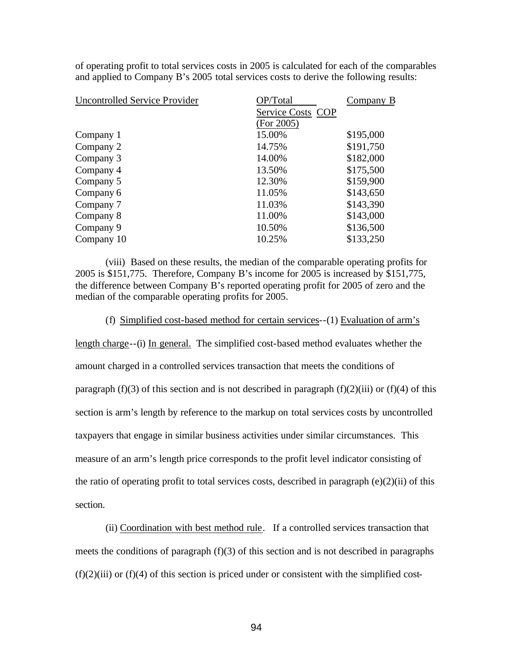of operating profit to total services costs in 2005 is calculated for each of the comparables and applied to Company B's 2005 total services costs to derive the following results:

| OP/Total          | Company B |  |  |
|-------------------|-----------|--|--|
| Service Costs COP |           |  |  |
| (For 2005)        |           |  |  |
| 15.00%            | \$195,000 |  |  |
| 14.75%            | \$191,750 |  |  |
| 14.00%            | \$182,000 |  |  |
| 13.50%            | \$175,500 |  |  |
| 12.30%            | \$159,900 |  |  |
| 11.05%            | \$143,650 |  |  |
| 11.03%            | \$143,390 |  |  |
| 11.00%            | \$143,000 |  |  |
| 10.50%            | \$136,500 |  |  |
| 10.25%            | \$133,250 |  |  |
|                   |           |  |  |

(viii) Based on these results, the median of the comparable operating profits for 2005 is \$151,775. Therefore, Company B's income for 2005 is increased by \$151,775, the difference between Company B's reported operating profit for 2005 of zero and the median of the comparable operating profits for 2005.

## (f) Simplified cost-based method for certain services--(1) Evaluation of arm's

length charge--(i) In general. The simplified cost-based method evaluates whether the amount charged in a controlled services transaction that meets the conditions of paragraph (f)(3) of this section and is not described in paragraph (f)(2)(iii) or (f)(4) of this section is arm's length by reference to the markup on total services costs by uncontrolled taxpayers that engage in similar business activities under similar circumstances. This measure of an arm's length price corresponds to the profit level indicator consisting of the ratio of operating profit to total services costs, described in paragraph (e)(2)(ii) of this section.

(ii) Coordination with best method rule. If a controlled services transaction that meets the conditions of paragraph (f)(3) of this section and is not described in paragraphs  $(f)(2)(iii)$  or  $(f)(4)$  of this section is priced under or consistent with the simplified cost-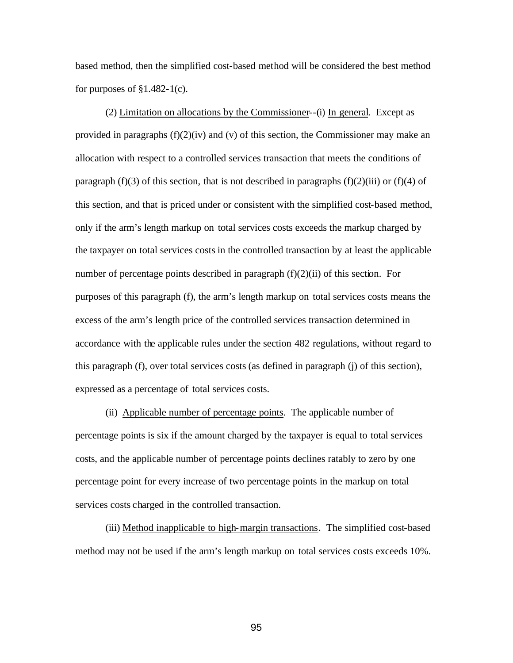based method, then the simplified cost-based method will be considered the best method for purposes of  $§1.482-1(c)$ .

(2) Limitation on allocations by the Commissioner--(i) In general. Except as provided in paragraphs  $(f)(2)(iv)$  and  $(v)$  of this section, the Commissioner may make an allocation with respect to a controlled services transaction that meets the conditions of paragraph (f)(3) of this section, that is not described in paragraphs (f)(2)(iii) or (f)(4) of this section, and that is priced under or consistent with the simplified cost-based method, only if the arm's length markup on total services costs exceeds the markup charged by the taxpayer on total services costs in the controlled transaction by at least the applicable number of percentage points described in paragraph  $(f)(2)(ii)$  of this section. For purposes of this paragraph (f), the arm's length markup on total services costs means the excess of the arm's length price of the controlled services transaction determined in accordance with the applicable rules under the section 482 regulations, without regard to this paragraph (f), over total services costs (as defined in paragraph (j) of this section), expressed as a percentage of total services costs.

(ii) Applicable number of percentage points. The applicable number of percentage points is six if the amount charged by the taxpayer is equal to total services costs, and the applicable number of percentage points declines ratably to zero by one percentage point for every increase of two percentage points in the markup on total services costs charged in the controlled transaction.

(iii) Method inapplicable to high-margin transactions. The simplified cost-based method may not be used if the arm's length markup on total services costs exceeds 10%.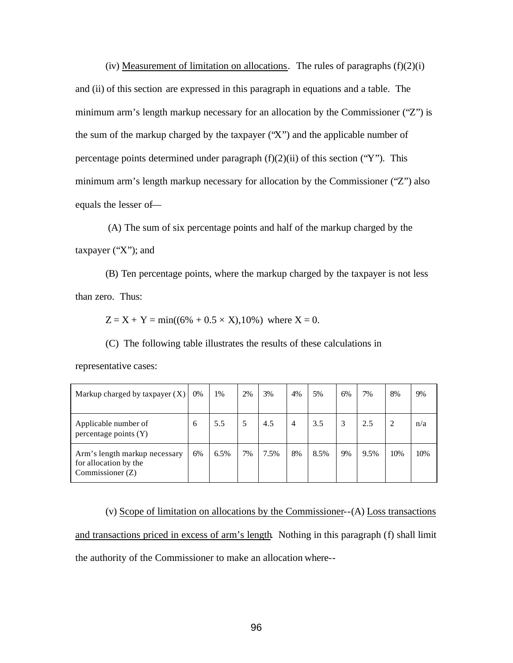(iv) Measurement of limitation on allocations. The rules of paragraphs  $(f)(2)(i)$ and (ii) of this section are expressed in this paragraph in equations and a table. The minimum arm's length markup necessary for an allocation by the Commissioner ("Z") is the sum of the markup charged by the taxpayer ("X") and the applicable number of percentage points determined under paragraph  $(f)(2)(ii)$  of this section ("Y"). This minimum arm's length markup necessary for allocation by the Commissioner ("Z") also equals the lesser of—

 (A) The sum of six percentage points and half of the markup charged by the taxpayer ("X"); and

(B) Ten percentage points, where the markup charged by the taxpayer is not less than zero. Thus:

 $Z = X + Y = min((6\% + 0.5 \times X), 10\%)$  where  $X = 0$ .

(C) The following table illustrates the results of these calculations in

representative cases:

| Markup charged by taxpayer $(X)$                                           | $0\%$ | 1%   | 2% | 3%   | 4%             | 5%   | 6% | 7%   | 8%  | 9%  |
|----------------------------------------------------------------------------|-------|------|----|------|----------------|------|----|------|-----|-----|
| Applicable number of<br>percentage points (Y)                              | 6     | 5.5  | 5  | 4.5  | $\overline{4}$ | 3.5  | 3  | 2.5  | 2   | n/a |
| Arm's length markup necessary<br>for allocation by the<br>Commissioner (Z) | 6%    | 6.5% | 7% | 7.5% | 8%             | 8.5% | 9% | 9.5% | 10% | 10% |

(v) Scope of limitation on allocations by the Commissioner--(A) Loss transactions and transactions priced in excess of arm's length. Nothing in this paragraph (f) shall limit the authority of the Commissioner to make an allocation where--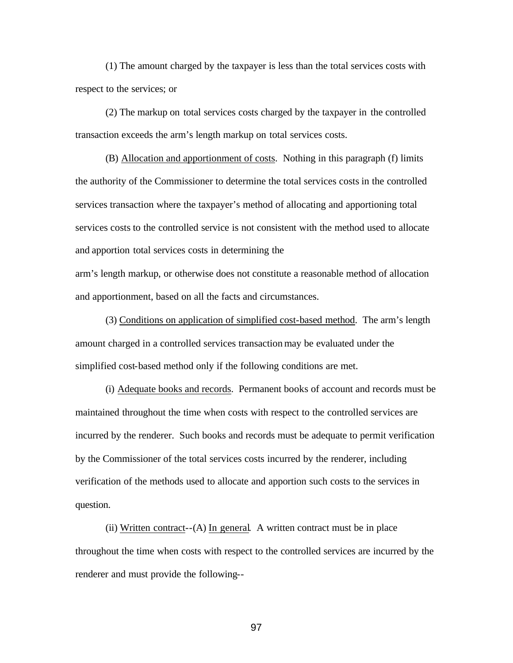(1) The amount charged by the taxpayer is less than the total services costs with respect to the services; or

(2) The markup on total services costs charged by the taxpayer in the controlled transaction exceeds the arm's length markup on total services costs.

(B) Allocation and apportionment of costs. Nothing in this paragraph (f) limits the authority of the Commissioner to determine the total services costs in the controlled services transaction where the taxpayer's method of allocating and apportioning total services costs to the controlled service is not consistent with the method used to allocate and apportion total services costs in determining the

arm's length markup, or otherwise does not constitute a reasonable method of allocation and apportionment, based on all the facts and circumstances.

(3) Conditions on application of simplified cost-based method. The arm's length amount charged in a controlled services transaction may be evaluated under the simplified cost-based method only if the following conditions are met.

(i) Adequate books and records. Permanent books of account and records must be maintained throughout the time when costs with respect to the controlled services are incurred by the renderer. Such books and records must be adequate to permit verification by the Commissioner of the total services costs incurred by the renderer, including verification of the methods used to allocate and apportion such costs to the services in question.

(ii) Written contract--(A) In general. A written contract must be in place throughout the time when costs with respect to the controlled services are incurred by the renderer and must provide the following--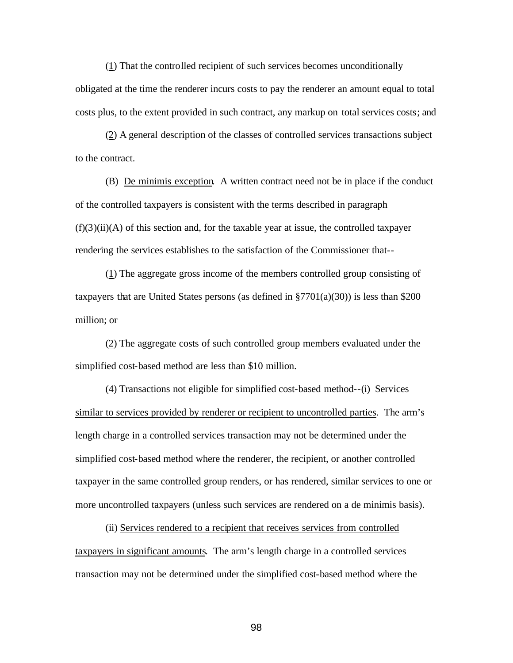(1) That the controlled recipient of such services becomes unconditionally obligated at the time the renderer incurs costs to pay the renderer an amount equal to total costs plus, to the extent provided in such contract, any markup on total services costs; and

(2) A general description of the classes of controlled services transactions subject to the contract.

(B) De minimis exception. A written contract need not be in place if the conduct of the controlled taxpayers is consistent with the terms described in paragraph  $(f)(3)(ii)(A)$  of this section and, for the taxable year at issue, the controlled taxpayer rendering the services establishes to the satisfaction of the Commissioner that--

(1) The aggregate gross income of the members controlled group consisting of taxpayers that are United States persons (as defined in  $\S7701(a)(30)$ ) is less than \$200 million; or

(2) The aggregate costs of such controlled group members evaluated under the simplified cost-based method are less than \$10 million.

(4) Transactions not eligible for simplified cost-based method--(i) Services similar to services provided by renderer or recipient to uncontrolled parties. The arm's length charge in a controlled services transaction may not be determined under the simplified cost-based method where the renderer, the recipient, or another controlled taxpayer in the same controlled group renders, or has rendered, similar services to one or more uncontrolled taxpayers (unless such services are rendered on a de minimis basis).

(ii) Services rendered to a recipient that receives services from controlled taxpayers in significant amounts. The arm's length charge in a controlled services transaction may not be determined under the simplified cost-based method where the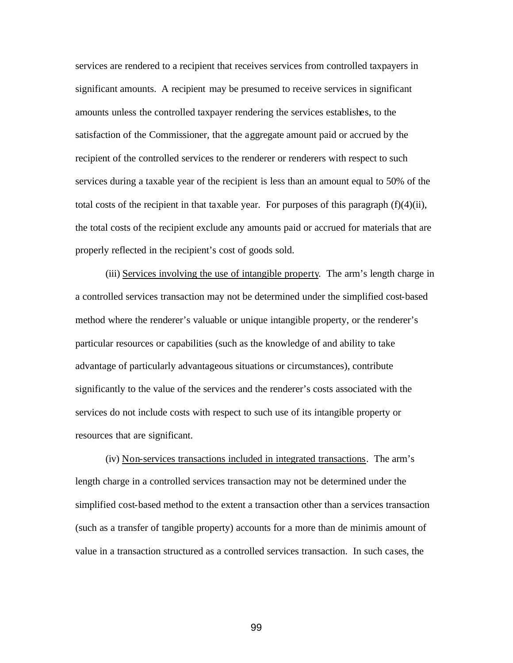services are rendered to a recipient that receives services from controlled taxpayers in significant amounts. A recipient may be presumed to receive services in significant amounts unless the controlled taxpayer rendering the services establishes, to the satisfaction of the Commissioner, that the aggregate amount paid or accrued by the recipient of the controlled services to the renderer or renderers with respect to such services during a taxable year of the recipient is less than an amount equal to 50% of the total costs of the recipient in that taxable year. For purposes of this paragraph  $(f)(4)(ii)$ , the total costs of the recipient exclude any amounts paid or accrued for materials that are properly reflected in the recipient's cost of goods sold.

(iii) Services involving the use of intangible property. The arm's length charge in a controlled services transaction may not be determined under the simplified cost-based method where the renderer's valuable or unique intangible property, or the renderer's particular resources or capabilities (such as the knowledge of and ability to take advantage of particularly advantageous situations or circumstances), contribute significantly to the value of the services and the renderer's costs associated with the services do not include costs with respect to such use of its intangible property or resources that are significant.

(iv) Non-services transactions included in integrated transactions. The arm's length charge in a controlled services transaction may not be determined under the simplified cost-based method to the extent a transaction other than a services transaction (such as a transfer of tangible property) accounts for a more than de minimis amount of value in a transaction structured as a controlled services transaction. In such cases, the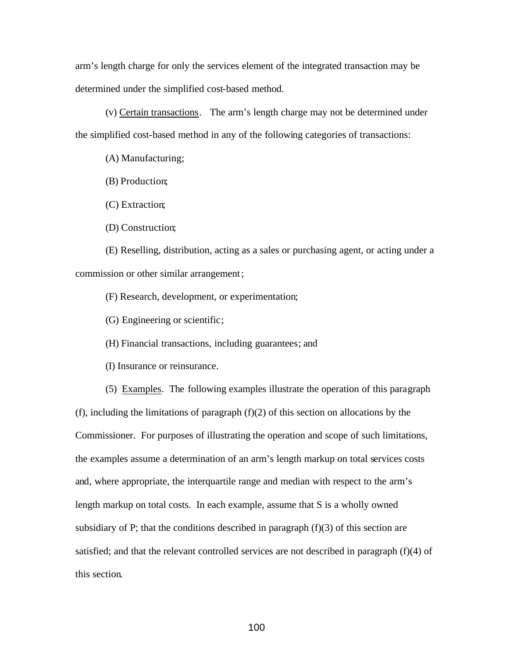arm's length charge for only the services element of the integrated transaction may be determined under the simplified cost-based method.

(v) Certain transactions. The arm's length charge may not be determined under the simplified cost-based method in any of the following categories of transactions:

(A) Manufacturing;

(B) Production;

(C) Extraction;

(D) Construction;

(E) Reselling, distribution, acting as a sales or purchasing agent, or acting under a commission or other similar arrangement;

(F) Research, development, or experimentation;

(G) Engineering or scientific;

(H) Financial transactions, including guarantees; and

(I) Insurance or reinsurance.

(5) Examples. The following examples illustrate the operation of this paragraph

 $(f)$ , including the limitations of paragraph  $(f)(2)$  of this section on allocations by the Commissioner. For purposes of illustrating the operation and scope of such limitations, the examples assume a determination of an arm's length markup on total services costs and, where appropriate, the interquartile range and median with respect to the arm's length markup on total costs. In each example, assume that S is a wholly owned subsidiary of P; that the conditions described in paragraph  $(f)(3)$  of this section are satisfied; and that the relevant controlled services are not described in paragraph (f)(4) of this section.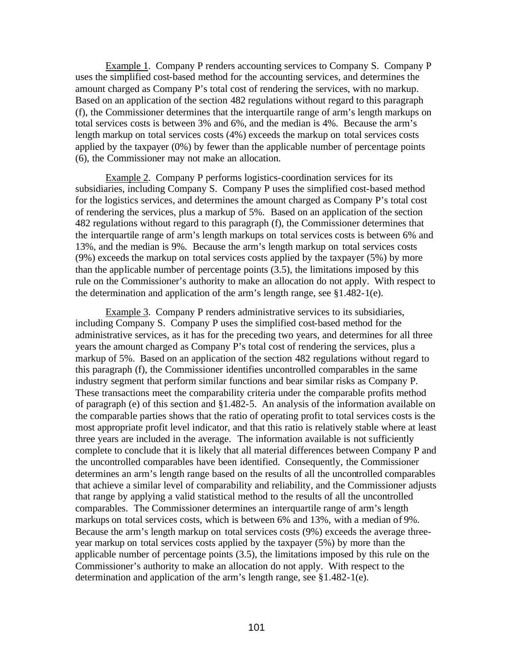Example 1. Company P renders accounting services to Company S. Company P uses the simplified cost-based method for the accounting services, and determines the amount charged as Company P's total cost of rendering the services, with no markup. Based on an application of the section 482 regulations without regard to this paragraph (f), the Commissioner determines that the interquartile range of arm's length markups on total services costs is between 3% and 6%, and the median is 4%. Because the arm's length markup on total services costs (4%) exceeds the markup on total services costs applied by the taxpayer (0%) by fewer than the applicable number of percentage points (6), the Commissioner may not make an allocation.

Example 2. Company P performs logistics-coordination services for its subsidiaries, including Company S. Company P uses the simplified cost-based method for the logistics services, and determines the amount charged as Company P's total cost of rendering the services, plus a markup of 5%. Based on an application of the section 482 regulations without regard to this paragraph (f), the Commissioner determines that the interquartile range of arm's length markups on total services costs is between 6% and 13%, and the median is 9%. Because the arm's length markup on total services costs (9%) exceeds the markup on total services costs applied by the taxpayer (5%) by more than the applicable number of percentage points (3.5), the limitations imposed by this rule on the Commissioner's authority to make an allocation do not apply. With respect to the determination and application of the arm's length range, see  $§1.482-1(e)$ .

Example 3. Company P renders administrative services to its subsidiaries, including Company S. Company P uses the simplified cost-based method for the administrative services, as it has for the preceding two years, and determines for all three years the amount charged as Company P's total cost of rendering the services, plus a markup of 5%. Based on an application of the section 482 regulations without regard to this paragraph (f), the Commissioner identifies uncontrolled comparables in the same industry segment that perform similar functions and bear similar risks as Company P. These transactions meet the comparability criteria under the comparable profits method of paragraph (e) of this section and §1.482-5. An analysis of the information available on the comparable parties shows that the ratio of operating profit to total services costs is the most appropriate profit level indicator, and that this ratio is relatively stable where at least three years are included in the average. The information available is not sufficiently complete to conclude that it is likely that all material differences between Company P and the uncontrolled comparables have been identified. Consequently, the Commissioner determines an arm's length range based on the results of all the uncontrolled comparables that achieve a similar level of comparability and reliability, and the Commissioner adjusts that range by applying a valid statistical method to the results of all the uncontrolled comparables. The Commissioner determines an interquartile range of arm's length markups on total services costs, which is between 6% and 13%, with a median of 9%. Because the arm's length markup on total services costs (9%) exceeds the average threeyear markup on total services costs applied by the taxpayer (5%) by more than the applicable number of percentage points (3.5), the limitations imposed by this rule on the Commissioner's authority to make an allocation do not apply. With respect to the determination and application of the arm's length range, see §1.482-1(e).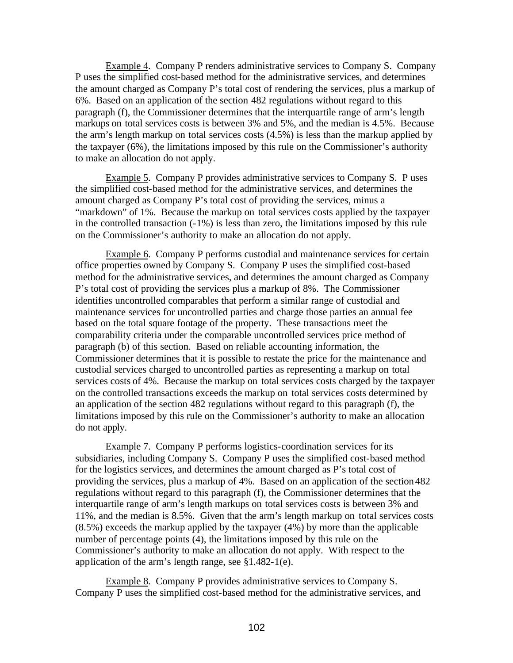Example 4. Company P renders administrative services to Company S. Company P uses the simplified cost-based method for the administrative services, and determines the amount charged as Company P's total cost of rendering the services, plus a markup of 6%. Based on an application of the section 482 regulations without regard to this paragraph (f), the Commissioner determines that the interquartile range of arm's length markups on total services costs is between 3% and 5%, and the median is 4.5%. Because the arm's length markup on total services costs (4.5%) is less than the markup applied by the taxpayer (6%), the limitations imposed by this rule on the Commissioner's authority to make an allocation do not apply.

Example 5. Company P provides administrative services to Company S. P uses the simplified cost-based method for the administrative services, and determines the amount charged as Company P's total cost of providing the services, minus a "markdown" of 1%. Because the markup on total services costs applied by the taxpayer in the controlled transaction (-1%) is less than zero, the limitations imposed by this rule on the Commissioner's authority to make an allocation do not apply.

Example 6. Company P performs custodial and maintenance services for certain office properties owned by Company S. Company P uses the simplified cost-based method for the administrative services, and determines the amount charged as Company P's total cost of providing the services plus a markup of 8%. The Commissioner identifies uncontrolled comparables that perform a similar range of custodial and maintenance services for uncontrolled parties and charge those parties an annual fee based on the total square footage of the property. These transactions meet the comparability criteria under the comparable uncontrolled services price method of paragraph (b) of this section. Based on reliable accounting information, the Commissioner determines that it is possible to restate the price for the maintenance and custodial services charged to uncontrolled parties as representing a markup on total services costs of 4%. Because the markup on total services costs charged by the taxpayer on the controlled transactions exceeds the markup on total services costs determined by an application of the section 482 regulations without regard to this paragraph (f), the limitations imposed by this rule on the Commissioner's authority to make an allocation do not apply.

Example 7. Company P performs logistics-coordination services for its subsidiaries, including Company S. Company P uses the simplified cost-based method for the logistics services, and determines the amount charged as P's total cost of providing the services, plus a markup of 4%. Based on an application of the section 482 regulations without regard to this paragraph (f), the Commissioner determines that the interquartile range of arm's length markups on total services costs is between 3% and 11%, and the median is 8.5%. Given that the arm's length markup on total services costs (8.5%) exceeds the markup applied by the taxpayer (4%) by more than the applicable number of percentage points (4), the limitations imposed by this rule on the Commissioner's authority to make an allocation do not apply. With respect to the application of the arm's length range, see §1.482-1(e).

Example 8. Company P provides administrative services to Company S. Company P uses the simplified cost-based method for the administrative services, and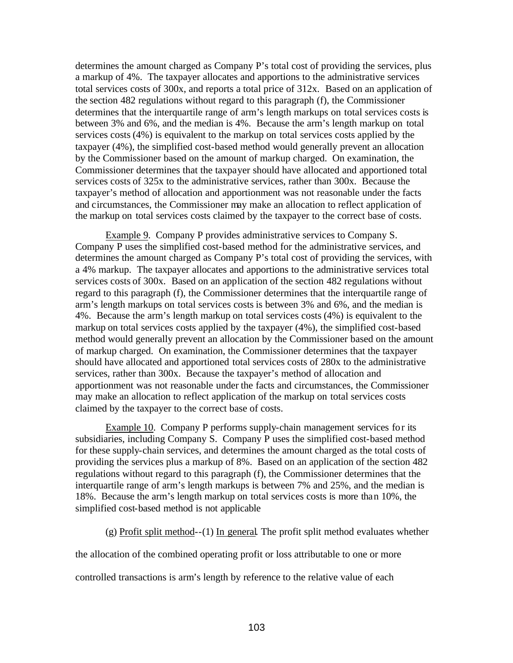determines the amount charged as Company P's total cost of providing the services, plus a markup of 4%. The taxpayer allocates and apportions to the administrative services total services costs of 300x, and reports a total price of 312x. Based on an application of the section 482 regulations without regard to this paragraph (f), the Commissioner determines that the interquartile range of arm's length markups on total services costs is between 3% and 6%, and the median is 4%. Because the arm's length markup on total services costs (4%) is equivalent to the markup on total services costs applied by the taxpayer (4%), the simplified cost-based method would generally prevent an allocation by the Commissioner based on the amount of markup charged. On examination, the Commissioner determines that the taxpayer should have allocated and apportioned total services costs of 325x to the administrative services, rather than 300x. Because the taxpayer's method of allocation and apportionment was not reasonable under the facts and circumstances, the Commissioner may make an allocation to reflect application of the markup on total services costs claimed by the taxpayer to the correct base of costs.

Example 9. Company P provides administrative services to Company S. Company P uses the simplified cost-based method for the administrative services, and determines the amount charged as Company P's total cost of providing the services, with a 4% markup. The taxpayer allocates and apportions to the administrative services total services costs of 300x. Based on an application of the section 482 regulations without regard to this paragraph (f), the Commissioner determines that the interquartile range of arm's length markups on total services costs is between 3% and 6%, and the median is 4%. Because the arm's length markup on total services costs (4%) is equivalent to the markup on total services costs applied by the taxpayer (4%), the simplified cost-based method would generally prevent an allocation by the Commissioner based on the amount of markup charged. On examination, the Commissioner determines that the taxpayer should have allocated and apportioned total services costs of 280x to the administrative services, rather than 300x. Because the taxpayer's method of allocation and apportionment was not reasonable under the facts and circumstances, the Commissioner may make an allocation to reflect application of the markup on total services costs claimed by the taxpayer to the correct base of costs.

Example 10. Company P performs supply-chain management services for its subsidiaries, including Company S. Company P uses the simplified cost-based method for these supply-chain services, and determines the amount charged as the total costs of providing the services plus a markup of 8%. Based on an application of the section 482 regulations without regard to this paragraph (f), the Commissioner determines that the interquartile range of arm's length markups is between 7% and 25%, and the median is 18%. Because the arm's length markup on total services costs is more than 10%, the simplified cost-based method is not applicable

(g) Profit split method--(1) In general. The profit split method evaluates whether

the allocation of the combined operating profit or loss attributable to one or more

controlled transactions is arm's length by reference to the relative value of each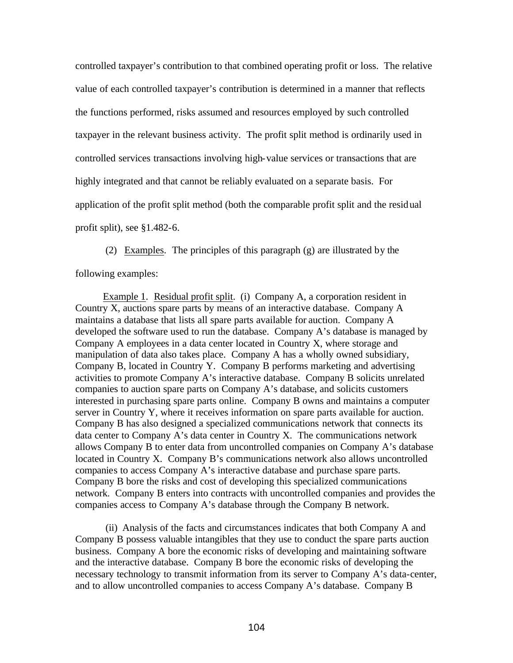controlled taxpayer's contribution to that combined operating profit or loss. The relative value of each controlled taxpayer's contribution is determined in a manner that reflects the functions performed, risks assumed and resources employed by such controlled taxpayer in the relevant business activity. The profit split method is ordinarily used in controlled services transactions involving high-value services or transactions that are highly integrated and that cannot be reliably evaluated on a separate basis. For application of the profit split method (both the comparable profit split and the residual profit split), see §1.482-6.

(2) Examples. The principles of this paragraph (g) are illustrated by the following examples:

 Example 1. Residual profit split. (i) Company A, a corporation resident in Country X, auctions spare parts by means of an interactive database. Company A maintains a database that lists all spare parts available for auction. Company A developed the software used to run the database. Company A's database is managed by Company A employees in a data center located in Country X, where storage and manipulation of data also takes place. Company A has a wholly owned subsidiary, Company B, located in Country Y. Company B performs marketing and advertising activities to promote Company A's interactive database. Company B solicits unrelated companies to auction spare parts on Company A's database, and solicits customers interested in purchasing spare parts online. Company B owns and maintains a computer server in Country Y, where it receives information on spare parts available for auction. Company B has also designed a specialized communications network that connects its data center to Company A's data center in Country X. The communications network allows Company B to enter data from uncontrolled companies on Company A's database located in Country X. Company B's communications network also allows uncontrolled companies to access Company A's interactive database and purchase spare parts. Company B bore the risks and cost of developing this specialized communications network. Company B enters into contracts with uncontrolled companies and provides the companies access to Company A's database through the Company B network.

(ii) Analysis of the facts and circumstances indicates that both Company A and Company B possess valuable intangibles that they use to conduct the spare parts auction business. Company A bore the economic risks of developing and maintaining software and the interactive database. Company B bore the economic risks of developing the necessary technology to transmit information from its server to Company A's data-center, and to allow uncontrolled companies to access Company A's database. Company B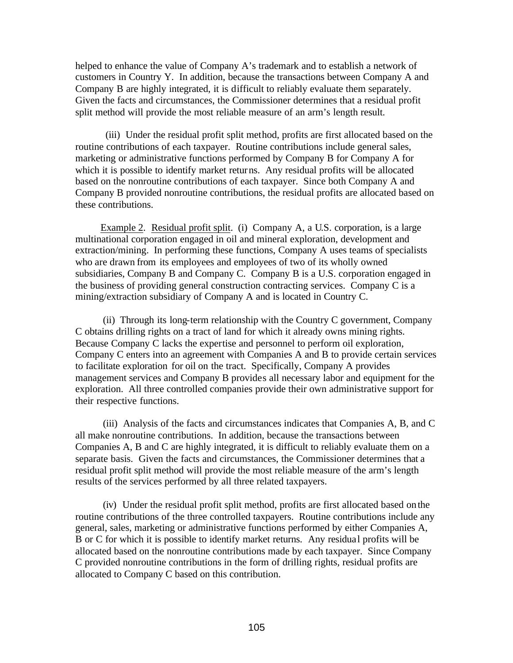helped to enhance the value of Company A's trademark and to establish a network of customers in Country Y. In addition, because the transactions between Company A and Company B are highly integrated, it is difficult to reliably evaluate them separately. Given the facts and circumstances, the Commissioner determines that a residual profit split method will provide the most reliable measure of an arm's length result.

(iii) Under the residual profit split method, profits are first allocated based on the routine contributions of each taxpayer. Routine contributions include general sales, marketing or administrative functions performed by Company B for Company A for which it is possible to identify market returns. Any residual profits will be allocated based on the nonroutine contributions of each taxpayer. Since both Company A and Company B provided nonroutine contributions, the residual profits are allocated based on these contributions.

 Example 2. Residual profit split. (i) Company A, a U.S. corporation, is a large multinational corporation engaged in oil and mineral exploration, development and extraction/mining. In performing these functions, Company A uses teams of specialists who are drawn from its employees and employees of two of its wholly owned subsidiaries, Company B and Company C. Company B is a U.S. corporation engaged in the business of providing general construction contracting services. Company C is a mining/extraction subsidiary of Company A and is located in Country C.

 (ii) Through its long-term relationship with the Country C government, Company C obtains drilling rights on a tract of land for which it already owns mining rights. Because Company C lacks the expertise and personnel to perform oil exploration, Company C enters into an agreement with Companies A and B to provide certain services to facilitate exploration for oil on the tract. Specifically, Company A provides management services and Company B provides all necessary labor and equipment for the exploration. All three controlled companies provide their own administrative support for their respective functions.

 (iii) Analysis of the facts and circumstances indicates that Companies A, B, and C all make nonroutine contributions. In addition, because the transactions between Companies A, B and C are highly integrated, it is difficult to reliably evaluate them on a separate basis. Given the facts and circumstances, the Commissioner determines that a residual profit split method will provide the most reliable measure of the arm's length results of the services performed by all three related taxpayers.

 (iv) Under the residual profit split method, profits are first allocated based on the routine contributions of the three controlled taxpayers. Routine contributions include any general, sales, marketing or administrative functions performed by either Companies A, B or C for which it is possible to identify market returns. Any residua l profits will be allocated based on the nonroutine contributions made by each taxpayer. Since Company C provided nonroutine contributions in the form of drilling rights, residual profits are allocated to Company C based on this contribution.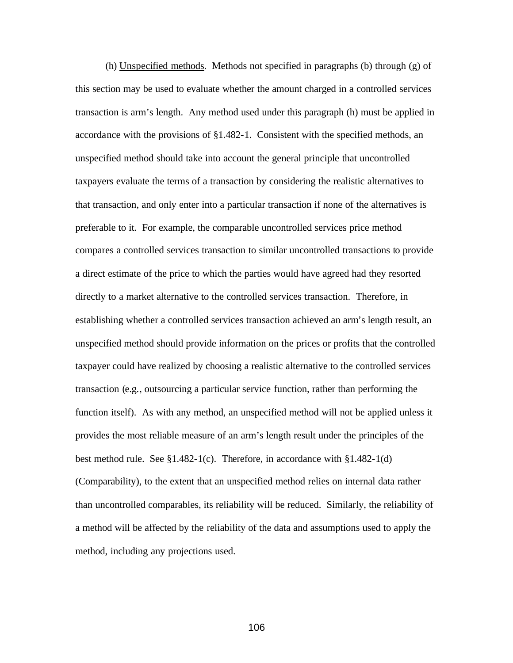(h) Unspecified methods. Methods not specified in paragraphs (b) through (g) of this section may be used to evaluate whether the amount charged in a controlled services transaction is arm's length. Any method used under this paragraph (h) must be applied in accordance with the provisions of §1.482-1. Consistent with the specified methods, an unspecified method should take into account the general principle that uncontrolled taxpayers evaluate the terms of a transaction by considering the realistic alternatives to that transaction, and only enter into a particular transaction if none of the alternatives is preferable to it. For example, the comparable uncontrolled services price method compares a controlled services transaction to similar uncontrolled transactions to provide a direct estimate of the price to which the parties would have agreed had they resorted directly to a market alternative to the controlled services transaction. Therefore, in establishing whether a controlled services transaction achieved an arm's length result, an unspecified method should provide information on the prices or profits that the controlled taxpayer could have realized by choosing a realistic alternative to the controlled services transaction (e.g., outsourcing a particular service function, rather than performing the function itself). As with any method, an unspecified method will not be applied unless it provides the most reliable measure of an arm's length result under the principles of the best method rule. See §1.482-1(c). Therefore, in accordance with §1.482-1(d) (Comparability), to the extent that an unspecified method relies on internal data rather than uncontrolled comparables, its reliability will be reduced. Similarly, the reliability of a method will be affected by the reliability of the data and assumptions used to apply the method, including any projections used.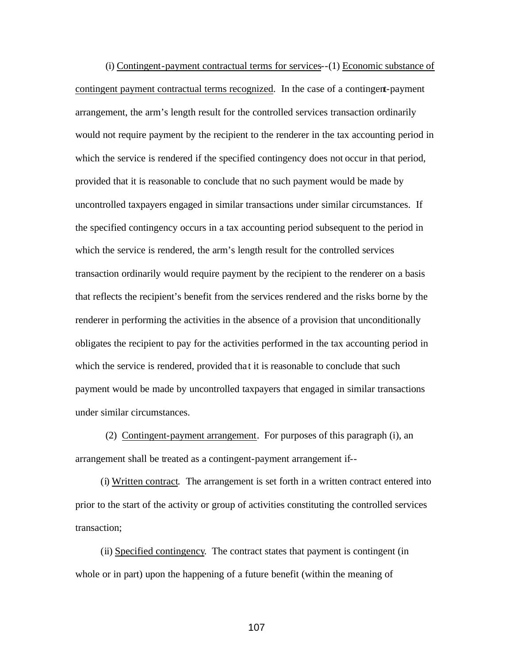(i) Contingent-payment contractual terms for services--(1) Economic substance of contingent payment contractual terms recognized. In the case of a contingent-payment arrangement, the arm's length result for the controlled services transaction ordinarily would not require payment by the recipient to the renderer in the tax accounting period in which the service is rendered if the specified contingency does not occur in that period, provided that it is reasonable to conclude that no such payment would be made by uncontrolled taxpayers engaged in similar transactions under similar circumstances. If the specified contingency occurs in a tax accounting period subsequent to the period in which the service is rendered, the arm's length result for the controlled services transaction ordinarily would require payment by the recipient to the renderer on a basis that reflects the recipient's benefit from the services rendered and the risks borne by the renderer in performing the activities in the absence of a provision that unconditionally obligates the recipient to pay for the activities performed in the tax accounting period in which the service is rendered, provided tha t it is reasonable to conclude that such payment would be made by uncontrolled taxpayers that engaged in similar transactions under similar circumstances.

(2) Contingent-payment arrangement. For purposes of this paragraph (i), an arrangement shall be treated as a contingent-payment arrangement if--

(i) Written contract. The arrangement is set forth in a written contract entered into prior to the start of the activity or group of activities constituting the controlled services transaction;

(ii) Specified contingency. The contract states that payment is contingent (in whole or in part) upon the happening of a future benefit (within the meaning of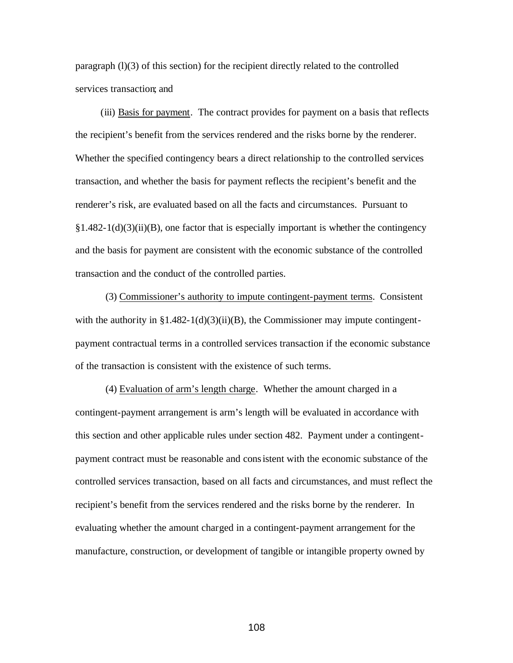paragraph  $(1)(3)$  of this section) for the recipient directly related to the controlled services transaction; and

(iii) Basis for payment. The contract provides for payment on a basis that reflects the recipient's benefit from the services rendered and the risks borne by the renderer. Whether the specified contingency bears a direct relationship to the controlled services transaction, and whether the basis for payment reflects the recipient's benefit and the renderer's risk, are evaluated based on all the facts and circumstances. Pursuant to  $§1.482-1(d)(3)(ii)(B)$ , one factor that is especially important is whether the contingency and the basis for payment are consistent with the economic substance of the controlled transaction and the conduct of the controlled parties.

(3) Commissioner's authority to impute contingent-payment terms. Consistent with the authority in  $\S1.482-1(d)(3)(ii)(B)$ , the Commissioner may impute contingentpayment contractual terms in a controlled services transaction if the economic substance of the transaction is consistent with the existence of such terms.

(4) Evaluation of arm's length charge. Whether the amount charged in a contingent-payment arrangement is arm's length will be evaluated in accordance with this section and other applicable rules under section 482. Payment under a contingentpayment contract must be reasonable and consistent with the economic substance of the controlled services transaction, based on all facts and circumstances, and must reflect the recipient's benefit from the services rendered and the risks borne by the renderer. In evaluating whether the amount charged in a contingent-payment arrangement for the manufacture, construction, or development of tangible or intangible property owned by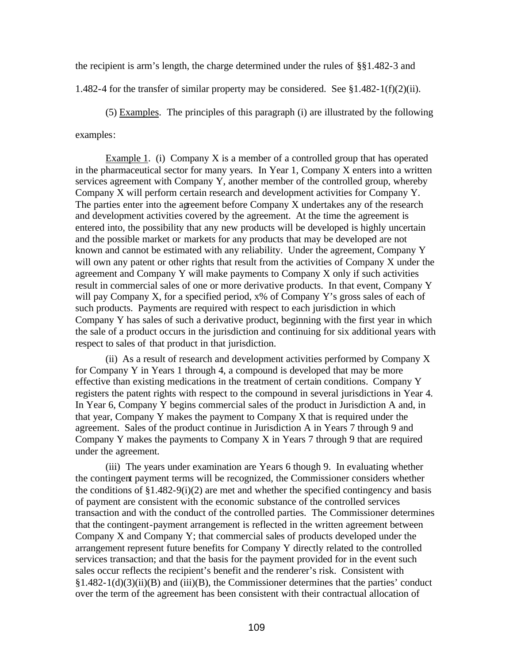the recipient is arm's length, the charge determined under the rules of §§1.482-3 and

1.482-4 for the transfer of similar property may be considered. See  $\S 1.482 - 1(f)(2)(ii)$ .

(5) Examples. The principles of this paragraph (i) are illustrated by the following examples:

Example 1. (i) Company X is a member of a controlled group that has operated in the pharmaceutical sector for many years. In Year 1, Company X enters into a written services agreement with Company Y, another member of the controlled group, whereby Company X will perform certain research and development activities for Company Y. The parties enter into the agreement before Company X undertakes any of the research and development activities covered by the agreement. At the time the agreement is entered into, the possibility that any new products will be developed is highly uncertain and the possible market or markets for any products that may be developed are not known and cannot be estimated with any reliability. Under the agreement, Company Y will own any patent or other rights that result from the activities of Company X under the agreement and Company Y will make payments to Company X only if such activities result in commercial sales of one or more derivative products. In that event, Company Y will pay Company X, for a specified period, x% of Company Y's gross sales of each of such products. Payments are required with respect to each jurisdiction in which Company Y has sales of such a derivative product, beginning with the first year in which the sale of a product occurs in the jurisdiction and continuing for six additional years with respect to sales of that product in that jurisdiction.

(ii) As a result of research and development activities performed by Company X for Company Y in Years 1 through 4, a compound is developed that may be more effective than existing medications in the treatment of certain conditions. Company Y registers the patent rights with respect to the compound in several jurisdictions in Year 4. In Year 6, Company Y begins commercial sales of the product in Jurisdiction A and, in that year, Company Y makes the payment to Company X that is required under the agreement. Sales of the product continue in Jurisdiction A in Years 7 through 9 and Company Y makes the payments to Company X in Years 7 through 9 that are required under the agreement.

(iii) The years under examination are Years 6 though 9. In evaluating whether the contingent payment terms will be recognized, the Commissioner considers whether the conditions of  $\S1.482-9(i)(2)$  are met and whether the specified contingency and basis of payment are consistent with the economic substance of the controlled services transaction and with the conduct of the controlled parties. The Commissioner determines that the contingent-payment arrangement is reflected in the written agreement between Company X and Company Y; that commercial sales of products developed under the arrangement represent future benefits for Company Y directly related to the controlled services transaction; and that the basis for the payment provided for in the event such sales occur reflects the recipient's benefit and the renderer's risk. Consistent with  $§1.482-1(d)(3)(ii)(B)$  and (iii)(B), the Commissioner determines that the parties' conduct over the term of the agreement has been consistent with their contractual allocation of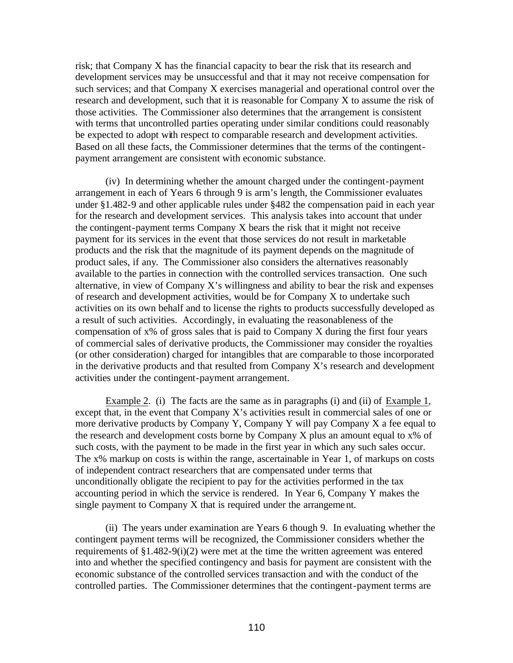risk; that Company X has the financial capacity to bear the risk that its research and development services may be unsuccessful and that it may not receive compensation for such services; and that Company X exercises managerial and operational control over the research and development, such that it is reasonable for Company X to assume the risk of those activities. The Commissioner also determines that the arrangement is consistent with terms that uncontrolled parties operating under similar conditions could reasonably be expected to adopt with respect to comparable research and development activities. Based on all these facts, the Commissioner determines that the terms of the contingentpayment arrangement are consistent with economic substance.

(iv) In determining whether the amount charged under the contingent-payment arrangement in each of Years 6 through 9 is arm's length, the Commissioner evaluates under §1.482-9 and other applicable rules under §482 the compensation paid in each year for the research and development services. This analysis takes into account that under the contingent-payment terms Company X bears the risk that it might not receive payment for its services in the event that those services do not result in marketable products and the risk that the magnitude of its payment depends on the magnitude of product sales, if any. The Commissioner also considers the alternatives reasonably available to the parties in connection with the controlled services transaction. One such alternative, in view of Company X's willingness and ability to bear the risk and expenses of research and development activities, would be for Company X to undertake such activities on its own behalf and to license the rights to products successfully developed as a result of such activities. Accordingly, in evaluating the reasonableness of the compensation of x% of gross sales that is paid to Company X during the first four years of commercial sales of derivative products, the Commissioner may consider the royalties (or other consideration) charged for intangibles that are comparable to those incorporated in the derivative products and that resulted from Company X's research and development activities under the contingent-payment arrangement.

Example 2. (i) The facts are the same as in paragraphs (i) and (ii) of Example 1, except that, in the event that Company X's activities result in commercial sales of one or more derivative products by Company Y, Company Y will pay Company X a fee equal to the research and development costs borne by Company X plus an amount equal to x% of such costs, with the payment to be made in the first year in which any such sales occur. The x% markup on costs is within the range, ascertainable in Year 1, of markups on costs of independent contract researchers that are compensated under terms that unconditionally obligate the recipient to pay for the activities performed in the tax accounting period in which the service is rendered. In Year 6, Company Y makes the single payment to Company X that is required under the arrangement.

(ii) The years under examination are Years 6 though 9. In evaluating whether the contingent payment terms will be recognized, the Commissioner considers whether the requirements of  $\S1.482-9(i)(2)$  were met at the time the written agreement was entered into and whether the specified contingency and basis for payment are consistent with the economic substance of the controlled services transaction and with the conduct of the controlled parties. The Commissioner determines that the contingent-payment terms are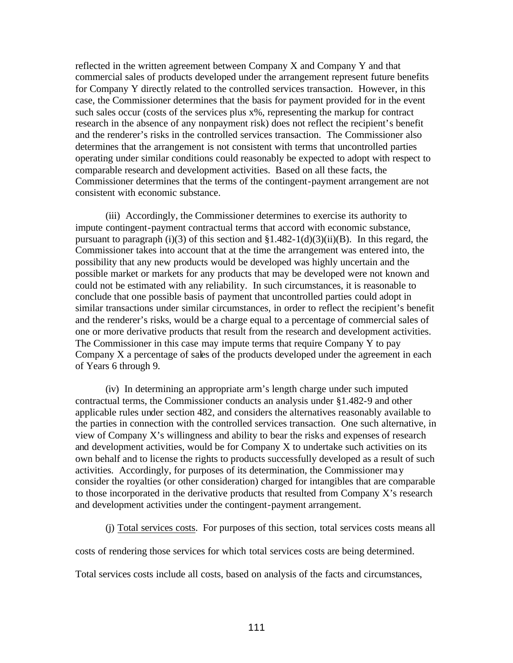reflected in the written agreement between Company X and Company Y and that commercial sales of products developed under the arrangement represent future benefits for Company Y directly related to the controlled services transaction. However, in this case, the Commissioner determines that the basis for payment provided for in the event such sales occur (costs of the services plus x%, representing the markup for contract research in the absence of any nonpayment risk) does not reflect the recipient's benefit and the renderer's risks in the controlled services transaction. The Commissioner also determines that the arrangement is not consistent with terms that uncontrolled parties operating under similar conditions could reasonably be expected to adopt with respect to comparable research and development activities. Based on all these facts, the Commissioner determines that the terms of the contingent-payment arrangement are not consistent with economic substance.

(iii) Accordingly, the Commissioner determines to exercise its authority to impute contingent-payment contractual terms that accord with economic substance, pursuant to paragraph (i)(3) of this section and  $\S1.482-1(d)(3)(ii)(B)$ . In this regard, the Commissioner takes into account that at the time the arrangement was entered into, the possibility that any new products would be developed was highly uncertain and the possible market or markets for any products that may be developed were not known and could not be estimated with any reliability. In such circumstances, it is reasonable to conclude that one possible basis of payment that uncontrolled parties could adopt in similar transactions under similar circumstances, in order to reflect the recipient's benefit and the renderer's risks, would be a charge equal to a percentage of commercial sales of one or more derivative products that result from the research and development activities. The Commissioner in this case may impute terms that require Company Y to pay Company X a percentage of sales of the products developed under the agreement in each of Years 6 through 9.

(iv) In determining an appropriate arm's length charge under such imputed contractual terms, the Commissioner conducts an analysis under §1.482-9 and other applicable rules under section 482, and considers the alternatives reasonably available to the parties in connection with the controlled services transaction. One such alternative, in view of Company X's willingness and ability to bear the risks and expenses of research and development activities, would be for Company X to undertake such activities on its own behalf and to license the rights to products successfully developed as a result of such activities. Accordingly, for purposes of its determination, the Commissioner may consider the royalties (or other consideration) charged for intangibles that are comparable to those incorporated in the derivative products that resulted from Company X's research and development activities under the contingent-payment arrangement.

(j) Total services costs. For purposes of this section, total services costs means all

costs of rendering those services for which total services costs are being determined.

Total services costs include all costs, based on analysis of the facts and circumstances,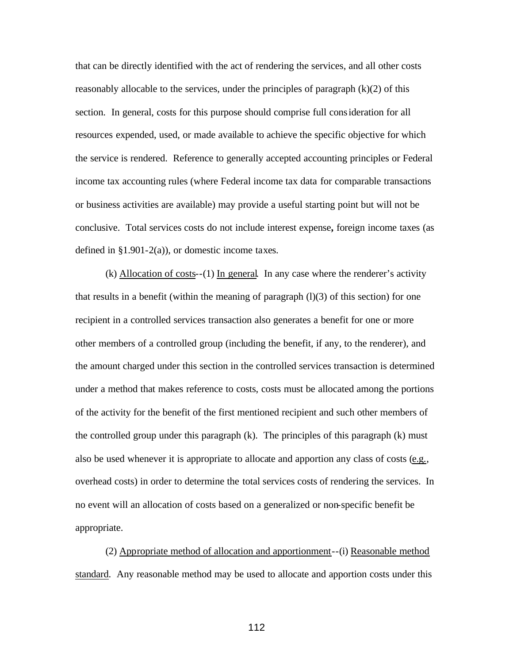that can be directly identified with the act of rendering the services, and all other costs reasonably allocable to the services, under the principles of paragraph  $(k)(2)$  of this section. In general, costs for this purpose should comprise full consideration for all resources expended, used, or made available to achieve the specific objective for which the service is rendered. Reference to generally accepted accounting principles or Federal income tax accounting rules (where Federal income tax data for comparable transactions or business activities are available) may provide a useful starting point but will not be conclusive. Total services costs do not include interest expense**,** foreign income taxes (as defined in  $\S1.901-2(a)$ , or domestic income taxes.

(k) Allocation of costs--(1) In general. In any case where the renderer's activity that results in a benefit (within the meaning of paragraph  $(l)(3)$  of this section) for one recipient in a controlled services transaction also generates a benefit for one or more other members of a controlled group (including the benefit, if any, to the renderer), and the amount charged under this section in the controlled services transaction is determined under a method that makes reference to costs, costs must be allocated among the portions of the activity for the benefit of the first mentioned recipient and such other members of the controlled group under this paragraph (k). The principles of this paragraph (k) must also be used whenever it is appropriate to allocate and apportion any class of costs (e.g., overhead costs) in order to determine the total services costs of rendering the services. In no event will an allocation of costs based on a generalized or non-specific benefit be appropriate.

 (2) Appropriate method of allocation and apportionment--(i) Reasonable method standard. Any reasonable method may be used to allocate and apportion costs under this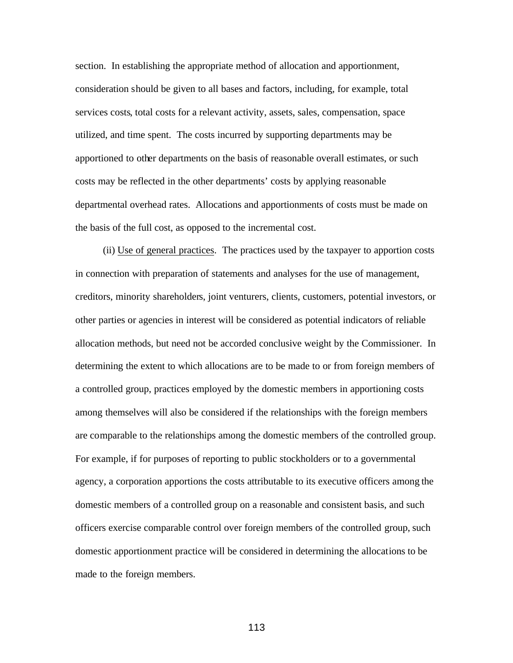section. In establishing the appropriate method of allocation and apportionment, consideration should be given to all bases and factors, including, for example, total services costs, total costs for a relevant activity, assets, sales, compensation, space utilized, and time spent. The costs incurred by supporting departments may be apportioned to other departments on the basis of reasonable overall estimates, or such costs may be reflected in the other departments' costs by applying reasonable departmental overhead rates. Allocations and apportionments of costs must be made on the basis of the full cost, as opposed to the incremental cost.

 (ii) Use of general practices. The practices used by the taxpayer to apportion costs in connection with preparation of statements and analyses for the use of management, creditors, minority shareholders, joint venturers, clients, customers, potential investors, or other parties or agencies in interest will be considered as potential indicators of reliable allocation methods, but need not be accorded conclusive weight by the Commissioner. In determining the extent to which allocations are to be made to or from foreign members of a controlled group, practices employed by the domestic members in apportioning costs among themselves will also be considered if the relationships with the foreign members are comparable to the relationships among the domestic members of the controlled group. For example, if for purposes of reporting to public stockholders or to a governmental agency, a corporation apportions the costs attributable to its executive officers among the domestic members of a controlled group on a reasonable and consistent basis, and such officers exercise comparable control over foreign members of the controlled group, such domestic apportionment practice will be considered in determining the allocations to be made to the foreign members.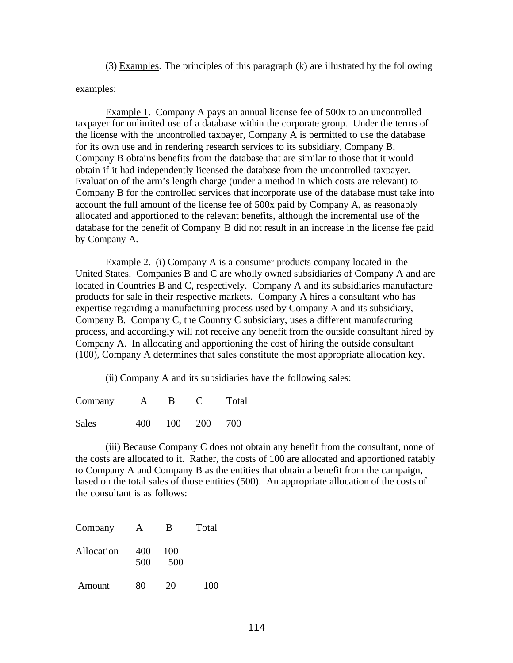(3) Examples. The principles of this paragraph (k) are illustrated by the following examples:

Example 1. Company A pays an annual license fee of 500x to an uncontrolled taxpayer for unlimited use of a database within the corporate group. Under the terms of the license with the uncontrolled taxpayer, Company A is permitted to use the database for its own use and in rendering research services to its subsidiary, Company B. Company B obtains benefits from the database that are similar to those that it would obtain if it had independently licensed the database from the uncontrolled taxpayer. Evaluation of the arm's length charge (under a method in which costs are relevant) to Company B for the controlled services that incorporate use of the database must take into account the full amount of the license fee of 500x paid by Company A, as reasonably allocated and apportioned to the relevant benefits, although the incremental use of the database for the benefit of Company B did not result in an increase in the license fee paid by Company A.

Example 2. (i) Company A is a consumer products company located in the United States. Companies B and C are wholly owned subsidiaries of Company A and are located in Countries B and C, respectively. Company A and its subsidiaries manufacture products for sale in their respective markets. Company A hires a consultant who has expertise regarding a manufacturing process used by Company A and its subsidiary, Company B. Company C, the Country C subsidiary, uses a different manufacturing process, and accordingly will not receive any benefit from the outside consultant hired by Company A. In allocating and apportioning the cost of hiring the outside consultant (100), Company A determines that sales constitute the most appropriate allocation key.

(ii) Company A and its subsidiaries have the following sales:

| Company      | A   | B.  |       | Total |
|--------------|-----|-----|-------|-------|
| <b>Sales</b> | 400 | 100 | - 200 | 700   |

(iii) Because Company C does not obtain any benefit from the consultant, none of the costs are allocated to it. Rather, the costs of 100 are allocated and apportioned ratably to Company A and Company B as the entities that obtain a benefit from the campaign, based on the total sales of those entities (500). An appropriate allocation of the costs of the consultant is as follows:

| Company    | А          | B          | Total |
|------------|------------|------------|-------|
| Allocation | 400<br>500 | 100<br>500 |       |
| Amount     | 80         | 20         | 100   |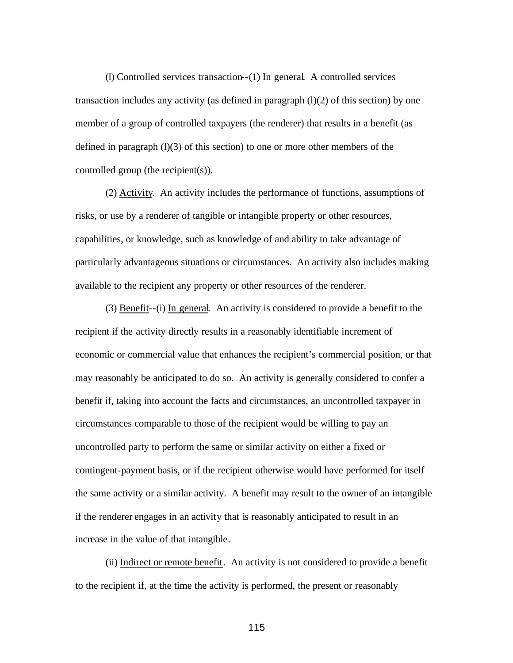(l) Controlled services transaction--(1) In general. A controlled services transaction includes any activity (as defined in paragraph  $(1)(2)$  of this section) by one member of a group of controlled taxpayers (the renderer) that results in a benefit (as defined in paragraph  $(l)(3)$  of this section) to one or more other members of the controlled group (the recipient(s)).

 (2) Activity. An activity includes the performance of functions, assumptions of risks, or use by a renderer of tangible or intangible property or other resources, capabilities, or knowledge, such as knowledge of and ability to take advantage of particularly advantageous situations or circumstances. An activity also includes making available to the recipient any property or other resources of the renderer.

(3) Benefit--(i) In general.An activity is considered to provide a benefit to the recipient if the activity directly results in a reasonably identifiable increment of economic or commercial value that enhances the recipient's commercial position, or that may reasonably be anticipated to do so. An activity is generally considered to confer a benefit if, taking into account the facts and circumstances, an uncontrolled taxpayer in circumstances comparable to those of the recipient would be willing to pay an uncontrolled party to perform the same or similar activity on either a fixed or contingent-payment basis, or if the recipient otherwise would have performed for itself the same activity or a similar activity. A benefit may result to the owner of an intangible if the renderer engages in an activity that is reasonably anticipated to result in an increase in the value of that intangible.

(ii) Indirect or remote benefit. An activity is not considered to provide a benefit to the recipient if, at the time the activity is performed, the present or reasonably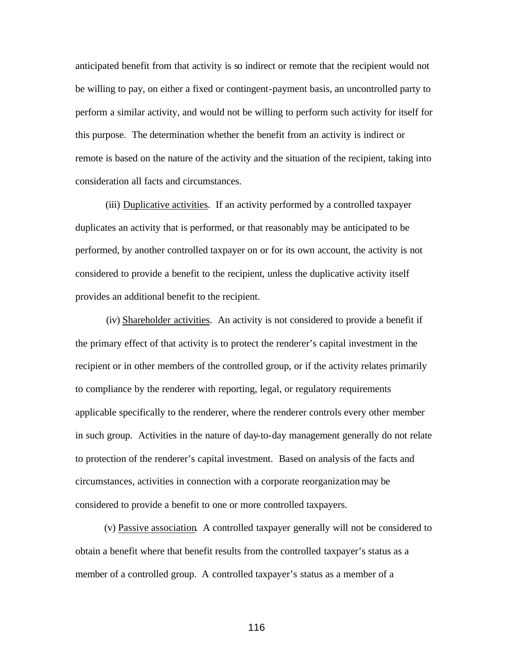anticipated benefit from that activity is so indirect or remote that the recipient would not be willing to pay, on either a fixed or contingent-payment basis, an uncontrolled party to perform a similar activity, and would not be willing to perform such activity for itself for this purpose. The determination whether the benefit from an activity is indirect or remote is based on the nature of the activity and the situation of the recipient, taking into consideration all facts and circumstances.

(iii) Duplicative activities. If an activity performed by a controlled taxpayer duplicates an activity that is performed, or that reasonably may be anticipated to be performed, by another controlled taxpayer on or for its own account, the activity is not considered to provide a benefit to the recipient, unless the duplicative activity itself provides an additional benefit to the recipient.

(iv) Shareholder activities. An activity is not considered to provide a benefit if the primary effect of that activity is to protect the renderer's capital investment in the recipient or in other members of the controlled group, or if the activity relates primarily to compliance by the renderer with reporting, legal, or regulatory requirements applicable specifically to the renderer, where the renderer controls every other member in such group. Activities in the nature of day-to-day management generally do not relate to protection of the renderer's capital investment. Based on analysis of the facts and circumstances, activities in connection with a corporate reorganization may be considered to provide a benefit to one or more controlled taxpayers.

(v) Passive association.A controlled taxpayer generally will not be considered to obtain a benefit where that benefit results from the controlled taxpayer's status as a member of a controlled group. A controlled taxpayer's status as a member of a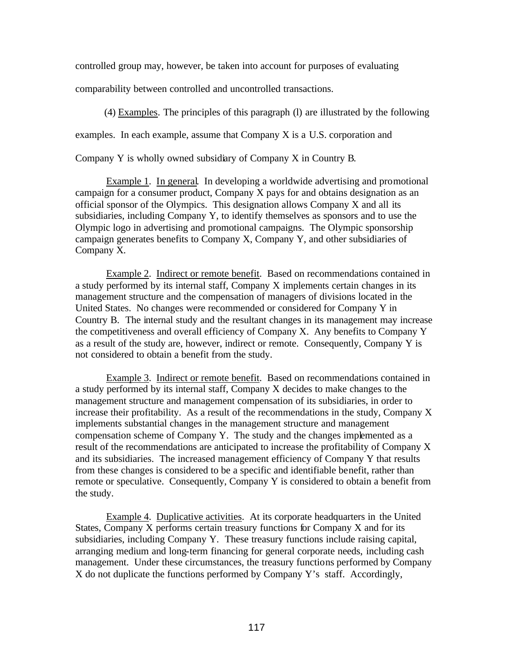controlled group may, however, be taken into account for purposes of evaluating

comparability between controlled and uncontrolled transactions.

(4) Examples. The principles of this paragraph (l) are illustrated by the following

examples. In each example, assume that Company X is a U.S. corporation and

Company Y is wholly owned subsidiary of Company X in Country B.

Example 1. In general. In developing a worldwide advertising and promotional campaign for a consumer product, Company X pays for and obtains designation as an official sponsor of the Olympics. This designation allows Company X and all its subsidiaries, including Company Y, to identify themselves as sponsors and to use the Olympic logo in advertising and promotional campaigns. The Olympic sponsorship campaign generates benefits to Company X, Company Y, and other subsidiaries of Company X.

Example 2. Indirect or remote benefit. Based on recommendations contained in a study performed by its internal staff, Company X implements certain changes in its management structure and the compensation of managers of divisions located in the United States. No changes were recommended or considered for Company Y in Country B. The internal study and the resultant changes in its management may increase the competitiveness and overall efficiency of Company X. Any benefits to Company Y as a result of the study are, however, indirect or remote. Consequently, Company Y is not considered to obtain a benefit from the study.

Example 3. Indirect or remote benefit. Based on recommendations contained in a study performed by its internal staff, Company X decides to make changes to the management structure and management compensation of its subsidiaries, in order to increase their profitability. As a result of the recommendations in the study, Company X implements substantial changes in the management structure and management compensation scheme of Company Y. The study and the changes implemented as a result of the recommendations are anticipated to increase the profitability of Company X and its subsidiaries. The increased management efficiency of Company Y that results from these changes is considered to be a specific and identifiable benefit, rather than remote or speculative. Consequently, Company Y is considered to obtain a benefit from the study.

Example 4. Duplicative activities. At its corporate headquarters in the United States, Company X performs certain treasury functions for Company X and for its subsidiaries, including Company Y. These treasury functions include raising capital, arranging medium and long-term financing for general corporate needs, including cash management. Under these circumstances, the treasury functions performed by Company X do not duplicate the functions performed by Company Y's staff. Accordingly,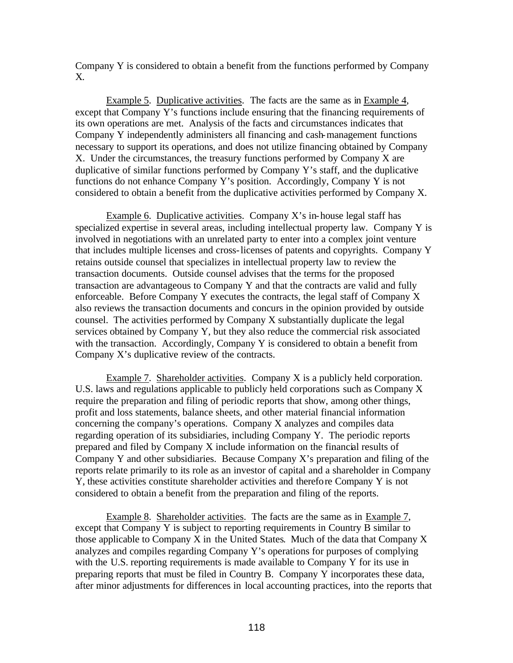Company Y is considered to obtain a benefit from the functions performed by Company X.

Example 5. Duplicative activities. The facts are the same as in Example 4, except that Company Y's functions include ensuring that the financing requirements of its own operations are met. Analysis of the facts and circumstances indicates that Company Y independently administers all financing and cash-management functions necessary to support its operations, and does not utilize financing obtained by Company X. Under the circumstances, the treasury functions performed by Company X are duplicative of similar functions performed by Company Y's staff, and the duplicative functions do not enhance Company Y's position. Accordingly, Company Y is not considered to obtain a benefit from the duplicative activities performed by Company X.

Example 6. Duplicative activities. Company  $X$ 's in-house legal staff has specialized expertise in several areas, including intellectual property law. Company Y is involved in negotiations with an unrelated party to enter into a complex joint venture that includes multiple licenses and cross-licenses of patents and copyrights. Company Y retains outside counsel that specializes in intellectual property law to review the transaction documents. Outside counsel advises that the terms for the proposed transaction are advantageous to Company Y and that the contracts are valid and fully enforceable. Before Company Y executes the contracts, the legal staff of Company X also reviews the transaction documents and concurs in the opinion provided by outside counsel. The activities performed by Company X substantially duplicate the legal services obtained by Company Y, but they also reduce the commercial risk associated with the transaction. Accordingly, Company Y is considered to obtain a benefit from Company X's duplicative review of the contracts.

Example 7. Shareholder activities. Company X is a publicly held corporation. U.S. laws and regulations applicable to publicly held corporations such as Company X require the preparation and filing of periodic reports that show, among other things, profit and loss statements, balance sheets, and other material financial information concerning the company's operations. Company X analyzes and compiles data regarding operation of its subsidiaries, including Company Y. The periodic reports prepared and filed by Company X include information on the financial results of Company Y and other subsidiaries. Because Company X's preparation and filing of the reports relate primarily to its role as an investor of capital and a shareholder in Company Y, these activities constitute shareholder activities and therefore Company Y is not considered to obtain a benefit from the preparation and filing of the reports.

Example 8. Shareholder activities. The facts are the same as in Example 7, except that Company Y is subject to reporting requirements in Country B similar to those applicable to Company X in the United States. Much of the data that Company X analyzes and compiles regarding Company Y's operations for purposes of complying with the U.S. reporting requirements is made available to Company Y for its use in preparing reports that must be filed in Country B. Company Y incorporates these data, after minor adjustments for differences in local accounting practices, into the reports that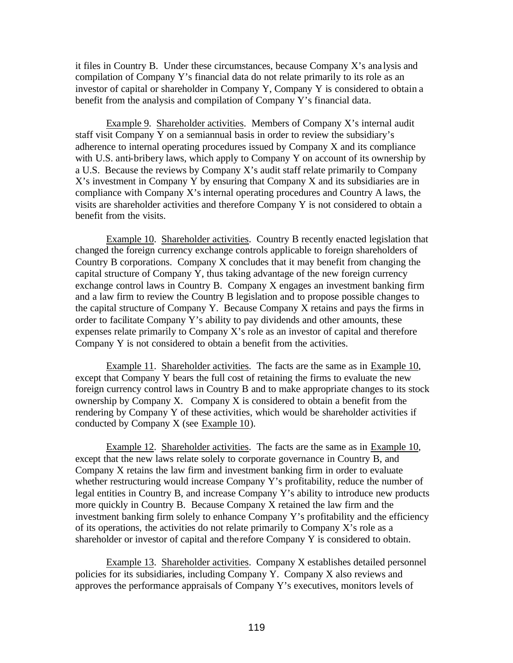it files in Country B. Under these circumstances, because Company X's ana lysis and compilation of Company Y's financial data do not relate primarily to its role as an investor of capital or shareholder in Company Y, Company Y is considered to obtain a benefit from the analysis and compilation of Company Y's financial data.

Example 9. Shareholder activities. Members of Company X's internal audit staff visit Company Y on a semiannual basis in order to review the subsidiary's adherence to internal operating procedures issued by Company X and its compliance with U.S. anti-bribery laws, which apply to Company Y on account of its ownership by a U.S. Because the reviews by Company X's audit staff relate primarily to Company X's investment in Company Y by ensuring that Company X and its subsidiaries are in compliance with Company X's internal operating procedures and Country A laws, the visits are shareholder activities and therefore Company Y is not considered to obtain a benefit from the visits.

Example 10. Shareholder activities. Country B recently enacted legislation that changed the foreign currency exchange controls applicable to foreign shareholders of Country B corporations. Company X concludes that it may benefit from changing the capital structure of Company Y, thus taking advantage of the new foreign currency exchange control laws in Country B. Company X engages an investment banking firm and a law firm to review the Country B legislation and to propose possible changes to the capital structure of Company Y. Because Company X retains and pays the firms in order to facilitate Company Y's ability to pay dividends and other amounts, these expenses relate primarily to Company X's role as an investor of capital and therefore Company Y is not considered to obtain a benefit from the activities.

Example 11. Shareholder activities. The facts are the same as in Example 10, except that Company Y bears the full cost of retaining the firms to evaluate the new foreign currency control laws in Country B and to make appropriate changes to its stock ownership by Company X. Company X is considered to obtain a benefit from the rendering by Company Y of these activities, which would be shareholder activities if conducted by Company X (see Example 10).

Example 12. Shareholder activities. The facts are the same as in Example 10, except that the new laws relate solely to corporate governance in Country B, and Company X retains the law firm and investment banking firm in order to evaluate whether restructuring would increase Company Y's profitability, reduce the number of legal entities in Country B, and increase Company Y's ability to introduce new products more quickly in Country B. Because Company X retained the law firm and the investment banking firm solely to enhance Company Y's profitability and the efficiency of its operations, the activities do not relate primarily to Company X's role as a shareholder or investor of capital and the refore Company Y is considered to obtain.

Example 13. Shareholder activities. Company X establishes detailed personnel policies for its subsidiaries, including Company Y. Company X also reviews and approves the performance appraisals of Company Y's executives, monitors levels of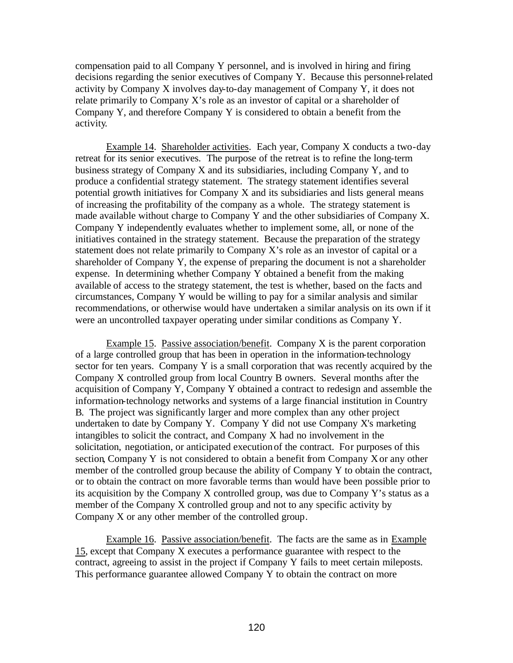compensation paid to all Company Y personnel, and is involved in hiring and firing decisions regarding the senior executives of Company Y. Because this personnel-related activity by Company X involves day-to-day management of Company Y, it does not relate primarily to Company X's role as an investor of capital or a shareholder of Company Y, and therefore Company Y is considered to obtain a benefit from the activity.

Example 14. Shareholder activities. Each year, Company X conducts a two-day retreat for its senior executives. The purpose of the retreat is to refine the long-term business strategy of Company X and its subsidiaries, including Company Y, and to produce a confidential strategy statement. The strategy statement identifies several potential growth initiatives for Company X and its subsidiaries and lists general means of increasing the profitability of the company as a whole. The strategy statement is made available without charge to Company Y and the other subsidiaries of Company X. Company Y independently evaluates whether to implement some, all, or none of the initiatives contained in the strategy statement. Because the preparation of the strategy statement does not relate primarily to Company X's role as an investor of capital or a shareholder of Company Y, the expense of preparing the document is not a shareholder expense. In determining whether Company Y obtained a benefit from the making available of access to the strategy statement, the test is whether, based on the facts and circumstances, Company Y would be willing to pay for a similar analysis and similar recommendations, or otherwise would have undertaken a similar analysis on its own if it were an uncontrolled taxpayer operating under similar conditions as Company Y.

Example 15. Passive association/benefit. Company X is the parent corporation of a large controlled group that has been in operation in the information-technology sector for ten years. Company Y is a small corporation that was recently acquired by the Company X controlled group from local Country B owners. Several months after the acquisition of Company Y, Company Y obtained a contract to redesign and assemble the information-technology networks and systems of a large financial institution in Country B. The project was significantly larger and more complex than any other project undertaken to date by Company Y. Company Y did not use Company X's marketing intangibles to solicit the contract, and Company X had no involvement in the solicitation, negotiation, or anticipated execution of the contract. For purposes of this section, Company Y is not considered to obtain a benefit from Company X or any other member of the controlled group because the ability of Company Y to obtain the contract, or to obtain the contract on more favorable terms than would have been possible prior to its acquisition by the Company X controlled group, was due to Company Y's status as a member of the Company X controlled group and not to any specific activity by Company X or any other member of the controlled group.

Example 16. Passive association/benefit. The facts are the same as in Example 15, except that Company X executes a performance guarantee with respect to the contract, agreeing to assist in the project if Company Y fails to meet certain mileposts. This performance guarantee allowed Company Y to obtain the contract on more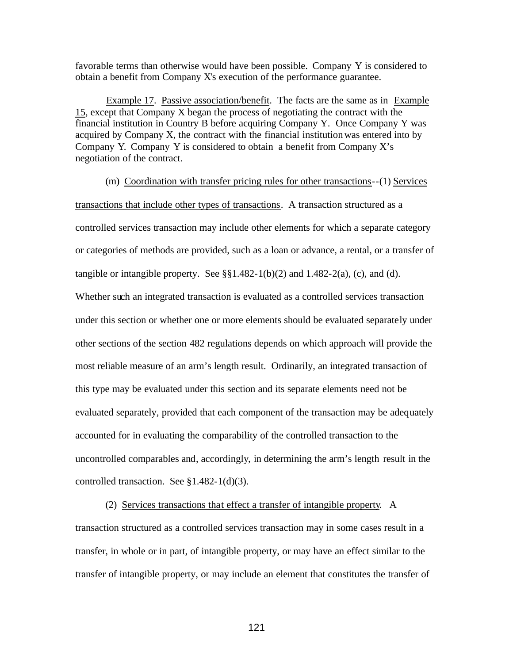favorable terms than otherwise would have been possible. Company Y is considered to obtain a benefit from Company X's execution of the performance guarantee.

Example 17. Passive association/benefit. The facts are the same as in Example 15, except that Company X began the process of negotiating the contract with the financial institution in Country B before acquiring Company Y. Once Company Y was acquired by Company X, the contract with the financial institution was entered into by Company Y. Company Y is considered to obtain a benefit from Company  $X$ 's negotiation of the contract.

(m) Coordination with transfer pricing rules for other transactions--(1) Services transactions that include other types of transactions. A transaction structured as a controlled services transaction may include other elements for which a separate category or categories of methods are provided, such as a loan or advance, a rental, or a transfer of tangible or intangible property. See  $\S$ §1.482-1(b)(2) and 1.482-2(a), (c), and (d). Whether such an integrated transaction is evaluated as a controlled services transaction under this section or whether one or more elements should be evaluated separately under other sections of the section 482 regulations depends on which approach will provide the most reliable measure of an arm's length result. Ordinarily, an integrated transaction of this type may be evaluated under this section and its separate elements need not be evaluated separately, provided that each component of the transaction may be adequately accounted for in evaluating the comparability of the controlled transaction to the uncontrolled comparables and, accordingly, in determining the arm's length result in the controlled transaction. See §1.482-1(d)(3).

(2) Services transactions that effect a transfer of intangible property.A transaction structured as a controlled services transaction may in some cases result in a transfer, in whole or in part, of intangible property, or may have an effect similar to the transfer of intangible property, or may include an element that constitutes the transfer of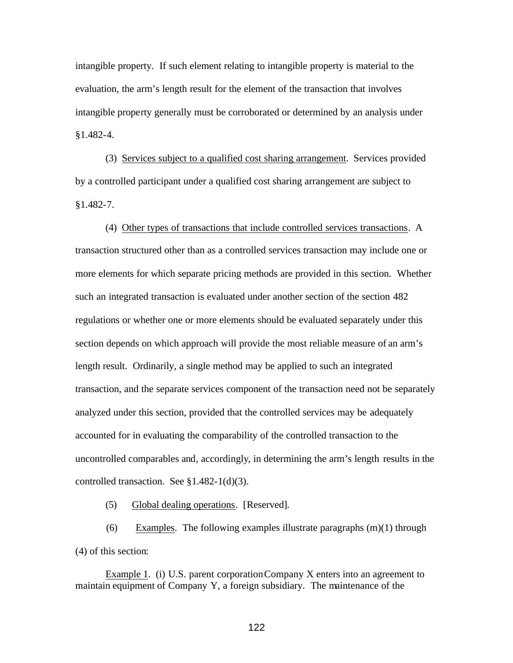intangible property. If such element relating to intangible property is material to the evaluation, the arm's length result for the element of the transaction that involves intangible property generally must be corroborated or determined by an analysis under §1.482-4.

(3) Services subject to a qualified cost sharing arrangement. Services provided by a controlled participant under a qualified cost sharing arrangement are subject to §1.482-7.

(4) Other types of transactions that include controlled services transactions. A transaction structured other than as a controlled services transaction may include one or more elements for which separate pricing methods are provided in this section. Whether such an integrated transaction is evaluated under another section of the section 482 regulations or whether one or more elements should be evaluated separately under this section depends on which approach will provide the most reliable measure of an arm's length result. Ordinarily, a single method may be applied to such an integrated transaction, and the separate services component of the transaction need not be separately analyzed under this section, provided that the controlled services may be adequately accounted for in evaluating the comparability of the controlled transaction to the uncontrolled comparables and, accordingly, in determining the arm's length results in the controlled transaction. See §1.482-1(d)(3).

(5) Global dealing operations. [Reserved].

(6) Examples. The following examples illustrate paragraphs  $(m)(1)$  through (4) of this section:

Example 1. (i) U.S. parent corporation Company X enters into an agreement to maintain equipment of Company Y, a foreign subsidiary. The maintenance of the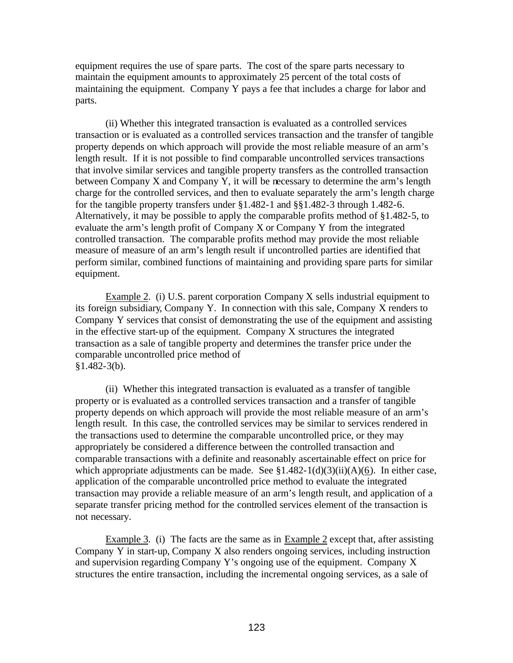equipment requires the use of spare parts. The cost of the spare parts necessary to maintain the equipment amounts to approximately 25 percent of the total costs of maintaining the equipment. Company Y pays a fee that includes a charge for labor and parts.

(ii) Whether this integrated transaction is evaluated as a controlled services transaction or is evaluated as a controlled services transaction and the transfer of tangible property depends on which approach will provide the most reliable measure of an arm's length result. If it is not possible to find comparable uncontrolled services transactions that involve similar services and tangible property transfers as the controlled transaction between Company X and Company Y, it will be necessary to determine the arm's length charge for the controlled services, and then to evaluate separately the arm's length charge for the tangible property transfers under §1.482-1 and §§1.482-3 through 1.482-6. Alternatively, it may be possible to apply the comparable profits method of §1.482-5, to evaluate the arm's length profit of Company X or Company Y from the integrated controlled transaction. The comparable profits method may provide the most reliable measure of measure of an arm's length result if uncontrolled parties are identified that perform similar, combined functions of maintaining and providing spare parts for similar equipment.

Example 2. (i) U.S. parent corporation Company X sells industrial equipment to its foreign subsidiary, Company Y. In connection with this sale, Company X renders to Company Y services that consist of demonstrating the use of the equipment and assisting in the effective start-up of the equipment. Company X structures the integrated transaction as a sale of tangible property and determines the transfer price under the comparable uncontrolled price method of  $§1.482-3(b).$ 

(ii) Whether this integrated transaction is evaluated as a transfer of tangible property or is evaluated as a controlled services transaction and a transfer of tangible property depends on which approach will provide the most reliable measure of an arm's length result. In this case, the controlled services may be similar to services rendered in the transactions used to determine the comparable uncontrolled price, or they may appropriately be considered a difference between the controlled transaction and comparable transactions with a definite and reasonably ascertainable effect on price for which appropriate adjustments can be made. See  $$1.482-1(d)(3)(ii)(A)(6)$ . In either case, application of the comparable uncontrolled price method to evaluate the integrated transaction may provide a reliable measure of an arm's length result, and application of a separate transfer pricing method for the controlled services element of the transaction is not necessary.

Example 3. (i) The facts are the same as in Example 2 except that, after assisting Company Y in start-up, Company X also renders ongoing services, including instruction and supervision regarding Company Y's ongoing use of the equipment. Company X structures the entire transaction, including the incremental ongoing services, as a sale of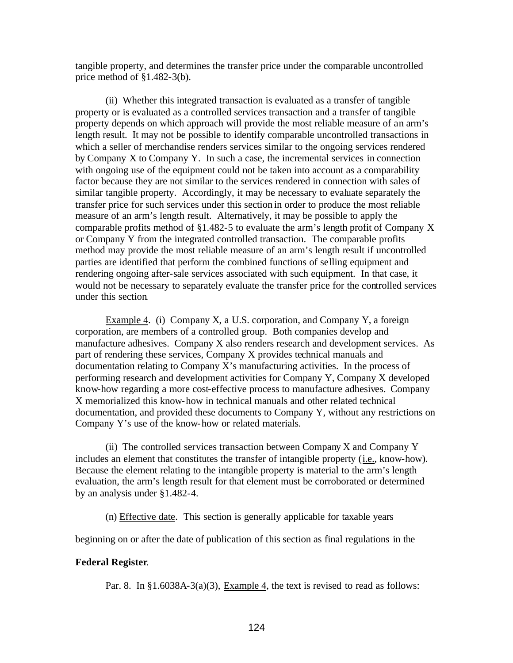tangible property, and determines the transfer price under the comparable uncontrolled price method of  $§1.482-3(b)$ .

(ii) Whether this integrated transaction is evaluated as a transfer of tangible property or is evaluated as a controlled services transaction and a transfer of tangible property depends on which approach will provide the most reliable measure of an arm's length result. It may not be possible to identify comparable uncontrolled transactions in which a seller of merchandise renders services similar to the ongoing services rendered by Company X to Company Y. In such a case, the incremental services in connection with ongoing use of the equipment could not be taken into account as a comparability factor because they are not similar to the services rendered in connection with sales of similar tangible property. Accordingly, it may be necessary to evaluate separately the transfer price for such services under this section in order to produce the most reliable measure of an arm's length result. Alternatively, it may be possible to apply the comparable profits method of §1.482-5 to evaluate the arm's length profit of Company X or Company Y from the integrated controlled transaction. The comparable profits method may provide the most reliable measure of an arm's length result if uncontrolled parties are identified that perform the combined functions of selling equipment and rendering ongoing after-sale services associated with such equipment. In that case, it would not be necessary to separately evaluate the transfer price for the controlled services under this section.

Example 4. (i) Company X, a U.S. corporation, and Company Y, a foreign corporation, are members of a controlled group. Both companies develop and manufacture adhesives. Company X also renders research and development services. As part of rendering these services, Company X provides technical manuals and documentation relating to Company X's manufacturing activities. In the process of performing research and development activities for Company Y, Company X developed know-how regarding a more cost-effective process to manufacture adhesives. Company X memorialized this know-how in technical manuals and other related technical documentation, and provided these documents to Company Y, without any restrictions on Company Y's use of the know-how or related materials.

(ii) The controlled services transaction between Company X and Company Y includes an element that constitutes the transfer of intangible property (i.e., know-how). Because the element relating to the intangible property is material to the arm's length evaluation, the arm's length result for that element must be corroborated or determined by an analysis under §1.482-4.

(n) Effective date. This section is generally applicable for taxable years

beginning on or after the date of publication of this section as final regulations in the

## **Federal Register**.

Par. 8. In  $\S1.6038A-3(a)(3)$ , Example 4, the text is revised to read as follows: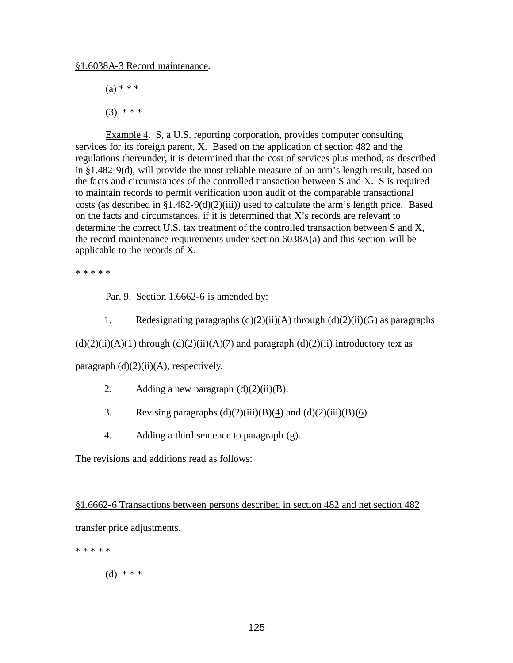$(a) * * * *$ 

 $(3)$  \* \* \*

Example 4. S, a U.S. reporting corporation, provides computer consulting services for its foreign parent, X. Based on the application of section 482 and the regulations thereunder, it is determined that the cost of services plus method, as described in §1.482-9(d), will provide the most reliable measure of an arm's length result, based on the facts and circumstances of the controlled transaction between S and X. S is required to maintain records to permit verification upon audit of the comparable transactional costs (as described in  $\S1.482-9(d)(2)(iii)$ ) used to calculate the arm's length price. Based on the facts and circumstances, if it is determined that X's records are relevant to determine the correct U.S. tax treatment of the controlled transaction between S and X, the record maintenance requirements under section 6038A(a) and this section will be applicable to the records of X.

\* \* \* \* \*

Par. 9. Section 1.6662-6 is amended by:

1. Redesignating paragraphs  $(d)(2)(ii)(A)$  through  $(d)(2)(ii)(G)$  as paragraphs

 $(d)(2)(ii)(A)(1)$  through  $(d)(2)(ii)(A)(7)$  and paragraph  $(d)(2)(ii)$  introductory text as

paragraph  $(d)(2)(ii)(A)$ , respectively.

- 2. Adding a new paragraph  $(d)(2)(ii)(B)$ .
- 3. Revising paragraphs  $(d)(2)(iii)(B)(4)$  and  $(d)(2)(iii)(B)(6)$
- 4. Adding a third sentence to paragraph (g).

The revisions and additions read as follows:

§1.6662-6 Transactions between persons described in section 482 and net section 482 transfer price adjustments.

\* \* \* \* \*

(d) \* \* \*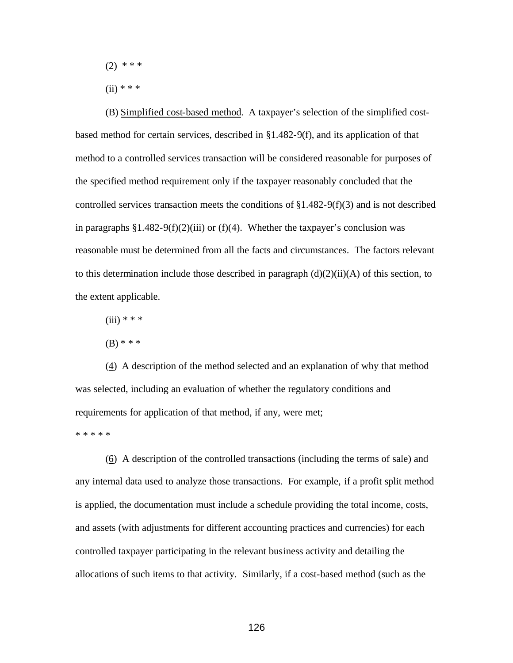- $(2)$  \* \* \*
- $(ii) * * * *$

(B) Simplified cost-based method. A taxpayer's selection of the simplified costbased method for certain services, described in §1.482-9(f), and its application of that method to a controlled services transaction will be considered reasonable for purposes of the specified method requirement only if the taxpayer reasonably concluded that the controlled services transaction meets the conditions of  $\S1.482-9(f)(3)$  and is not described in paragraphs  $\S1.482-9(f)(2)(iii)$  or (f)(4). Whether the taxpayer's conclusion was reasonable must be determined from all the facts and circumstances. The factors relevant to this determination include those described in paragraph  $(d)(2)(ii)(A)$  of this section, to the extent applicable.

- $(iii) * * * *$
- (B) \* \* \*

(4) A description of the method selected and an explanation of why that method was selected, including an evaluation of whether the regulatory conditions and requirements for application of that method, if any, were met;

\* \* \* \* \*

(6) A description of the controlled transactions (including the terms of sale) and any internal data used to analyze those transactions. For example, if a profit split method is applied, the documentation must include a schedule providing the total income, costs, and assets (with adjustments for different accounting practices and currencies) for each controlled taxpayer participating in the relevant business activity and detailing the allocations of such items to that activity. Similarly, if a cost-based method (such as the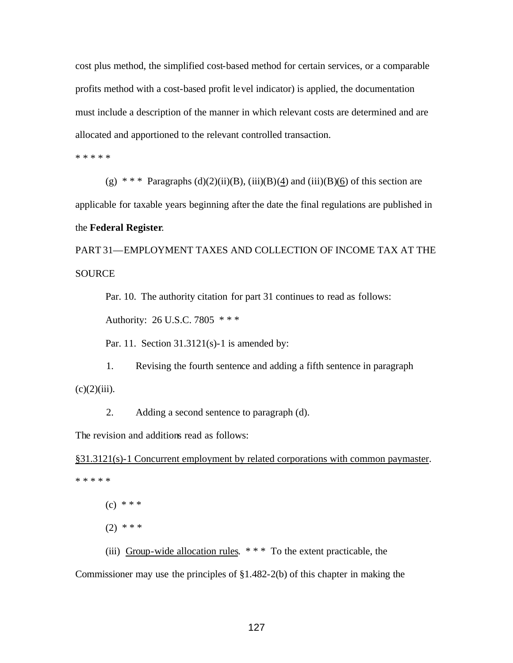cost plus method, the simplified cost-based method for certain services, or a comparable profits method with a cost-based profit level indicator) is applied, the documentation must include a description of the manner in which relevant costs are determined and are allocated and apportioned to the relevant controlled transaction.

\* \* \* \* \*

(g) \* \* \* Paragraphs (d)(2)(ii)(B), (iii)(B)(4) and (iii)(B)(6) of this section are applicable for taxable years beginning after the date the final regulations are published in the **Federal Register**.

PART 31—EMPLOYMENT TAXES AND COLLECTION OF INCOME TAX AT THE **SOURCE** 

Par. 10. The authority citation for part 31 continues to read as follows:

Authority: 26 U.S.C. 7805 \* \* \*

Par. 11. Section 31.3121(s)-1 is amended by:

1. Revising the fourth sentence and adding a fifth sentence in paragraph  $(c)(2)(iii)$ .

2. Adding a second sentence to paragraph (d).

The revision and additions read as follows:

§31.3121(s)-1 Concurrent employment by related corporations with common paymaster. \* \* \* \* \*

 $(c) * * *$ 

 $(2)$  \* \* \*

(iii) Group-wide allocation rules.  $***$  To the extent practicable, the

Commissioner may use the principles of §1.482-2(b) of this chapter in making the